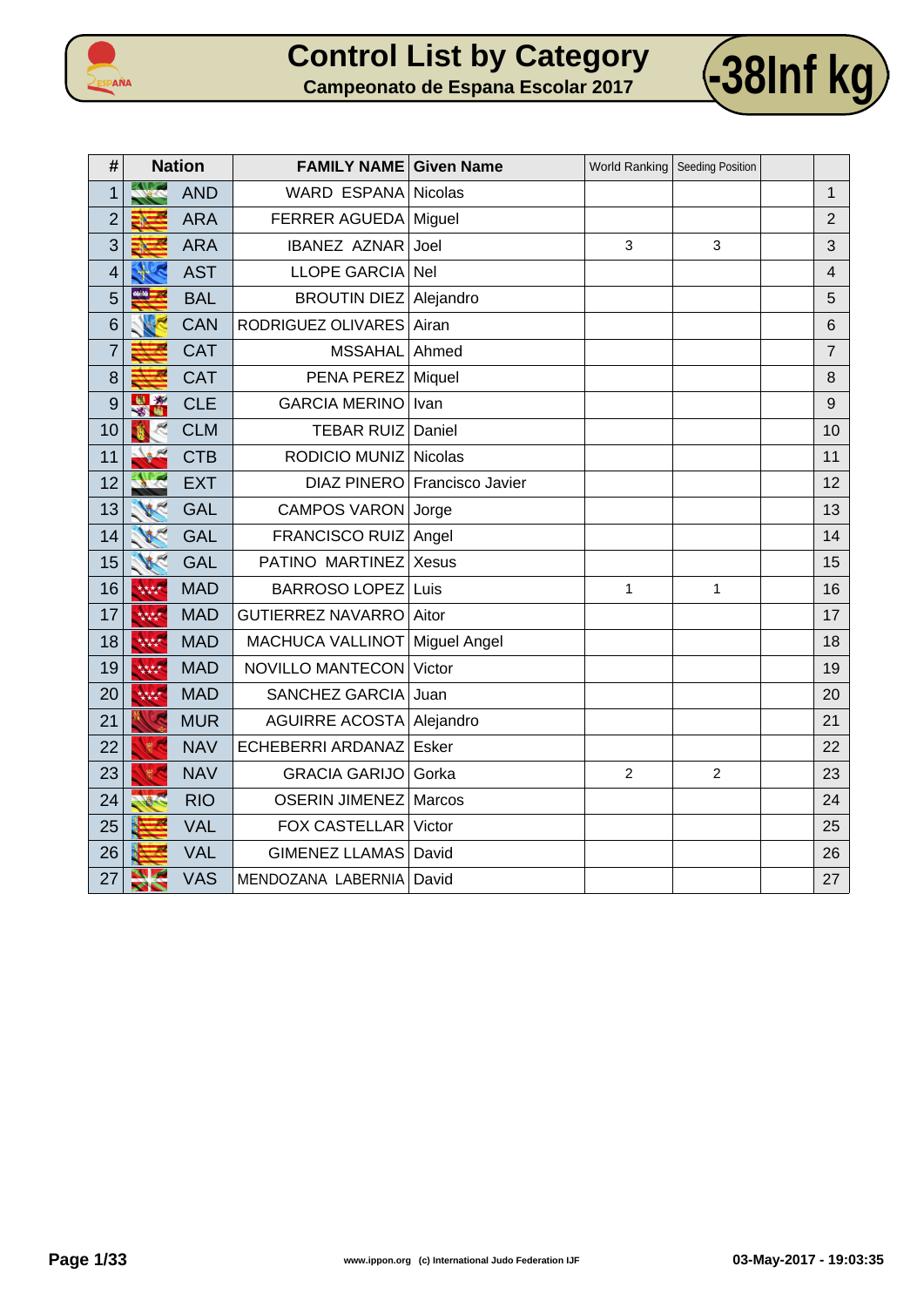



| #              |                            | <b>Nation</b> | <b>FAMILY NAME Given Name</b> |                              |                | World Ranking   Seeding Position |                |
|----------------|----------------------------|---------------|-------------------------------|------------------------------|----------------|----------------------------------|----------------|
| 1              |                            | <b>AND</b>    | WARD ESPANA Nicolas           |                              |                |                                  | $\mathbf{1}$   |
| $\overline{2}$ |                            | <b>ARA</b>    | <b>FERRER AGUEDA</b>          | Miguel                       |                |                                  | $\overline{2}$ |
| 3              |                            | <b>ARA</b>    | <b>IBANEZ AZNAR</b>           | Joel                         | 3              | 3                                | 3              |
| 4              |                            | <b>AST</b>    | LLOPE GARCIA                  | Nel                          |                |                                  | 4              |
| 5              | 46.44                      | <b>BAL</b>    | <b>BROUTIN DIEZ</b>           | Alejandro                    |                |                                  | 5              |
| 6              |                            | <b>CAN</b>    | RODRIGUEZ OLIVARES            | Airan                        |                |                                  | 6              |
| $\overline{7}$ |                            | <b>CAT</b>    | <b>MSSAHAL</b>                | Ahmed                        |                |                                  | $\overline{7}$ |
| 8              |                            | <b>CAT</b>    | PENA PEREZ                    | Miquel                       |                |                                  | 8              |
| 9              | 图案                         | <b>CLE</b>    | <b>GARCIA MERINO</b>          | Ivan                         |                |                                  | 9              |
| 10             |                            | <b>CLM</b>    | <b>TEBAR RUIZ</b>             | Daniel                       |                |                                  | 10             |
| 11             |                            | <b>CTB</b>    | RODICIO MUNIZ                 | <b>Nicolas</b>               |                |                                  | 11             |
| 12             |                            | <b>EXT</b>    |                               | DIAZ PINERO Francisco Javier |                |                                  | 12             |
| 13             |                            | <b>GAL</b>    | CAMPOS VARON Jorge            |                              |                |                                  | 13             |
| 14             |                            | <b>GAL</b>    | FRANCISCO RUIZ Angel          |                              |                |                                  | 14             |
| 15             |                            | <b>GAL</b>    | PATINO MARTINEZ               | <b>Xesus</b>                 |                |                                  | 15             |
| 16             | 大大大大                       | <b>MAD</b>    | <b>BARROSO LOPEZ</b>          | Luis                         | 1              | $\mathbf{1}$                     | 16             |
| 17             | 大大大大                       | <b>MAD</b>    | <b>GUTIERREZ NAVARRO</b>      | Aitor                        |                |                                  | 17             |
| 18             | 大大大大                       | <b>MAD</b>    | MACHUCA VALLINOT              | Miguel Angel                 |                |                                  | 18             |
| 19             | 林林                         | <b>MAD</b>    | NOVILLO MANTECON              | Victor                       |                |                                  | 19             |
| 20             | 林林                         | <b>MAD</b>    | SANCHEZ GARCIA                | Juan                         |                |                                  | 20             |
| 21             |                            | <b>MUR</b>    | AGUIRRE ACOSTA Alejandro      |                              |                |                                  | 21             |
| 22             | 震气                         | <b>NAV</b>    | ECHEBERRI ARDANAZ             | Esker                        |                |                                  | 22             |
| 23             |                            | <b>NAV</b>    | <b>GRACIA GARIJO</b>          | Gorka                        | $\overline{2}$ | $\overline{c}$                   | 23             |
| 24             |                            | <b>RIO</b>    | <b>OSERIN JIMENEZ</b>         | Marcos                       |                |                                  | 24             |
| 25             |                            | <b>VAL</b>    | <b>FOX CASTELLAR</b>          | Victor                       |                |                                  | 25             |
| 26             |                            | <b>VAL</b>    | <b>GIMENEZ LLAMAS</b>         | David                        |                |                                  | 26             |
| 27             | $\mathcal{L}_{\mathbf{A}}$ | <b>VAS</b>    | MENDOZANA LABERNIA            | David                        |                |                                  | 27             |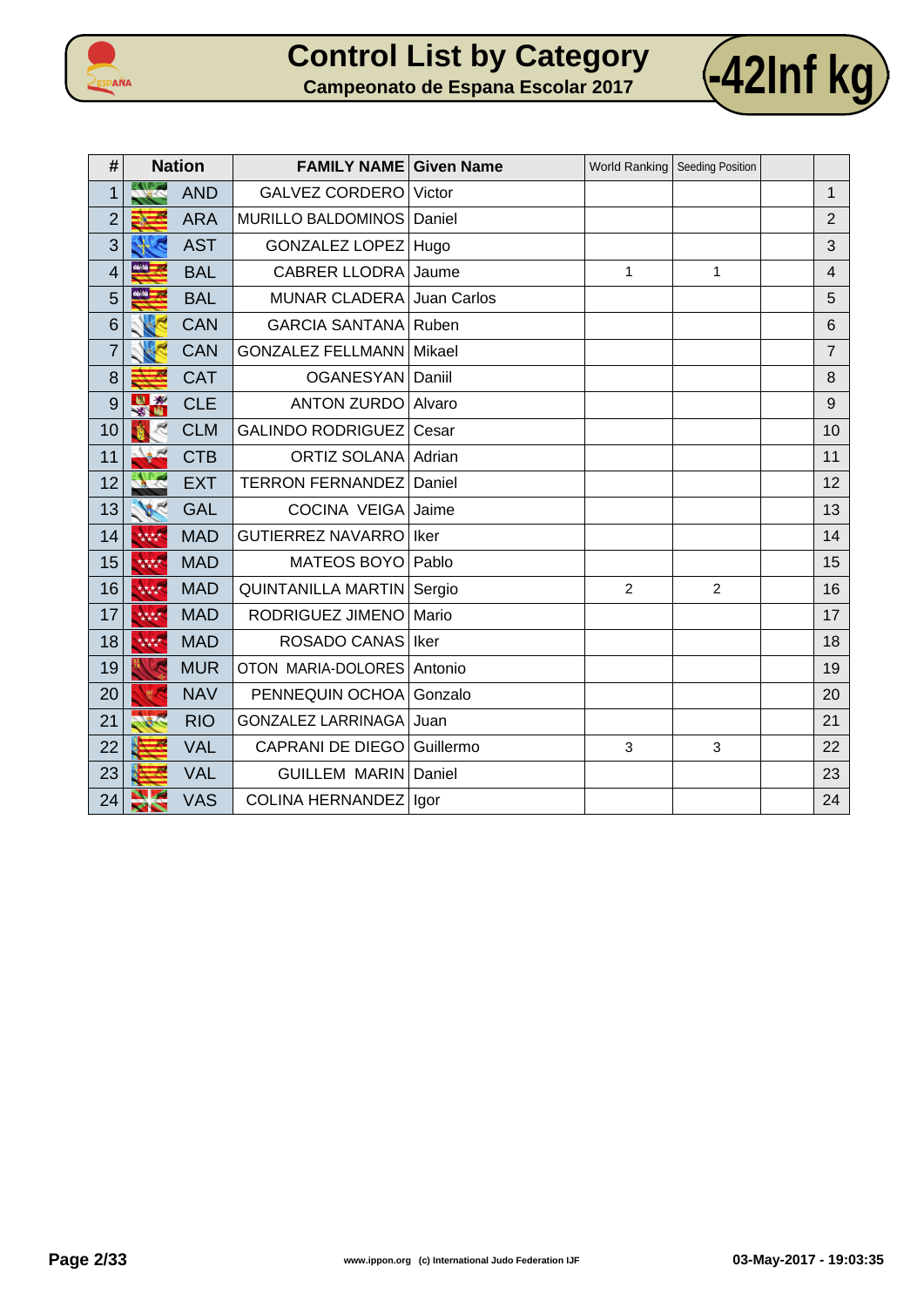



| #              |              | <b>Nation</b> | <b>FAMILY NAME Given Name</b>    |             |                | World Ranking   Seeding Position |                |
|----------------|--------------|---------------|----------------------------------|-------------|----------------|----------------------------------|----------------|
| 1              |              | <b>AND</b>    | <b>GALVEZ CORDERO</b>            | Victor      |                |                                  | $\mathbf{1}$   |
| $\overline{2}$ |              | <b>ARA</b>    | MURILLO BALDOMINOS               | Daniel      |                |                                  | $\overline{2}$ |
| 3              |              | <b>AST</b>    | <b>GONZALEZ LOPEZ</b>            | Hugo        |                |                                  | 3              |
| 4              | 46.94        | <b>BAL</b>    | <b>CABRER LLODRA</b>             | Jaume       | 1              | 1                                | $\overline{4}$ |
| 5              | <u> 444 </u> | <b>BAL</b>    | <b>MUNAR CLADERA</b>             | Juan Carlos |                |                                  | 5              |
| 6              |              | <b>CAN</b>    | <b>GARCIA SANTANA Ruben</b>      |             |                |                                  | 6              |
| $\overline{7}$ |              | <b>CAN</b>    | <b>GONZALEZ FELLMANN Mikael</b>  |             |                |                                  | $\overline{7}$ |
| 8              |              | <b>CAT</b>    | OGANESYAN Daniil                 |             |                |                                  | 8              |
| 9              | $\mathbf{x}$ | <b>CLE</b>    | <b>ANTON ZURDO</b>               | Alvaro      |                |                                  | 9              |
| 10             |              | <b>CLM</b>    | <b>GALINDO RODRIGUEZ</b>         | Cesar       |                |                                  | 10             |
| 11             |              | <b>CTB</b>    | <b>ORTIZ SOLANA</b>              | Adrian      |                |                                  | 11             |
| 12             |              | <b>EXT</b>    | <b>TERRON FERNANDEZ</b>          | Daniel      |                |                                  | 12             |
| 13             |              | <b>GAL</b>    | <b>COCINA VEIGA</b>              | Jaime       |                |                                  | 13             |
| 14             | 林林           | <b>MAD</b>    | <b>GUTIERREZ NAVARRO</b>         | Iker        |                |                                  | 14             |
| 15             | 林林           | <b>MAD</b>    | <b>MATEOS BOYO</b>               | Pablo       |                |                                  | 15             |
| 16             | 林林           | <b>MAD</b>    | <b>QUINTANILLA MARTIN Sergio</b> |             | $\overline{2}$ | $\overline{2}$                   | 16             |
| 17             | 大大大大         | <b>MAD</b>    | RODRIGUEZ JIMENO                 | Mario       |                |                                  | 17             |
| 18             | 林林           | <b>MAD</b>    | ROSADO CANAS                     | Iker        |                |                                  | 18             |
| 19             |              | <b>MUR</b>    | OTON MARIA-DOLORES               | Antonio     |                |                                  | 19             |
| 20             |              | <b>NAV</b>    | PENNEQUIN OCHOA                  | Gonzalo     |                |                                  | 20             |
| 21             |              | <b>RIO</b>    | <b>GONZALEZ LARRINAGA</b>        | Juan        |                |                                  | 21             |
| 22             |              | <b>VAL</b>    | <b>CAPRANI DE DIEGO</b>          | Guillermo   | 3              | $\mathbf{3}$                     | 22             |
| 23             |              | <b>VAL</b>    | <b>GUILLEM MARIN</b>             | Daniel      |                |                                  | 23             |
| 24             |              | <b>VAS</b>    | COLINA HERNANDEZ   Igor          |             |                |                                  | 24             |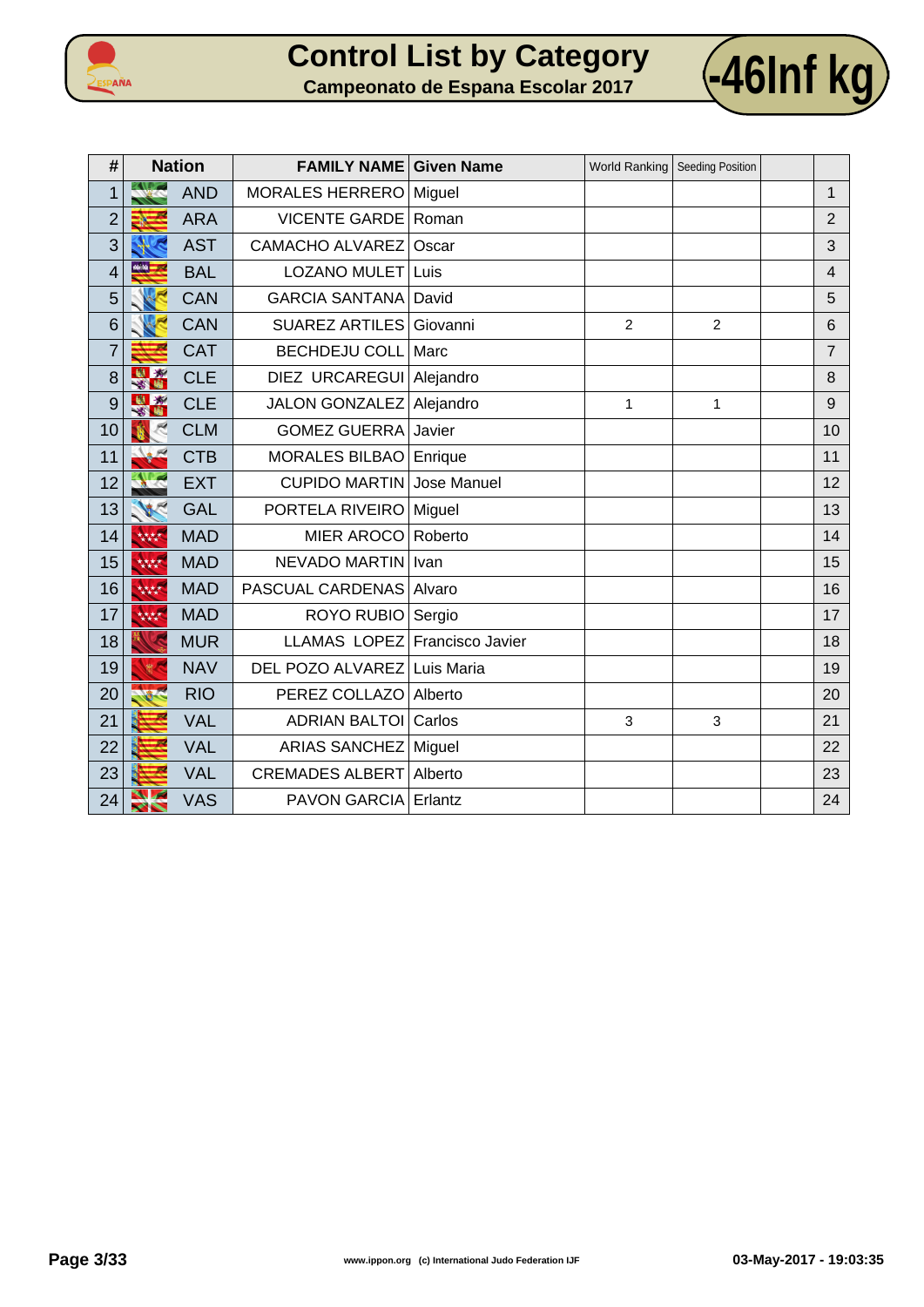



| #              |                      | <b>Nation</b> | <b>FAMILY NAME Given Name</b> |             | World Ranking | Seeding Position |                |
|----------------|----------------------|---------------|-------------------------------|-------------|---------------|------------------|----------------|
| 1              |                      | <b>AND</b>    | MORALES HERRERO               | Miguel      |               |                  | $\mathbf 1$    |
| $\overline{2}$ |                      | <b>ARA</b>    | <b>VICENTE GARDE</b>          | Roman       |               |                  | $\overline{2}$ |
| 3              |                      | <b>AST</b>    | CAMACHO ALVAREZ               | Oscar       |               |                  | 3              |
| $\overline{4}$ | 46.86 <mark>—</mark> | <b>BAL</b>    | LOZANO MULET                  | Luis        |               |                  | $\overline{4}$ |
| 5              |                      | <b>CAN</b>    | <b>GARCIA SANTANA</b>         | David       |               |                  | 5              |
| 6              |                      | <b>CAN</b>    | <b>SUAREZ ARTILES</b>         | Giovanni    | 2             | $\overline{2}$   | 6              |
| $\overline{7}$ |                      | <b>CAT</b>    | <b>BECHDEJU COLL</b>          | Marc        |               |                  | $\overline{7}$ |
| 8              | 出资<br>×.             | <b>CLE</b>    | DIEZ URCAREGUI Alejandro      |             |               |                  | 8              |
| 9              |                      | <b>CLE</b>    | JALON GONZALEZ Alejandro      |             | $\mathbf{1}$  | 1                | $\mathsf 9$    |
| 10             |                      | <b>CLM</b>    | <b>GOMEZ GUERRA</b>           | Javier      |               |                  | 10             |
| 11             |                      | <b>CTB</b>    | <b>MORALES BILBAO</b>         | Enrique     |               |                  | 11             |
| 12             |                      | <b>EXT</b>    | <b>CUPIDO MARTIN</b>          | Jose Manuel |               |                  | 12             |
| 13             |                      | <b>GAL</b>    | PORTELA RIVEIRO               | Miguel      |               |                  | 13             |
| 14             | 林林                   | <b>MAD</b>    | <b>MIER AROCO</b>             | Roberto     |               |                  | 14             |
| 15             | 林林                   | <b>MAD</b>    | <b>NEVADO MARTIN</b>          | Ivan        |               |                  | 15             |
| 16             | 林林                   | <b>MAD</b>    | <b>PASCUAL CARDENAS</b>       | Alvaro      |               |                  | 16             |
| 17             | 林林                   | <b>MAD</b>    | ROYO RUBIO                    | Sergio      |               |                  | 17             |
| 18             |                      | <b>MUR</b>    | LLAMAS LOPEZ Francisco Javier |             |               |                  | 18             |
| 19             |                      | <b>NAV</b>    | DEL POZO ALVAREZ Luis Maria   |             |               |                  | 19             |
| 20             |                      | <b>RIO</b>    | PEREZ COLLAZO                 | Alberto     |               |                  | 20             |
| 21             |                      | <b>VAL</b>    | <b>ADRIAN BALTOI</b>          | Carlos      | 3             | 3                | 21             |
| 22             |                      | <b>VAL</b>    | ARIAS SANCHEZ   Miguel        |             |               |                  | 22             |
| 23             |                      | <b>VAL</b>    | <b>CREMADES ALBERT</b>        | Alberto     |               |                  | 23             |
| 24             |                      | <b>VAS</b>    | <b>PAVON GARCIA</b>           | Erlantz     |               |                  | 24             |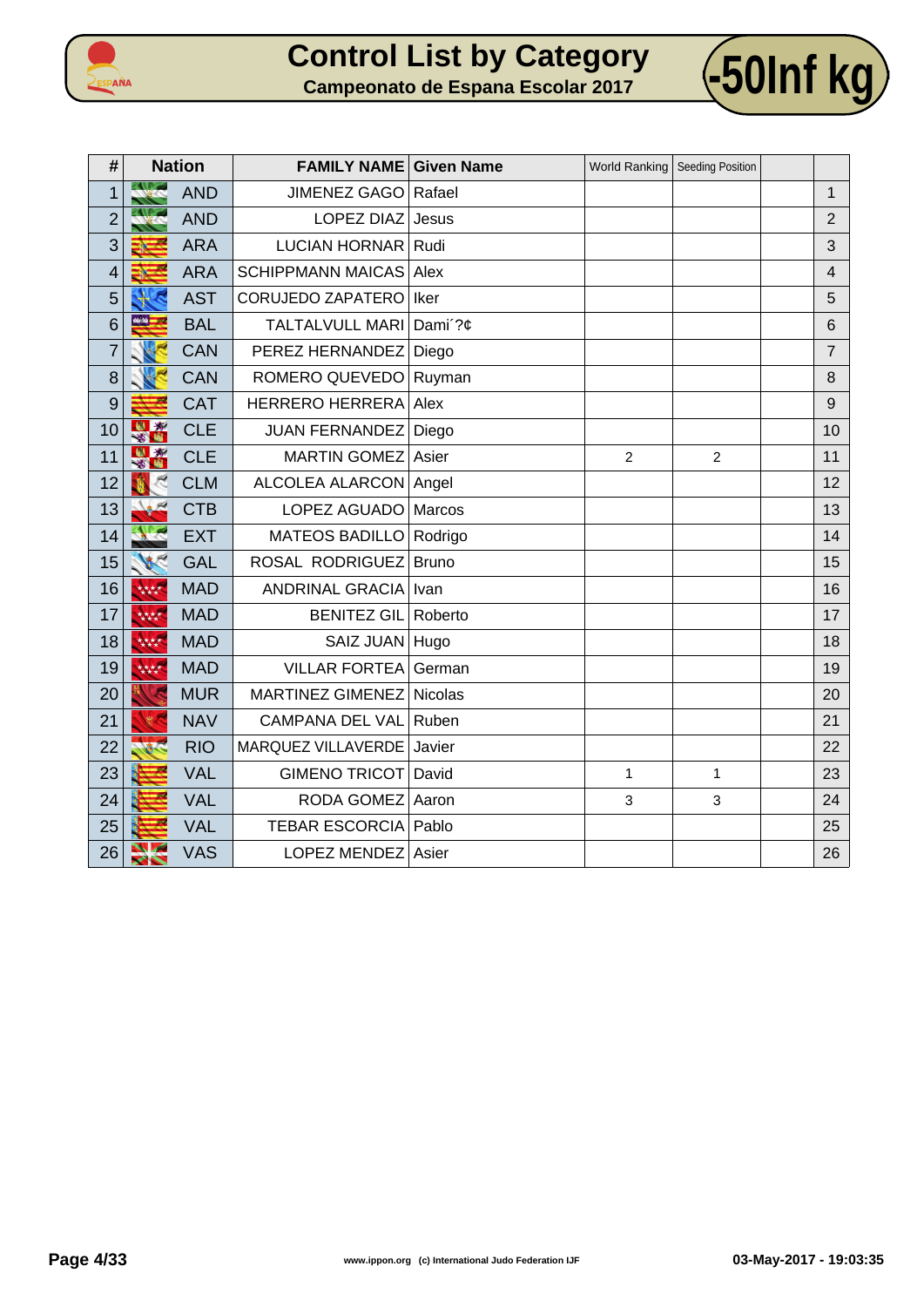



| #              |                            | <b>Nation</b> | <b>FAMILY NAME Given Name</b> |              | World Ranking   Seeding Position |                |                |
|----------------|----------------------------|---------------|-------------------------------|--------------|----------------------------------|----------------|----------------|
| 1              |                            | <b>AND</b>    | <b>JIMENEZ GAGO</b>           | Rafael       |                                  |                | $\mathbf{1}$   |
| $\overline{2}$ |                            | <b>AND</b>    | LOPEZ DIAZ                    | Jesus        |                                  |                | $\overline{2}$ |
| 3              |                            | <b>ARA</b>    | LUCIAN HORNAR                 | Rudi         |                                  |                | 3              |
| 4              |                            | <b>ARA</b>    | <b>SCHIPPMANN MAICAS</b>      | Alex         |                                  |                | $\overline{4}$ |
| 5              |                            | <b>AST</b>    | <b>CORUJEDO ZAPATERO</b>      | Iker         |                                  |                | 5              |
| 6              | 66.56                      | <b>BAL</b>    | <b>TALTALVULL MARI</b>        | Dami'?¢      |                                  |                | 6              |
| $\overline{7}$ |                            | <b>CAN</b>    | PEREZ HERNANDEZ               | Diego        |                                  |                | $\overline{7}$ |
| 8              |                            | <b>CAN</b>    | ROMERO QUEVEDO                | Ruyman       |                                  |                | 8              |
| 9              |                            | <b>CAT</b>    | <b>HERRERO HERRERA</b>        | Alex         |                                  |                | 9              |
| 10             | 樹枝<br>$\mathbf{X}$         | <b>CLE</b>    | <b>JUAN FERNANDEZ</b>         | Diego        |                                  |                | 10             |
| 11             | 图案                         | <b>CLE</b>    | MARTIN GOMEZ                  | Asier        | $\overline{2}$                   | $\overline{2}$ | 11             |
| 12             |                            | <b>CLM</b>    | ALCOLEA ALARCON               | Angel        |                                  |                | 12             |
| 13             |                            | <b>CTB</b>    | LOPEZ AGUADO   Marcos         |              |                                  |                | 13             |
| 14             |                            | <b>EXT</b>    | <b>MATEOS BADILLO</b>         | Rodrigo      |                                  |                | 14             |
| 15             | <b>VECT</b>                | <b>GAL</b>    | ROSAL RODRIGUEZ               | <b>Bruno</b> |                                  |                | 15             |
| 16             | 林林                         | <b>MAD</b>    | ANDRINAL GRACIA               | Ivan         |                                  |                | 16             |
| 17             | 大大大大                       | <b>MAD</b>    | <b>BENITEZ GIL</b>            | Roberto      |                                  |                | 17             |
| 18             | 大大大大                       | <b>MAD</b>    | SAIZ JUAN Hugo                |              |                                  |                | 18             |
| 19             | 大大大大                       | <b>MAD</b>    | <b>VILLAR FORTEA</b>          | German       |                                  |                | 19             |
| 20             |                            | <b>MUR</b>    | MARTINEZ GIMENEZ              | Nicolas      |                                  |                | 20             |
| 21             |                            | <b>NAV</b>    | <b>CAMPANA DEL VAL</b>        | Ruben        |                                  |                | 21             |
| 22             |                            | <b>RIO</b>    | <b>MARQUEZ VILLAVERDE</b>     | Javier       |                                  |                | 22             |
| 23             |                            | <b>VAL</b>    | GIMENO TRICOT David           |              | $\mathbf{1}$                     | $\mathbf{1}$   | 23             |
| 24             |                            | <b>VAL</b>    | RODA GOMEZ                    | Aaron        | 3                                | $\mathbf{3}$   | 24             |
| 25             |                            | <b>VAL</b>    | <b>TEBAR ESCORCIA</b>         | Pablo        |                                  |                | 25             |
| 26             | ╲<br>$\blacktriangleright$ | <b>VAS</b>    | LOPEZ MENDEZ                  | Asier        |                                  |                | 26             |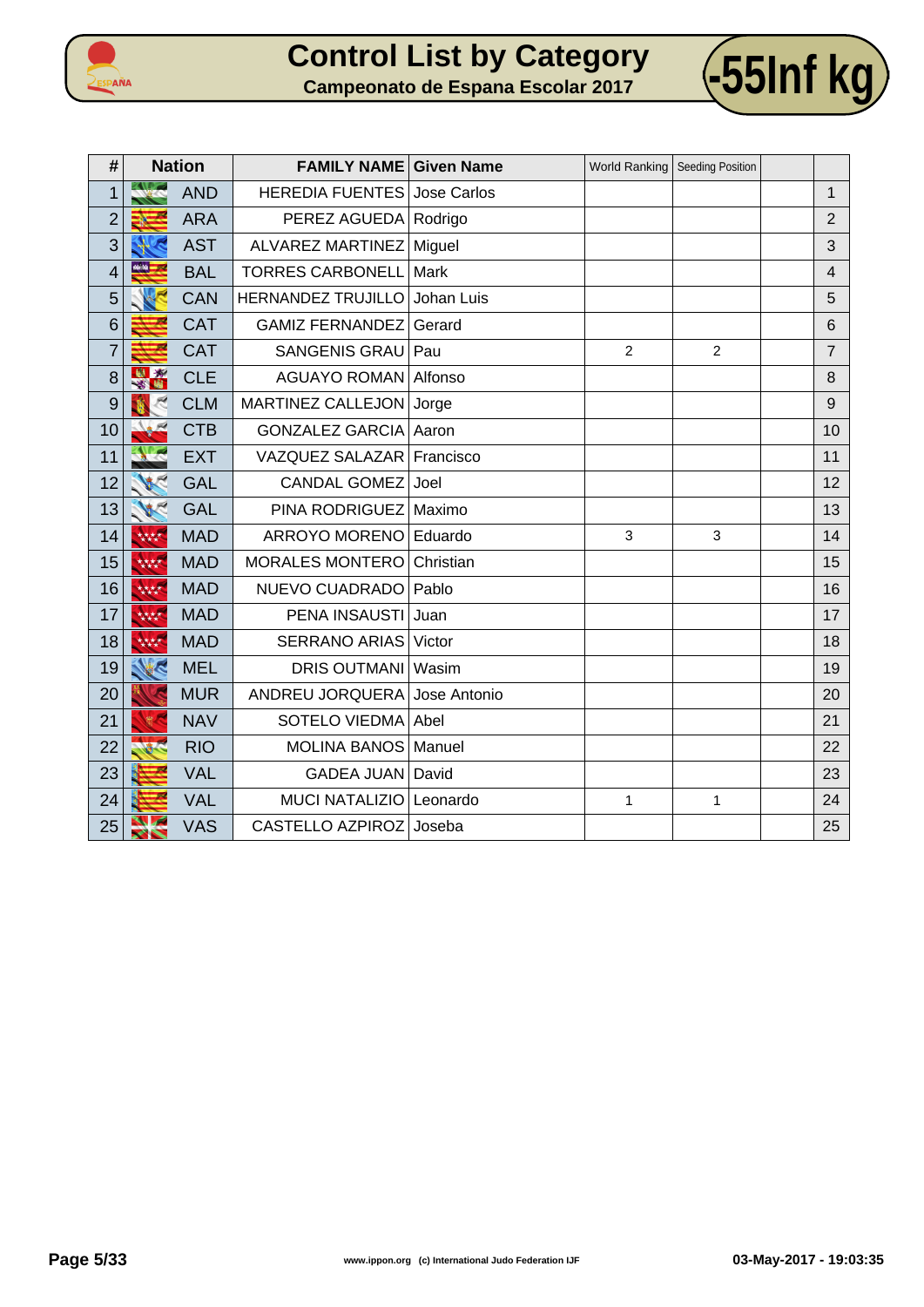



| #              |           | <b>Nation</b> | <b>FAMILY NAME Given Name</b> |              |                | World Ranking Seeding Position |                |
|----------------|-----------|---------------|-------------------------------|--------------|----------------|--------------------------------|----------------|
| 1              |           | <b>AND</b>    | <b>HEREDIA FUENTES</b>        | Jose Carlos  |                |                                | 1              |
| $\overline{2}$ |           | <b>ARA</b>    | PEREZ AGUEDA Rodrigo          |              |                |                                | $\overline{2}$ |
| 3              |           | <b>AST</b>    | ALVAREZ MARTINEZ              | Miguel       |                |                                | 3              |
| 4              | Mille and | <b>BAL</b>    | <b>TORRES CARBONELL</b>       | Mark         |                |                                | $\overline{4}$ |
| 5              |           | <b>CAN</b>    | HERNANDEZ TRUJILLO            | Johan Luis   |                |                                | 5              |
| 6              |           | <b>CAT</b>    | <b>GAMIZ FERNANDEZ</b>        | Gerard       |                |                                | $6\phantom{1}$ |
| $\overline{7}$ |           | <b>CAT</b>    | <b>SANGENIS GRAU</b>          | Pau          | $\overline{2}$ | $\overline{2}$                 | $\overline{7}$ |
| 8              | 出版        | <b>CLE</b>    | <b>AGUAYO ROMAN</b>           | Alfonso      |                |                                | 8              |
| 9              |           | <b>CLM</b>    | MARTINEZ CALLEJON             | Jorge        |                |                                | 9              |
| 10             |           | <b>CTB</b>    | <b>GONZALEZ GARCIA</b>        | Aaron        |                |                                | 10             |
| 11             |           | <b>EXT</b>    | VAZQUEZ SALAZAR               | Francisco    |                |                                | 11             |
| 12             |           | <b>GAL</b>    | <b>CANDAL GOMEZ</b>           | Joel         |                |                                | 12             |
| 13             |           | <b>GAL</b>    | PINA RODRIGUEZ                | Maximo       |                |                                | 13             |
| 14             | 林林        | <b>MAD</b>    | ARROYO MORENO                 | Eduardo      | $\overline{3}$ | 3                              | 14             |
| 15             | 林林        | <b>MAD</b>    | <b>MORALES MONTERO</b>        | Christian    |                |                                | 15             |
| 16             | 大大大大      | <b>MAD</b>    | NUEVO CUADRADO                | Pablo        |                |                                | 16             |
| 17             | 林林        | <b>MAD</b>    | PENA INSAUSTI                 | Juan         |                |                                | 17             |
| 18             | 林林        | <b>MAD</b>    | SERRANO ARIAS                 | Victor       |                |                                | 18             |
| 19             | K         | <b>MEL</b>    | <b>DRIS OUTMANI</b>           | Wasim        |                |                                | 19             |
| 20             |           | <b>MUR</b>    | ANDREU JORQUERA               | Jose Antonio |                |                                | 20             |
| 21             |           | <b>NAV</b>    | <b>SOTELO VIEDMA</b>          | Abel         |                |                                | 21             |
| 22             |           | <b>RIO</b>    | <b>MOLINA BANOS</b>           | Manuel       |                |                                | 22             |
| 23             |           | <b>VAL</b>    | GADEA JUAN   David            |              |                |                                | 23             |
| 24             |           | <b>VAL</b>    | <b>MUCI NATALIZIO</b>         | Leonardo     | $\mathbf{1}$   | 1                              | 24             |
| 25             | ╱╲        | <b>VAS</b>    | <b>CASTELLO AZPIROZ</b>       | Joseba       |                |                                | 25             |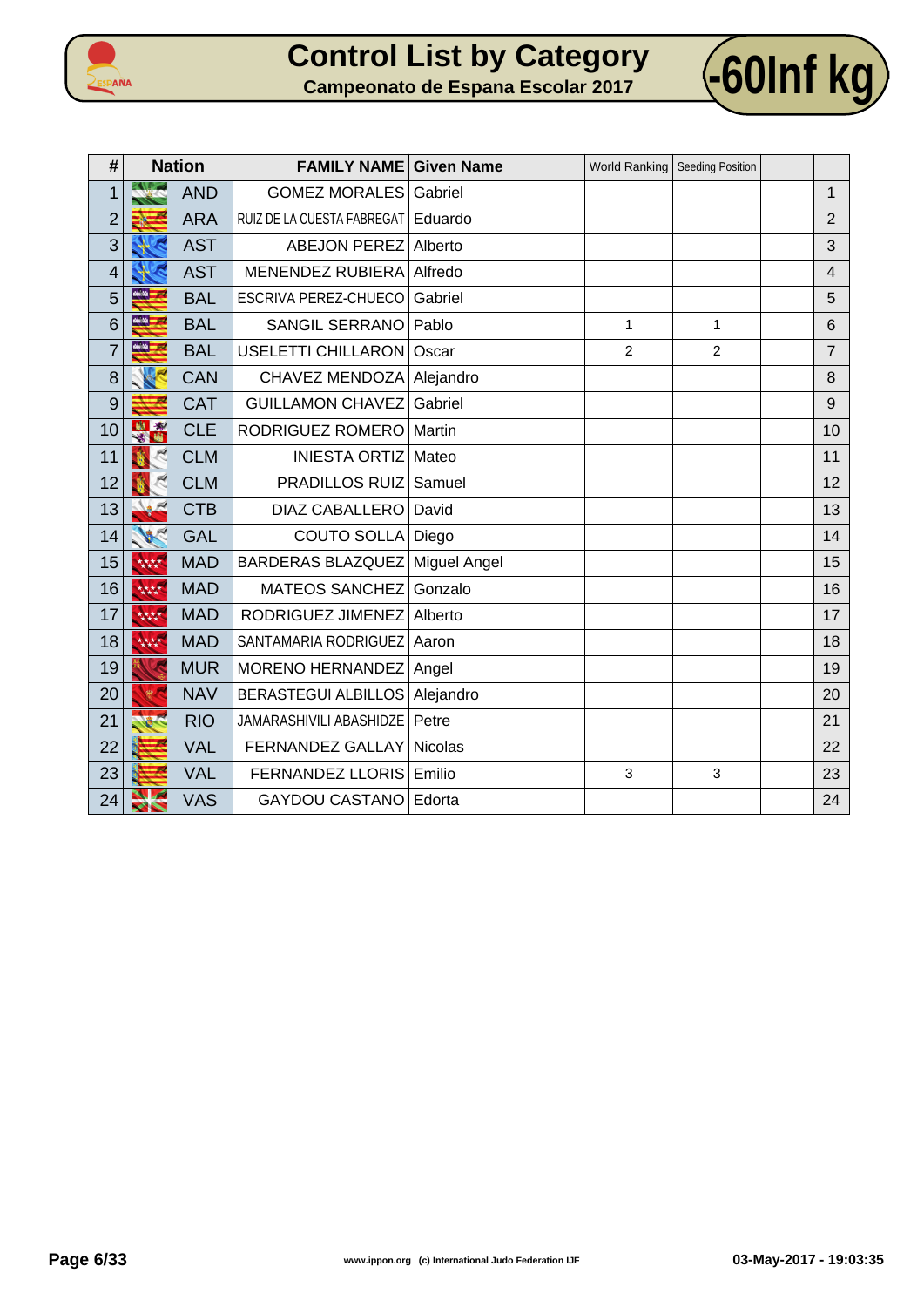



| #              |                       | <b>Nation</b> | <b>FAMILY NAME Given Name</b> |                     | <b>World Ranking</b> | <b>Seeding Position</b> |                |
|----------------|-----------------------|---------------|-------------------------------|---------------------|----------------------|-------------------------|----------------|
| $\overline{1}$ |                       | <b>AND</b>    | <b>GOMEZ MORALES</b>          | Gabriel             |                      |                         | $\mathbf{1}$   |
| $\overline{2}$ |                       | <b>ARA</b>    | RUIZ DE LA CUESTA FABREGAT    | Eduardo             |                      |                         | $\overline{2}$ |
| 3              |                       | <b>AST</b>    | <b>ABEJON PEREZ</b>           | Alberto             |                      |                         | 3              |
| 4              |                       | <b>AST</b>    | <b>MENENDEZ RUBIERA</b>       | Alfredo             |                      |                         | 4              |
| 5              | 44.44                 | <b>BAL</b>    | ESCRIVA PEREZ-CHUECO          | Gabriel             |                      |                         | 5              |
| 6              | 66.50                 | <b>BAL</b>    | <b>SANGIL SERRANO</b>         | Pablo               | $\mathbf{1}$         | $\mathbf{1}$            | 6              |
| $\overline{7}$ | 66.56 <b>.</b>        | <b>BAL</b>    | <b>USELETTI CHILLARON</b>     | Oscar               | $\overline{2}$       | $\overline{c}$          | $\overline{7}$ |
| 8              |                       | <b>CAN</b>    | <b>CHAVEZ MENDOZA</b>         | Alejandro           |                      |                         | 8              |
| 9              |                       | <b>CAT</b>    | <b>GUILLAMON CHAVEZ</b>       | Gabriel             |                      |                         | 9              |
| 10             |                       | <b>CLE</b>    | RODRIGUEZ ROMERO              | Martin              |                      |                         | 10             |
| 11             |                       | <b>CLM</b>    | <b>INIESTA ORTIZ</b>          | Mateo               |                      |                         | 11             |
| 12             |                       | <b>CLM</b>    | <b>PRADILLOS RUIZ</b>         | Samuel              |                      |                         | 12             |
| 13             |                       | <b>CTB</b>    | <b>DIAZ CABALLERO</b>         | David               |                      |                         | 13             |
| 14             |                       | <b>GAL</b>    | <b>COUTO SOLLA</b>            | Diego               |                      |                         | 14             |
| 15             | 大大大大                  | <b>MAD</b>    | <b>BARDERAS BLAZQUEZ</b>      | <b>Miguel Angel</b> |                      |                         | 15             |
| 16             | 林林                    | <b>MAD</b>    | <b>MATEOS SANCHEZ</b>         | Gonzalo             |                      |                         | 16             |
| 17             | 林林                    | <b>MAD</b>    | RODRIGUEZ JIMENEZ             | Alberto             |                      |                         | 17             |
| 18             | 林林                    | <b>MAD</b>    | SANTAMARIA RODRIGUEZ          | Aaron               |                      |                         | 18             |
| 19             |                       | <b>MUR</b>    | MORENO HERNANDEZ              | Angel               |                      |                         | 19             |
| 20             |                       | <b>NAV</b>    | <b>BERASTEGUI ALBILLOS</b>    | Alejandro           |                      |                         | 20             |
| 21             |                       | <b>RIO</b>    | JAMARASHIVILI ABASHIDZE       | Petre               |                      |                         | 21             |
| 22             |                       | <b>VAL</b>    | FERNANDEZ GALLAY              | Nicolas             |                      |                         | 22             |
| 23             |                       | <b>VAL</b>    | <b>FERNANDEZ LLORIS</b>       | Emilio              | 3                    | 3                       | 23             |
| 24             | $\blacktriangleright$ | <b>VAS</b>    | <b>GAYDOU CASTANO</b>         | Edorta              |                      |                         | 24             |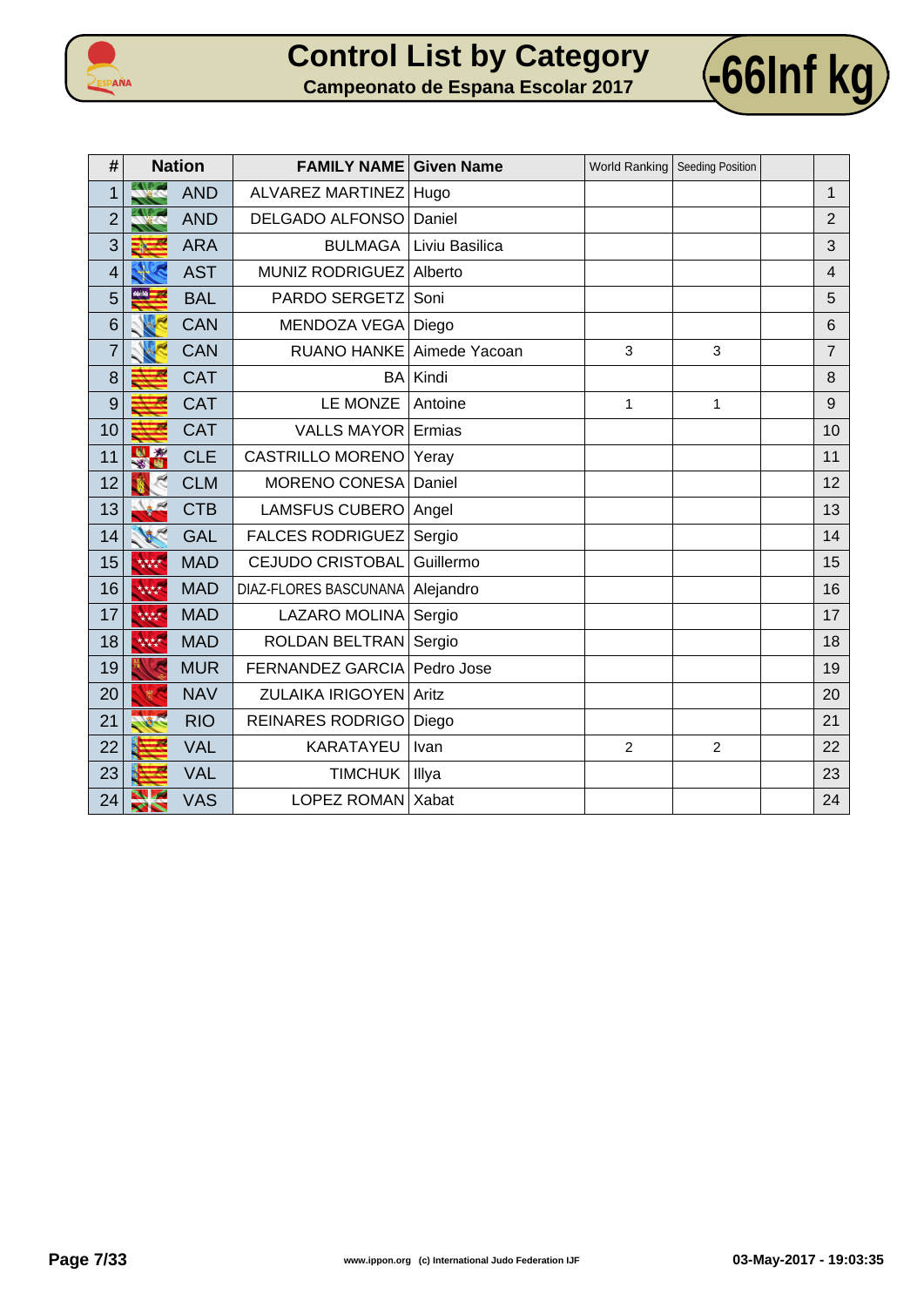



| #              |                       | <b>Nation</b> | <b>FAMILY NAME</b>      | <b>Given Name</b> | World Ranking   Seeding Position |                |                |
|----------------|-----------------------|---------------|-------------------------|-------------------|----------------------------------|----------------|----------------|
| 1              |                       | <b>AND</b>    | <b>ALVAREZ MARTINEZ</b> | Hugo              |                                  |                | $\mathbf{1}$   |
| $\overline{2}$ |                       | <b>AND</b>    | DELGADO ALFONSO         | Daniel            |                                  |                | $\overline{2}$ |
| 3              |                       | <b>ARA</b>    | <b>BULMAGA</b>          | Liviu Basilica    |                                  |                | 3              |
| $\overline{4}$ |                       | <b>AST</b>    | <b>MUNIZ RODRIGUEZ</b>  | Alberto           |                                  |                | $\overline{4}$ |
| 5              |                       | <b>BAL</b>    | PARDO SERGETZ           | Soni              |                                  |                | 5              |
| 6              |                       | <b>CAN</b>    | MENDOZA VEGA   Diego    |                   |                                  |                | 6              |
| $\overline{7}$ |                       | <b>CAN</b>    | <b>RUANO HANKE</b>      | Aimede Yacoan     | 3                                | 3              | $\overline{7}$ |
| 8              |                       | <b>CAT</b>    | BA                      | Kindi             |                                  |                | 8              |
| 9              |                       | <b>CAT</b>    | LE MONZE                | Antoine           | $\mathbf{1}$                     | 1              | 9              |
| 10             |                       | <b>CAT</b>    | <b>VALLS MAYOR</b>      | Ermias            |                                  |                | 10             |
| 11             | 3<br>囓                | <b>CLE</b>    | <b>CASTRILLO MORENO</b> | Yeray             |                                  |                | 11             |
| 12             |                       | <b>CLM</b>    | MORENO CONESA           | Daniel            |                                  |                | 12             |
| 13             |                       | <b>CTB</b>    | <b>LAMSFUS CUBERO</b>   | Angel             |                                  |                | 13             |
| 14             |                       | <b>GAL</b>    | <b>FALCES RODRIGUEZ</b> | Sergio            |                                  |                | 14             |
| 15             | 林林                    | <b>MAD</b>    | <b>CEJUDO CRISTOBAL</b> | Guillermo         |                                  |                | 15             |
| 16             | 林林                    | <b>MAD</b>    | DIAZ-FLORES BASCUNANA   | Alejandro         |                                  |                | 16             |
| 17             | 林林                    | <b>MAD</b>    | LAZARO MOLINA           | Sergio            |                                  |                | 17             |
| 18             | 林林                    | <b>MAD</b>    | ROLDAN BELTRAN Sergio   |                   |                                  |                | 18             |
| 19             |                       | <b>MUR</b>    | <b>FERNANDEZ GARCIA</b> | Pedro Jose        |                                  |                | 19             |
| 20             |                       | <b>NAV</b>    | ZULAIKA IRIGOYEN Aritz  |                   |                                  |                | 20             |
| 21             |                       | <b>RIO</b>    | <b>REINARES RODRIGO</b> | Diego             |                                  |                | 21             |
| 22             |                       | <b>VAL</b>    | KARATAYEU               | Ivan              | $\overline{2}$                   | $\overline{2}$ | 22             |
| 23             |                       | <b>VAL</b>    | <b>TIMCHUK</b>          | Illya             |                                  |                | 23             |
| 24             | $\blacktriangleright$ | <b>VAS</b>    | LOPEZ ROMAN             | Xabat             |                                  |                | 24             |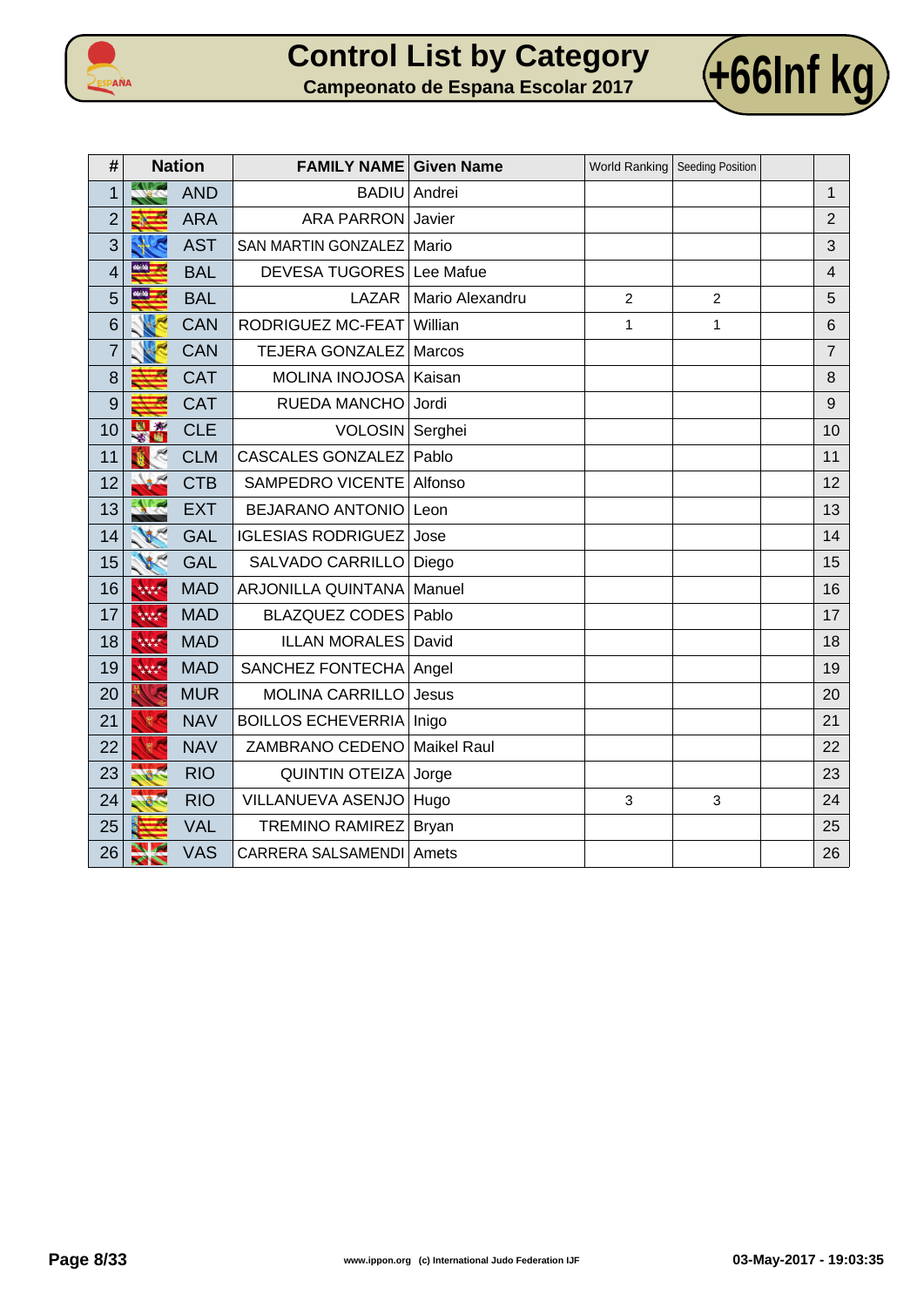



| #              |                            | <b>Nation</b> | <b>FAMILY NAME Given Name</b> |                    | <b>World Ranking</b> | Seeding Position |                |
|----------------|----------------------------|---------------|-------------------------------|--------------------|----------------------|------------------|----------------|
| $\mathbf 1$    | <b>ALC</b>                 | <b>AND</b>    | <b>BADIU</b>                  | Andrei             |                      |                  | $\mathbf{1}$   |
| $\overline{2}$ |                            | <b>ARA</b>    | <b>ARA PARRON</b>             | Javier             |                      |                  | $\overline{2}$ |
| 3              |                            | <b>AST</b>    | SAN MARTIN GONZALEZ           | Mario              |                      |                  | 3              |
| 4              | saisa <mark>.</mark>       | <b>BAL</b>    | <b>DEVESA TUGORES</b>         | Lee Mafue          |                      |                  | $\overline{4}$ |
| 5              | 66.66                      | <b>BAL</b>    | LAZAR                         | Mario Alexandru    | $\overline{c}$       | $\overline{2}$   | 5              |
| 6              |                            | <b>CAN</b>    | RODRIGUEZ MC-FEAT             | Willian            | $\mathbf{1}$         | 1                | $6\phantom{1}$ |
| $\overline{7}$ |                            | <b>CAN</b>    | <b>TEJERA GONZALEZ</b>        | <b>Marcos</b>      |                      |                  | $\overline{7}$ |
| 8              |                            | <b>CAT</b>    | <b>MOLINA INOJOSA</b>         | Kaisan             |                      |                  | 8              |
| 9              |                            | CAT           | RUEDA MANCHO                  | Jordi              |                      |                  | $9$            |
| 10             | 樹物<br>客間                   | <b>CLE</b>    | VOLOSIN Serghei               |                    |                      |                  | 10             |
| 11             |                            | <b>CLM</b>    | <b>CASCALES GONZALEZ</b>      | Pablo              |                      |                  | 11             |
| 12             |                            | <b>CTB</b>    | <b>SAMPEDRO VICENTE</b>       | Alfonso            |                      |                  | 12             |
| 13             |                            | <b>EXT</b>    | <b>BEJARANO ANTONIO</b>       | Leon               |                      |                  | 13             |
| 14             |                            | <b>GAL</b>    | <b>IGLESIAS RODRIGUEZ</b>     | Jose               |                      |                  | 14             |
| 15             |                            | <b>GAL</b>    | SALVADO CARRILLO              | Diego              |                      |                  | 15             |
| 16             | 林林                         | <b>MAD</b>    | ARJONILLA QUINTANA            | Manuel             |                      |                  | 16             |
| 17             | 大大大大                       | <b>MAD</b>    | <b>BLAZQUEZ CODES</b>         | Pablo              |                      |                  | 17             |
| 18             | 林林                         | <b>MAD</b>    | <b>ILLAN MORALES</b>          | David              |                      |                  | 18             |
| 19             | 大大大大                       | <b>MAD</b>    | SANCHEZ FONTECHA              | Angel              |                      |                  | 19             |
| 20             |                            | <b>MUR</b>    | <b>MOLINA CARRILLO</b>        | Jesus              |                      |                  | 20             |
| 21             |                            | <b>NAV</b>    | <b>BOILLOS ECHEVERRIA</b>     | Inigo              |                      |                  | 21             |
| 22             |                            | <b>NAV</b>    | ZAMBRANO CEDENO               | <b>Maikel Raul</b> |                      |                  | 22             |
| 23             |                            | <b>RIO</b>    | <b>QUINTIN OTEIZA</b>         | Jorge              |                      |                  | 23             |
| 24             |                            | <b>RIO</b>    | VILLANUEVA ASENJO             | Hugo               | 3                    | 3                | 24             |
| 25             |                            | <b>VAL</b>    | <b>TREMINO RAMIREZ</b>        | Bryan              |                      |                  | 25             |
| 26             | W<br>$\blacktriangleright$ | <b>VAS</b>    | CARRERA SALSAMENDI            | Amets              |                      |                  | 26             |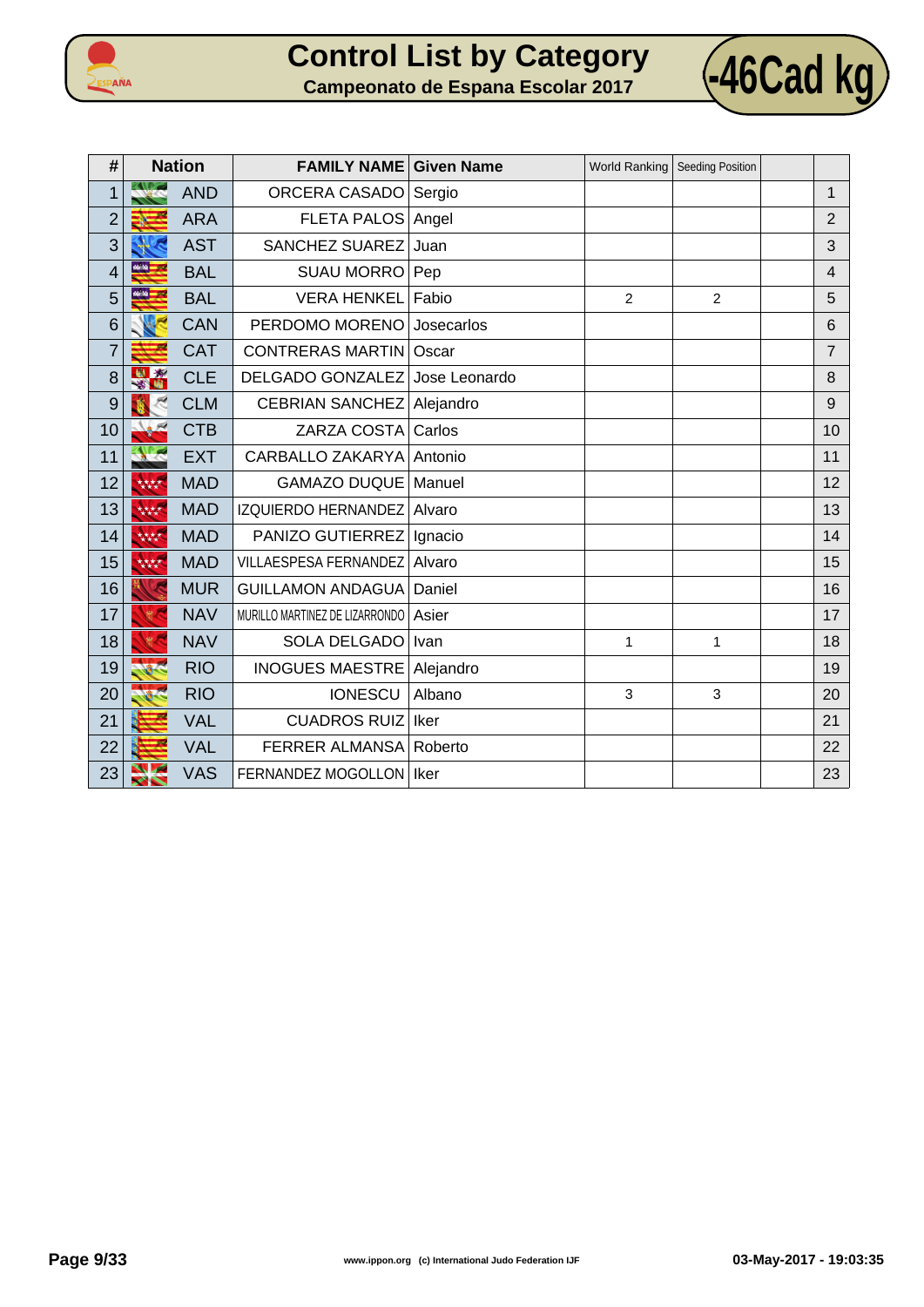



| #              |              | <b>Nation</b> | <b>FAMILY NAME Given Name</b>  |               |                | World Ranking   Seeding Position |                 |
|----------------|--------------|---------------|--------------------------------|---------------|----------------|----------------------------------|-----------------|
| 1              |              | <b>AND</b>    | <b>ORCERA CASADO</b>           | Sergio        |                |                                  | $\mathbf{1}$    |
| $\overline{c}$ |              | <b>ARA</b>    | FLETA PALOS Angel              |               |                |                                  | $\overline{2}$  |
| 3              |              | <b>AST</b>    | <b>SANCHEZ SUAREZ</b>          | Juan          |                |                                  | 3               |
| 4              | 66.54        | <b>BAL</b>    | <b>SUAU MORRO</b>              | Pep           |                |                                  | $\overline{4}$  |
| 5              | $46.56 - 10$ | <b>BAL</b>    | <b>VERA HENKEL</b>             | Fabio         | $\overline{2}$ | $\overline{2}$                   | 5               |
| 6              |              | <b>CAN</b>    | PERDOMO MORENO                 | Josecarlos    |                |                                  | $6\phantom{1}6$ |
| $\overline{7}$ |              | CAT           | <b>CONTRERAS MARTIN</b>        | Oscar         |                |                                  | $\overline{7}$  |
| 8              | $\mathbf{x}$ | <b>CLE</b>    | DELGADO GONZALEZ               | Jose Leonardo |                |                                  | 8               |
| 9              |              | <b>CLM</b>    | <b>CEBRIAN SANCHEZ</b>         | Alejandro     |                |                                  | 9               |
| 10             |              | <b>CTB</b>    | ZARZA COSTA                    | Carlos        |                |                                  | 10              |
| 11             |              | <b>EXT</b>    | CARBALLO ZAKARYA               | Antonio       |                |                                  | 11              |
| 12             | 林林           | <b>MAD</b>    | <b>GAMAZO DUQUE</b>            | Manuel        |                |                                  | 12              |
| 13             | 林林           | <b>MAD</b>    | <b>IZQUIERDO HERNANDEZ</b>     | Alvaro        |                |                                  | 13              |
| 14             | 林林           | <b>MAD</b>    | PANIZO GUTIERREZ               | Ignacio       |                |                                  | 14              |
| 15             | 林林           | <b>MAD</b>    | <b>VILLAESPESA FERNANDEZ</b>   | Alvaro        |                |                                  | 15              |
| 16             |              | <b>MUR</b>    | <b>GUILLAMON ANDAGUA</b>       | Daniel        |                |                                  | 16              |
| 17             |              | <b>NAV</b>    | MURILLO MARTINEZ DE LIZARRONDO | Asier         |                |                                  | 17              |
| 18             |              | <b>NAV</b>    | SOLA DELGADO                   | Ivan          | 1              | 1                                | 18              |
| 19             |              | <b>RIO</b>    | <b>INOGUES MAESTRE</b>         | Alejandro     |                |                                  | 19              |
| 20             |              | <b>RIO</b>    | <b>IONESCU</b>                 | Albano        | 3              | 3                                | 20              |
| 21             |              | <b>VAL</b>    | <b>CUADROS RUIZ</b>            | Iker          |                |                                  | 21              |
| 22             |              | <b>VAL</b>    | <b>FERRER ALMANSA</b>          | Roberto       |                |                                  | 22              |
| 23             |              | <b>VAS</b>    | FERNANDEZ MOGOLLON   Iker      |               |                |                                  | 23              |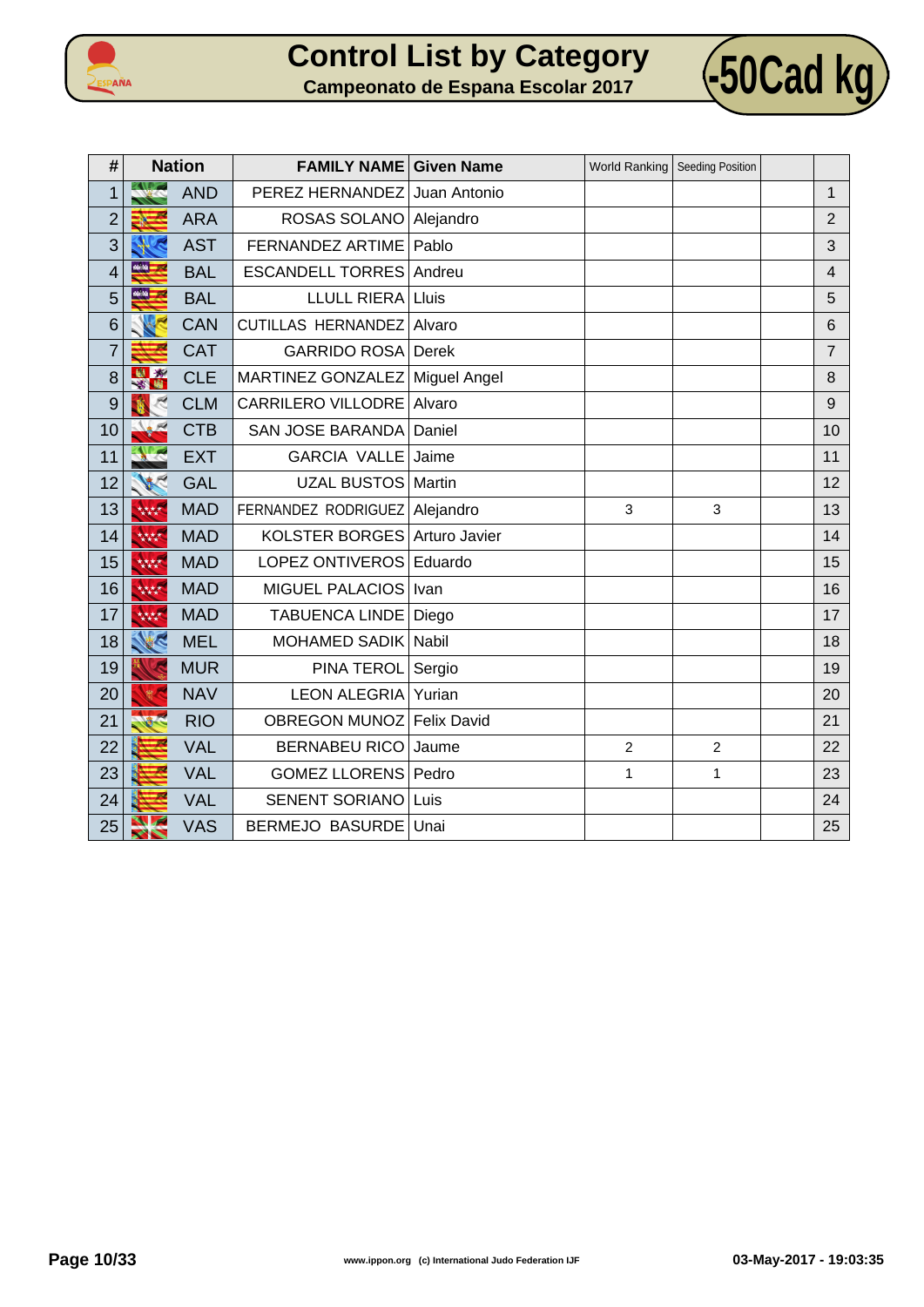



| #              |                | <b>Nation</b> | <b>FAMILY NAME Given Name</b> |                     |                | World Ranking   Seeding Position |                |
|----------------|----------------|---------------|-------------------------------|---------------------|----------------|----------------------------------|----------------|
| 1              |                | <b>AND</b>    | PEREZ HERNANDEZ               | Juan Antonio        |                |                                  | 1              |
| $\overline{2}$ |                | <b>ARA</b>    | ROSAS SOLANO                  | Alejandro           |                |                                  | $\overline{2}$ |
| 3              |                | <b>AST</b>    | FERNANDEZ ARTIME              | Pablo               |                |                                  | 3              |
| 4              | 66.50 <b>.</b> | <b>BAL</b>    | <b>ESCANDELL TORRES</b>       | Andreu              |                |                                  | $\overline{4}$ |
| 5              | $46.56 - 56$   | <b>BAL</b>    | <b>LLULL RIERA</b>            | Lluis               |                |                                  | 5              |
| 6              |                | <b>CAN</b>    | <b>CUTILLAS HERNANDEZ</b>     | Alvaro              |                |                                  | 6              |
| $\overline{7}$ |                | <b>CAT</b>    | <b>GARRIDO ROSA</b>           | Derek               |                |                                  | $\overline{7}$ |
| 8              | $\mathbf{x}$   | <b>CLE</b>    | MARTINEZ GONZALEZ             | <b>Miguel Angel</b> |                |                                  | 8              |
| 9              |                | <b>CLM</b>    | CARRILERO VILLODRE            | Alvaro              |                |                                  | 9              |
| 10             |                | <b>CTB</b>    | <b>SAN JOSE BARANDA</b>       | Daniel              |                |                                  | 10             |
| 11             |                | <b>EXT</b>    | <b>GARCIA VALLE</b>           | Jaime               |                |                                  | 11             |
| 12             |                | <b>GAL</b>    | <b>UZAL BUSTOS</b>            | Martin              |                |                                  | 12             |
| 13             | 大大大大           | <b>MAD</b>    | FERNANDEZ RODRIGUEZ           | Alejandro           | 3              | 3                                | 13             |
| 14             | 林林             | <b>MAD</b>    | <b>KOLSTER BORGES</b>         | Arturo Javier       |                |                                  | 14             |
| 15             | 林林             | <b>MAD</b>    | <b>LOPEZ ONTIVEROS</b>        | Eduardo             |                |                                  | 15             |
| 16             | 林林             | <b>MAD</b>    | <b>MIGUEL PALACIOS</b>        | Ivan                |                |                                  | 16             |
| 17             | 林林             | <b>MAD</b>    | <b>TABUENCA LINDE</b>         | Diego               |                |                                  | 17             |
| 18             | K              | <b>MEL</b>    | <b>MOHAMED SADIK</b>          | Nabil               |                |                                  | 18             |
| 19             |                | <b>MUR</b>    | PINA TEROL                    | Sergio              |                |                                  | 19             |
| 20             |                | <b>NAV</b>    | <b>LEON ALEGRIA</b>           | Yurian              |                |                                  | 20             |
| 21             |                | <b>RIO</b>    | <b>OBREGON MUNOZ</b>          | <b>Felix David</b>  |                |                                  | 21             |
| 22             |                | <b>VAL</b>    | <b>BERNABEU RICO</b>          | Jaume               | $\overline{2}$ | $\overline{2}$                   | 22             |
| 23             |                | <b>VAL</b>    | <b>GOMEZ LLORENS</b>          | Pedro               | $\mathbf{1}$   | 1                                | 23             |
| 24             |                | <b>VAL</b>    | <b>SENENT SORIANO</b>         | Luis                |                |                                  | 24             |
| 25             | $\sim$         | <b>VAS</b>    | <b>BERMEJO BASURDE</b>        | Unai                |                |                                  | 25             |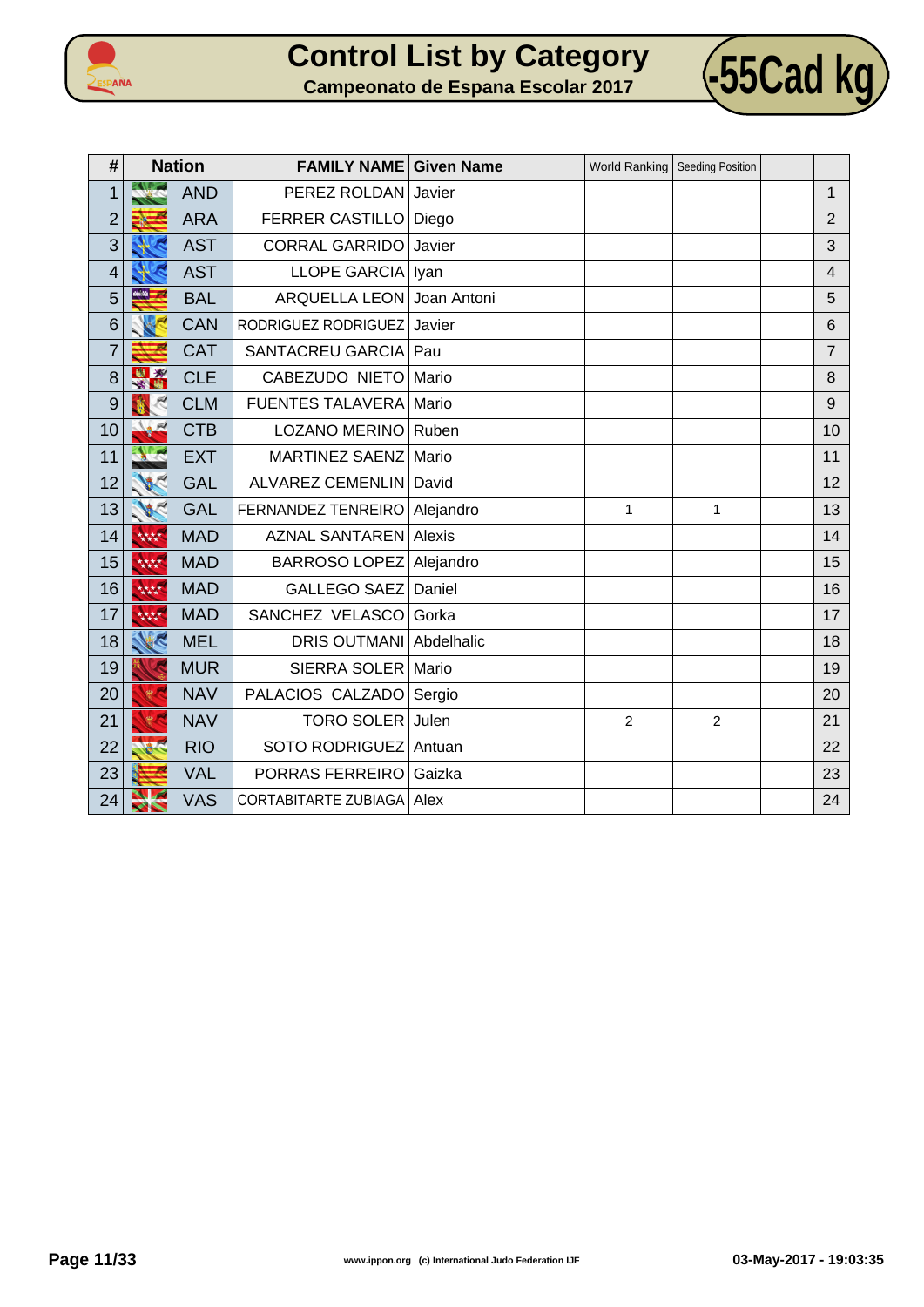



| #              |                     | <b>Nation</b> | <b>FAMILY NAME Given Name</b> |             |                | World Ranking   Seeding Position |                |
|----------------|---------------------|---------------|-------------------------------|-------------|----------------|----------------------------------|----------------|
| 1              |                     | <b>AND</b>    | PEREZ ROLDAN                  | Javier      |                |                                  | 1              |
| $\overline{2}$ |                     | <b>ARA</b>    | <b>FERRER CASTILLO</b>        | Diego       |                |                                  | $\overline{2}$ |
| 3              |                     | <b>AST</b>    | <b>CORRAL GARRIDO</b>         | Javier      |                |                                  | 3              |
| 4              |                     | <b>AST</b>    | <b>LLOPE GARCIA</b>           | Iyan        |                |                                  | $\overline{4}$ |
| 5              | eese <mark>i</mark> | <b>BAL</b>    | <b>ARQUELLA LEON</b>          | Joan Antoni |                |                                  | 5              |
| 6              |                     | <b>CAN</b>    | RODRIGUEZ RODRIGUEZ           | Javier      |                |                                  | 6              |
| $\overline{7}$ |                     | <b>CAT</b>    | SANTACREU GARCIA              | Pau         |                |                                  | $\overline{7}$ |
| 8              |                     | <b>CLE</b>    | CABEZUDO NIETO                | Mario       |                |                                  | 8              |
| 9              |                     | <b>CLM</b>    | <b>FUENTES TALAVERA</b>       | Mario       |                |                                  | 9              |
| 10             |                     | <b>CTB</b>    | <b>LOZANO MERINO</b>          | Ruben       |                |                                  | 10             |
| 11             |                     | <b>EXT</b>    | <b>MARTINEZ SAENZ</b>         | Mario       |                |                                  | 11             |
| 12             |                     | <b>GAL</b>    | ALVAREZ CEMENLIN   David      |             |                |                                  | 12             |
| 13             |                     | <b>GAL</b>    | FERNANDEZ TENREIRO            | Alejandro   | $\mathbf{1}$   | $\mathbf{1}$                     | 13             |
| 14             | 大大大大                | <b>MAD</b>    | <b>AZNAL SANTAREN Alexis</b>  |             |                |                                  | 14             |
| 15             | 大大大大                | <b>MAD</b>    | <b>BARROSO LOPEZ</b>          | Alejandro   |                |                                  | 15             |
| 16             | 大大大大                | <b>MAD</b>    | GALLEGO SAEZ                  | Daniel      |                |                                  | 16             |
| 17             | 核核                  | <b>MAD</b>    | SANCHEZ VELASCO               | Gorka       |                |                                  | 17             |
| 18             |                     | <b>MEL</b>    | DRIS OUTMANI Abdelhalic       |             |                |                                  | 18             |
| 19             |                     | <b>MUR</b>    | SIERRA SOLER                  | Mario       |                |                                  | 19             |
| 20             |                     | <b>NAV</b>    | PALACIOS CALZADO Sergio       |             |                |                                  | 20             |
| 21             |                     | <b>NAV</b>    | <b>TORO SOLER</b>             | Julen       | $\overline{2}$ | $\overline{2}$                   | 21             |
| 22             |                     | <b>RIO</b>    | SOTO RODRIGUEZ Antuan         |             |                |                                  | 22             |
| 23             |                     | <b>VAL</b>    | PORRAS FERREIRO               | Gaizka      |                |                                  | 23             |
| 24             |                     | <b>VAS</b>    | CORTABITARTE ZUBIAGA   Alex   |             |                |                                  | 24             |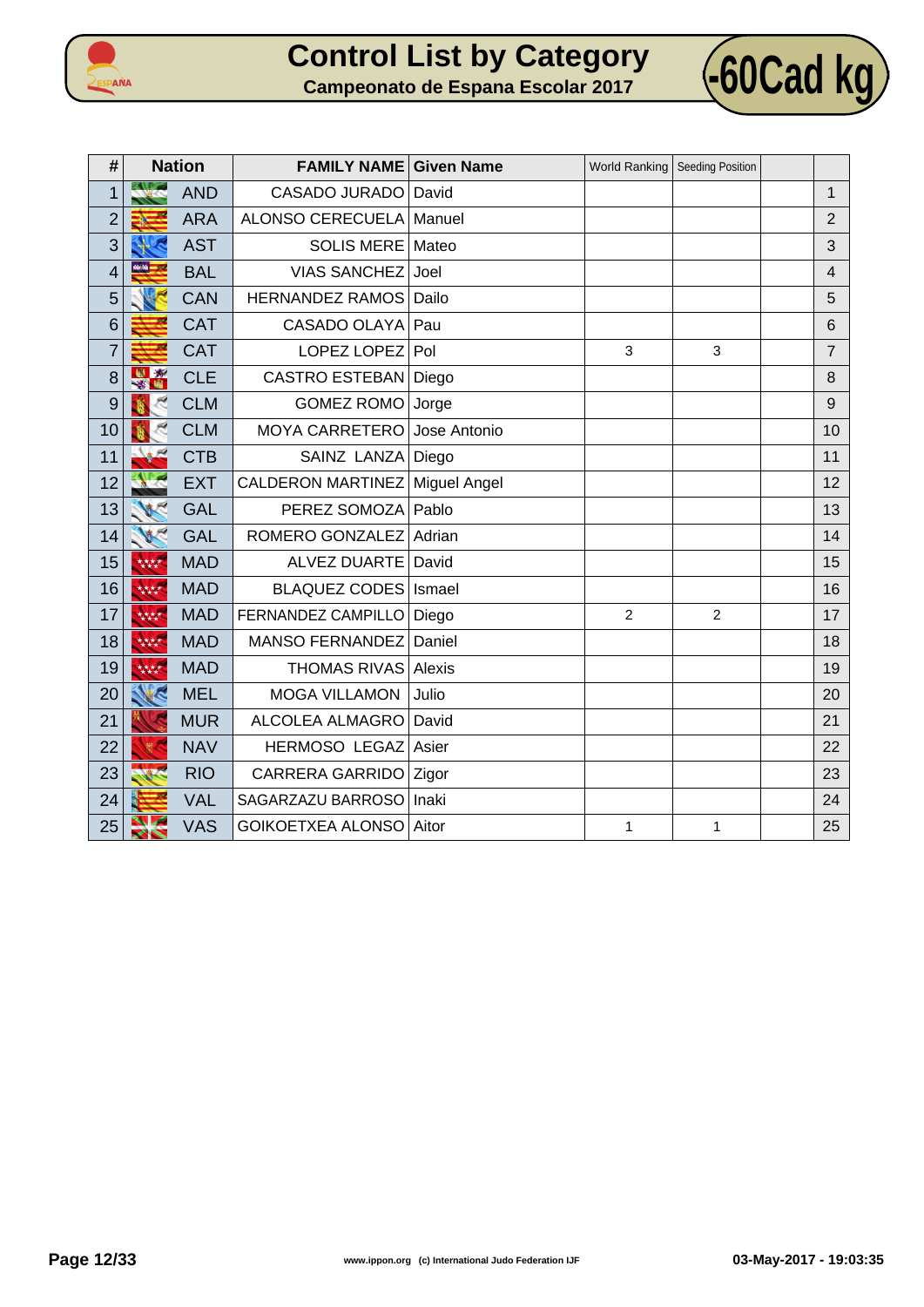



| #              |                   | <b>Nation</b> | <b>FAMILY NAME Given Name</b> |              | <b>World Ranking</b> | Seeding Position |                |
|----------------|-------------------|---------------|-------------------------------|--------------|----------------------|------------------|----------------|
| 1              |                   | <b>AND</b>    | <b>CASADO JURADO</b>          | David        |                      |                  | $\mathbf{1}$   |
| $\overline{2}$ |                   | <b>ARA</b>    | ALONSO CERECUELA              | Manuel       |                      |                  | $\overline{2}$ |
| 3              |                   | <b>AST</b>    | <b>SOLIS MERE</b>             | Mateo        |                      |                  | 3              |
| 4              | <b>MAG</b>        | <b>BAL</b>    | <b>VIAS SANCHEZ</b>           | Joel         |                      |                  | $\overline{4}$ |
| 5              |                   | <b>CAN</b>    | <b>HERNANDEZ RAMOS</b>        | Dailo        |                      |                  | 5              |
| 6              |                   | <b>CAT</b>    | CASADO OLAYA                  | Pau          |                      |                  | 6              |
| $\overline{7}$ |                   | <b>CAT</b>    | LOPEZ LOPEZ                   | Pol          | 3                    | 3                | $\overline{7}$ |
| 8              | $\mathbf{x}$<br>出 | <b>CLE</b>    | <b>CASTRO ESTEBAN</b>         | Diego        |                      |                  | 8              |
| 9              |                   | <b>CLM</b>    | <b>GOMEZ ROMO</b>             | Jorge        |                      |                  | 9              |
| 10             |                   | <b>CLM</b>    | <b>MOYA CARRETERO</b>         | Jose Antonio |                      |                  | 10             |
| 11             |                   | <b>CTB</b>    | SAINZ LANZA                   | Diego        |                      |                  | 11             |
| 12             |                   | <b>EXT</b>    | CALDERON MARTINEZ             | Miguel Angel |                      |                  | 12             |
| 13             |                   | <b>GAL</b>    | PEREZ SOMOZA                  | Pablo        |                      |                  | 13             |
| 14             |                   | <b>GAL</b>    | ROMERO GONZALEZ               | Adrian       |                      |                  | 14             |
| 15             | 林林                | <b>MAD</b>    | <b>ALVEZ DUARTE</b>           | David        |                      |                  | 15             |
| 16             | 大大大大              | <b>MAD</b>    | <b>BLAQUEZ CODES</b>          | Ismael       |                      |                  | 16             |
| 17             | 林林                | <b>MAD</b>    | FERNANDEZ CAMPILLO            | Diego        | 2                    | $\overline{2}$   | 17             |
| 18             | 大大大大              | <b>MAD</b>    | <b>MANSO FERNANDEZ</b>        | Daniel       |                      |                  | 18             |
| 19             | 大大大大              | <b>MAD</b>    | <b>THOMAS RIVAS</b>           | Alexis       |                      |                  | 19             |
| 20             | E                 | <b>MEL</b>    | <b>MOGA VILLAMON</b>          | Julio        |                      |                  | 20             |
| 21             |                   | <b>MUR</b>    | ALCOLEA ALMAGRO               | David        |                      |                  | 21             |
| 22             |                   | <b>NAV</b>    | <b>HERMOSO LEGAZ</b>          | Asier        |                      |                  | 22             |
| 23             |                   | <b>RIO</b>    | <b>CARRERA GARRIDO</b>        | Zigor        |                      |                  | 23             |
| 24             |                   | <b>VAL</b>    | SAGARZAZU BARROSO             | Inaki        |                      |                  | 24             |
| 25             | ╱┞╲               | <b>VAS</b>    | <b>GOIKOETXEA ALONSO</b>      | Aitor        | $\mathbf{1}$         | 1                | 25             |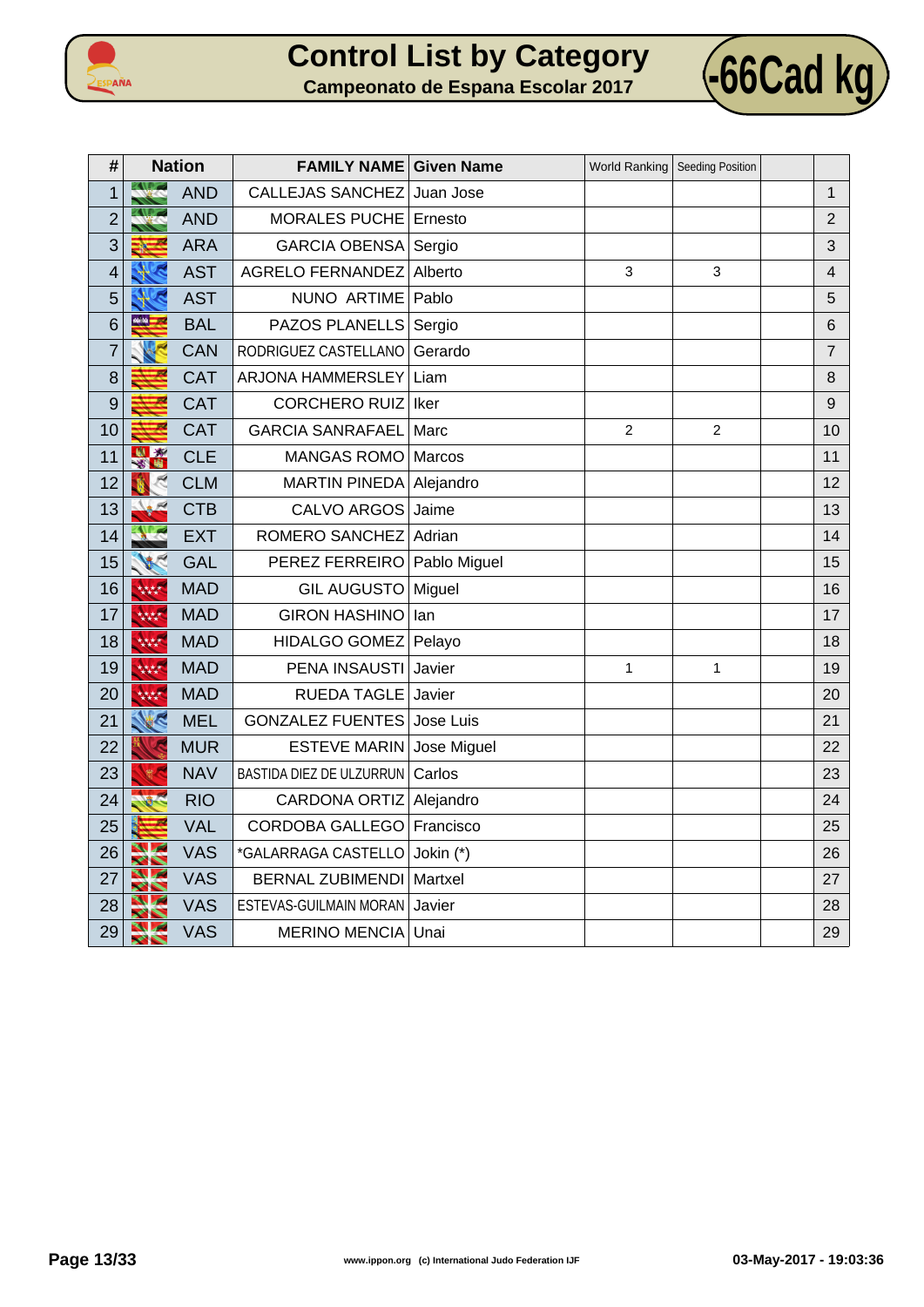



| #              | <b>Nation</b>    |            | <b>FAMILY NAME Given Name</b> |             | <b>World Ranking</b> | Seeding Position |                |
|----------------|------------------|------------|-------------------------------|-------------|----------------------|------------------|----------------|
| $\overline{1}$ |                  | <b>AND</b> | CALLEJAS SANCHEZ              | Juan Jose   |                      |                  | $\mathbf{1}$   |
| $\overline{2}$ |                  | <b>AND</b> | MORALES PUCHE                 | Ernesto     |                      |                  | $\overline{2}$ |
| 3              |                  | <b>ARA</b> | <b>GARCIA OBENSA</b>          | Sergio      |                      |                  | 3              |
| 4              |                  | <b>AST</b> | <b>AGRELO FERNANDEZ</b>       | Alberto     | 3                    | 3                | 4              |
| 5              |                  | <b>AST</b> | NUNO ARTIME                   | Pablo       |                      |                  | 5              |
| 6              | <u>m. m</u>      | <b>BAL</b> | PAZOS PLANELLS                | Sergio      |                      |                  | 6              |
| $\overline{7}$ |                  | <b>CAN</b> | RODRIGUEZ CASTELLANO          | Gerardo     |                      |                  | $\overline{7}$ |
| 8              |                  | <b>CAT</b> | ARJONA HAMMERSLEY             | Liam        |                      |                  | 8              |
| 9              |                  | CAT        | <b>CORCHERO RUIZ</b>          | Iker        |                      |                  | 9              |
| 10             |                  | <b>CAT</b> | <b>GARCIA SANRAFAEL</b>       | Marc        | $\overline{c}$       | 2                | 10             |
| 11             | ă                | <b>CLE</b> | <b>MANGAS ROMO</b>            | Marcos      |                      |                  | 11             |
| 12             |                  | <b>CLM</b> | MARTIN PINEDA Alejandro       |             |                      |                  | 12             |
| 13             |                  | <b>CTB</b> | CALVO ARGOS                   | Jaime       |                      |                  | 13             |
| 14             |                  | <b>EXT</b> | ROMERO SANCHEZ                | Adrian      |                      |                  | 14             |
| 15             |                  | <b>GAL</b> | PEREZ FERREIRO Pablo Miguel   |             |                      |                  | 15             |
| 16             | 林林               | <b>MAD</b> | GIL AUGUSTO   Miguel          |             |                      |                  | 16             |
| 17             | 林林               | <b>MAD</b> | <b>GIRON HASHINO</b>          | lan         |                      |                  | 17             |
| 18             | 林林               | <b>MAD</b> | <b>HIDALGO GOMEZ</b>          | Pelayo      |                      |                  | 18             |
| 19             | 林林               | <b>MAD</b> | PENA INSAUSTI                 | Javier      | $\mathbf{1}$         | 1                | 19             |
| 20             | 林林               | <b>MAD</b> | <b>RUEDA TAGLE</b>            | Javier      |                      |                  | 20             |
| 21             | K                | <b>MEL</b> | <b>GONZALEZ FUENTES</b>       | Jose Luis   |                      |                  | 21             |
| 22             |                  | <b>MUR</b> | <b>ESTEVE MARIN</b>           | Jose Miguel |                      |                  | 22             |
| 23             |                  | <b>NAV</b> | BASTIDA DIEZ DE ULZURRUN      | Carlos      |                      |                  | 23             |
| 24             |                  | <b>RIO</b> | CARDONA ORTIZ Alejandro       |             |                      |                  | 24             |
| 25             |                  | <b>VAL</b> | <b>CORDOBA GALLEGO</b>        | Francisco   |                      |                  | 25             |
| 26             | $\sim$<br>$\sim$ | VAS        | *GALARRAGA CASTELLO           | Jokin (*)   |                      |                  | 26             |
| 27             |                  | <b>VAS</b> | <b>BERNAL ZUBIMENDI</b>       | Martxel     |                      |                  | 27             |
| 28             |                  | <b>VAS</b> | ESTEVAS-GUILMAIN MORAN        | Javier      |                      |                  | 28             |
| 29             | <b>SPA</b>       | <b>VAS</b> | <b>MERINO MENCIA</b>          | Unai        |                      |                  | 29             |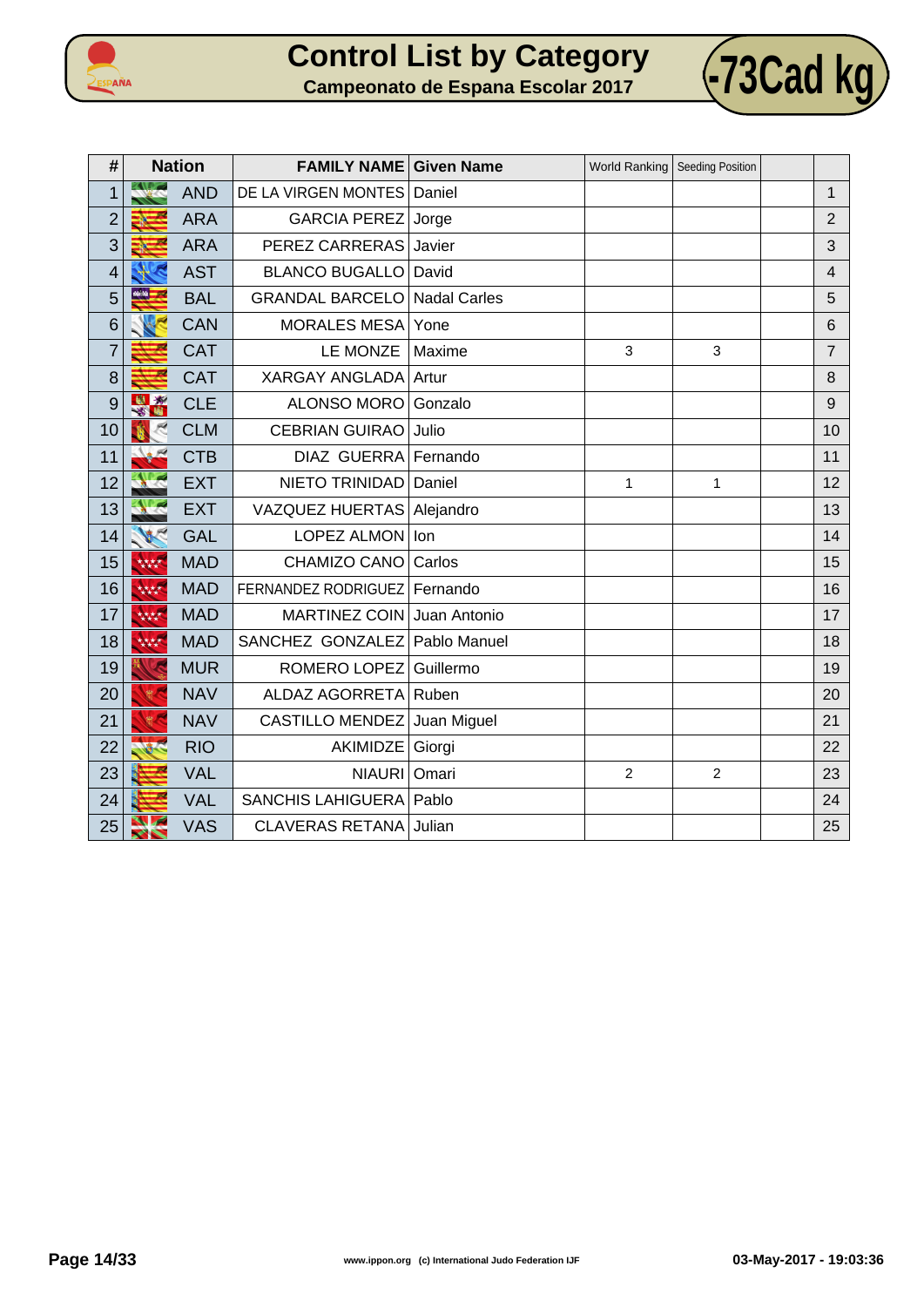



| #              | <b>Nation</b> |            | <b>FAMILY NAME Given Name</b> |                     | World Ranking   Seeding Position |                |                |
|----------------|---------------|------------|-------------------------------|---------------------|----------------------------------|----------------|----------------|
| 1              |               | <b>AND</b> | DE LA VIRGEN MONTES           | Daniel              |                                  |                | $\mathbf{1}$   |
| $\overline{2}$ |               | <b>ARA</b> | <b>GARCIA PEREZ</b>           | Jorge               |                                  |                | $\overline{2}$ |
| 3              |               | <b>ARA</b> | PEREZ CARRERAS                | Javier              |                                  |                | 3              |
| $\overline{4}$ |               | <b>AST</b> | <b>BLANCO BUGALLO</b>         | David               |                                  |                | $\overline{4}$ |
| 5              | 66.56         | <b>BAL</b> | <b>GRANDAL BARCELO</b>        | <b>Nadal Carles</b> |                                  |                | 5              |
| 6              |               | <b>CAN</b> | <b>MORALES MESA</b>           | Yone                |                                  |                | 6              |
| $\overline{7}$ |               | <b>CAT</b> | LE MONZE                      | Maxime              | 3                                | 3              | $\overline{7}$ |
| 8              |               | <b>CAT</b> | <b>XARGAY ANGLADA</b>         | Artur               |                                  |                | 8              |
| 9              | -57<br>蠸      | <b>CLE</b> | ALONSO MORO                   | Gonzalo             |                                  |                | 9              |
| 10             |               | <b>CLM</b> | <b>CEBRIAN GUIRAO</b>         | Julio               |                                  |                | 10             |
| 11             |               | <b>CTB</b> | <b>DIAZ GUERRA</b>            | Fernando            |                                  |                | 11             |
| 12             |               | <b>EXT</b> | NIETO TRINIDAD                | Daniel              | $\mathbf{1}$                     | $\mathbf{1}$   | 12             |
| 13             |               | <b>EXT</b> | <b>VAZQUEZ HUERTAS</b>        | Alejandro           |                                  |                | 13             |
| 14             |               | <b>GAL</b> | LOPEZ ALMON                   | lon                 |                                  |                | 14             |
| 15             | 大大大大          | <b>MAD</b> | CHAMIZO CANO                  | Carlos              |                                  |                | 15             |
| 16             | 林林            | <b>MAD</b> | FERNANDEZ RODRIGUEZ           | Fernando            |                                  |                | 16             |
| 17             | 林林            | <b>MAD</b> | <b>MARTINEZ COIN</b>          | Juan Antonio        |                                  |                | 17             |
| 18             | 大大大大          | <b>MAD</b> | SANCHEZ GONZALEZ              | Pablo Manuel        |                                  |                | 18             |
| 19             |               | <b>MUR</b> | ROMERO LOPEZ                  | Guillermo           |                                  |                | 19             |
| 20             | <b>第一</b>     | <b>NAV</b> | ALDAZ AGORRETA                | Ruben               |                                  |                | 20             |
| 21             |               | <b>NAV</b> | <b>CASTILLO MENDEZ</b>        | Juan Miguel         |                                  |                | 21             |
| 22             |               | <b>RIO</b> | AKIMIDZE                      | Giorgi              |                                  |                | 22             |
| 23             |               | <b>VAL</b> | <b>NIAURI</b>                 | Omari               | $\overline{2}$                   | $\overline{c}$ | 23             |
| 24             |               | <b>VAL</b> | <b>SANCHIS LAHIGUERA</b>      | Pablo               |                                  |                | 24             |
| 25             | ╱             | <b>VAS</b> | <b>CLAVERAS RETANA</b>        | Julian              |                                  |                | 25             |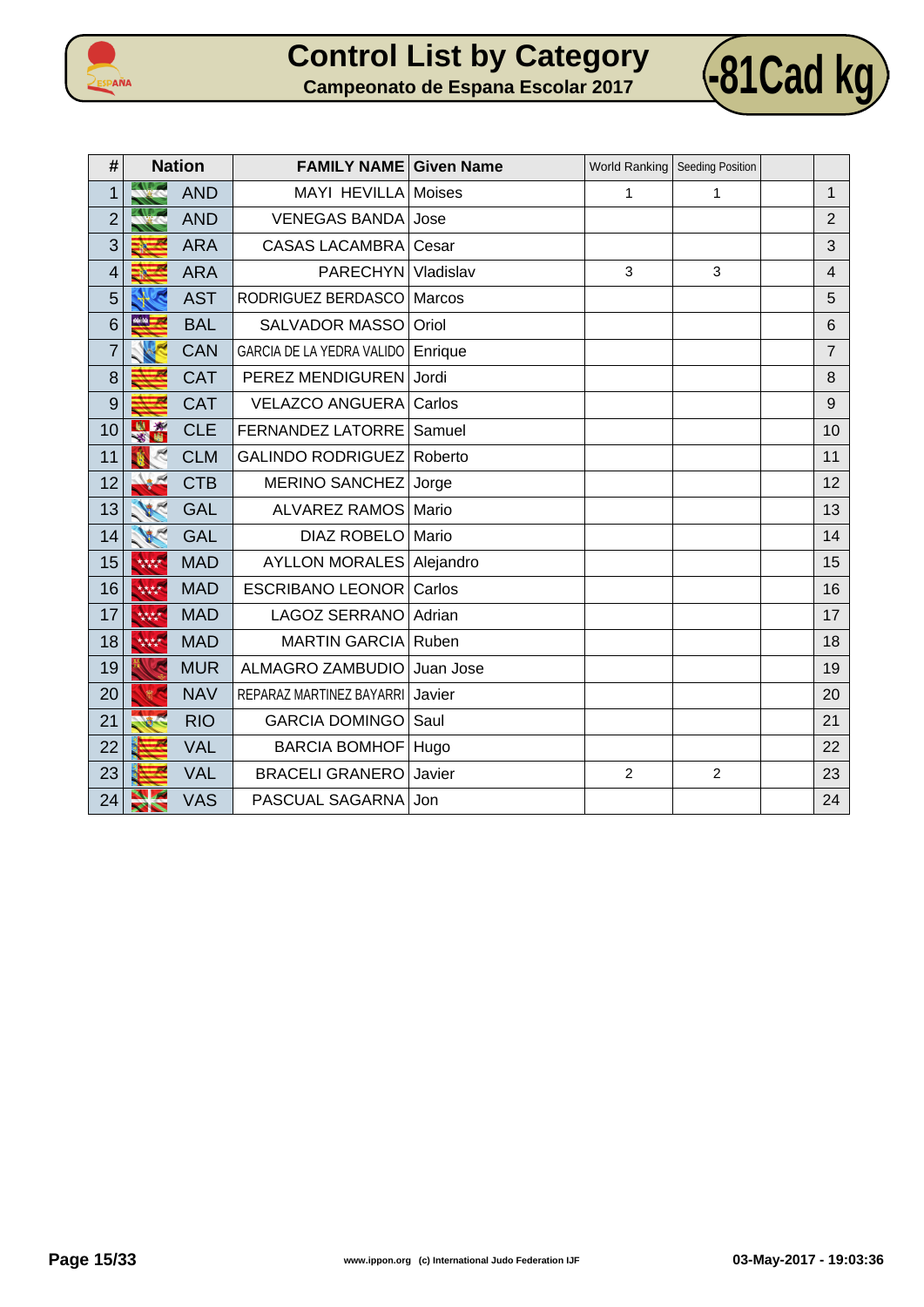



| #              | <b>Nation</b>         |            | <b>FAMILY NAME Given Name</b>     |               | World Ranking   Seeding Position |                |                |
|----------------|-----------------------|------------|-----------------------------------|---------------|----------------------------------|----------------|----------------|
| 1              |                       | <b>AND</b> | <b>MAYI HEVILLA</b>               | <b>Moises</b> | 1                                | 1              | 1              |
| $\overline{2}$ |                       | <b>AND</b> | <b>VENEGAS BANDA</b>              | Jose          |                                  |                | 2              |
| 3              |                       | <b>ARA</b> | <b>CASAS LACAMBRA</b>             | Cesar         |                                  |                | 3              |
| 4              |                       | <b>ARA</b> | <b>PARECHYN</b>                   | Vladislav     | 3                                | 3              | $\overline{4}$ |
| 5              |                       | <b>AST</b> | RODRIGUEZ BERDASCO                | Marcos        |                                  |                | 5              |
| 6              |                       | <b>BAL</b> | SALVADOR MASSO                    | Oriol         |                                  |                | 6              |
| $\overline{7}$ |                       | <b>CAN</b> | GARCIA DE LA YEDRA VALIDO         | Enrique       |                                  |                | $\overline{7}$ |
| 8              |                       | <b>CAT</b> | PEREZ MENDIGUREN                  | Jordi         |                                  |                | 8              |
| 9              |                       | <b>CAT</b> | <b>VELAZCO ANGUERA</b>            | Carlos        |                                  |                | 9              |
| 10             | ×.<br>出               | <b>CLE</b> | FERNANDEZ LATORRE                 | Samuel        |                                  |                | 10             |
| 11             |                       | <b>CLM</b> | <b>GALINDO RODRIGUEZ</b>          | Roberto       |                                  |                | 11             |
| 12             |                       | <b>CTB</b> | <b>MERINO SANCHEZ</b>             | Jorge         |                                  |                | 12             |
| 13             |                       | <b>GAL</b> | <b>ALVAREZ RAMOS</b>              | Mario         |                                  |                | 13             |
| 14             |                       | <b>GAL</b> | <b>DIAZ ROBELO</b>                | Mario         |                                  |                | 14             |
| 15             | 林林                    | <b>MAD</b> | <b>AYLLON MORALES   Alejandro</b> |               |                                  |                | 15             |
| 16             | 大大大大                  | <b>MAD</b> | <b>ESCRIBANO LEONOR</b>           | Carlos        |                                  |                | 16             |
| 17             | 林林                    | <b>MAD</b> | <b>LAGOZ SERRANO</b>              | Adrian        |                                  |                | 17             |
| 18             | 大大大大                  | <b>MAD</b> | <b>MARTIN GARCIA</b>              | Ruben         |                                  |                | 18             |
| 19             |                       | <b>MUR</b> | ALMAGRO ZAMBUDIO                  | Juan Jose     |                                  |                | 19             |
| 20             |                       | <b>NAV</b> | REPARAZ MARTINEZ BAYARRI          | Javier        |                                  |                | 20             |
| 21             |                       | <b>RIO</b> | <b>GARCIA DOMINGO</b>             | Saul          |                                  |                | 21             |
| 22             |                       | <b>VAL</b> | BARCIA BOMHOF   Hugo              |               |                                  |                | 22             |
| 23             |                       | <b>VAL</b> | <b>BRACELI GRANERO</b>            | Javier        | $\overline{2}$                   | $\overline{2}$ | 23             |
| 24             | $\blacktriangleright$ | <b>VAS</b> | PASCUAL SAGARNA                   | Jon           |                                  |                | 24             |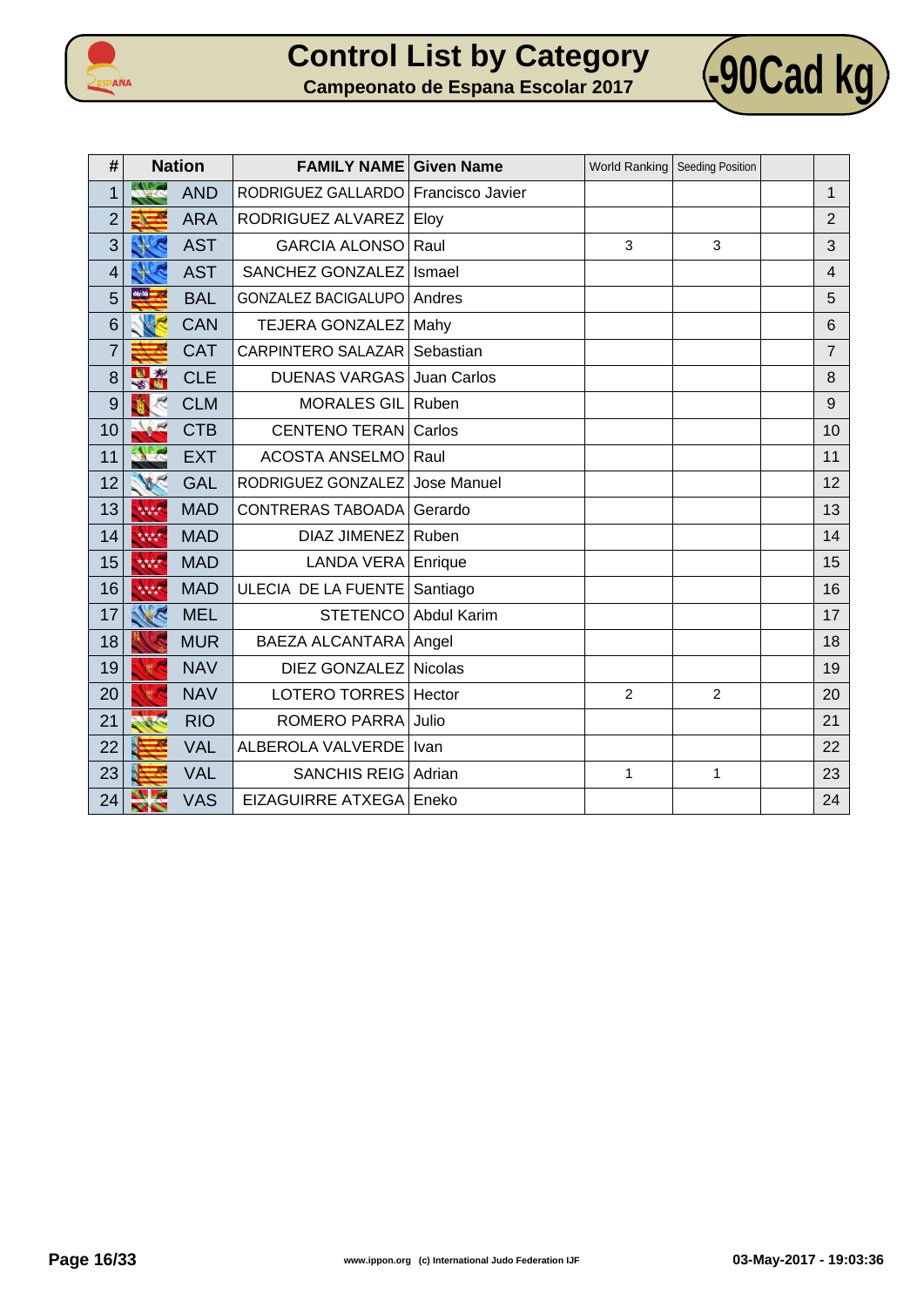



| #              |                       | <b>Nation</b> | <b>FAMILY NAME</b>         | <b>Given Name</b> |                | World Ranking   Seeding Position |                 |
|----------------|-----------------------|---------------|----------------------------|-------------------|----------------|----------------------------------|-----------------|
| $\mathbf{1}$   |                       | <b>AND</b>    | RODRIGUEZ GALLARDO         | Francisco Javier  |                |                                  | $\mathbf{1}$    |
| $\overline{2}$ |                       | <b>ARA</b>    | RODRIGUEZ ALVAREZ          | Eloy              |                |                                  | $\overline{2}$  |
| 3              |                       | <b>AST</b>    | <b>GARCIA ALONSO</b>       | Raul              | 3              | 3                                | 3               |
| $\overline{4}$ |                       | <b>AST</b>    | SANCHEZ GONZALEZ           | Ismael            |                |                                  | $\overline{4}$  |
| 5              | $\frac{1}{2}$         | <b>BAL</b>    | <b>GONZALEZ BACIGALUPO</b> | Andres            |                |                                  | 5               |
| 6              |                       | <b>CAN</b>    | <b>TEJERA GONZALEZ</b>     | Mahy              |                |                                  | $6\phantom{1}6$ |
| $\overline{7}$ |                       | <b>CAT</b>    | <b>CARPINTERO SALAZAR</b>  | Sebastian         |                |                                  | $\overline{7}$  |
| 8              | $\mathbf{x}$          | <b>CLE</b>    | <b>DUENAS VARGAS</b>       | Juan Carlos       |                |                                  | 8               |
| 9              |                       | <b>CLM</b>    | <b>MORALES GIL</b>         | Ruben             |                |                                  | 9               |
| 10             |                       | <b>CTB</b>    | <b>CENTENO TERAN</b>       | Carlos            |                |                                  | 10              |
| 11             |                       | <b>EXT</b>    | <b>ACOSTA ANSELMO</b>      | Raul              |                |                                  | 11              |
| 12             |                       | <b>GAL</b>    | RODRIGUEZ GONZALEZ         | Jose Manuel       |                |                                  | 12              |
| 13             | 大大大大                  | <b>MAD</b>    | CONTRERAS TABOADA          | Gerardo           |                |                                  | 13              |
| 14             | 林林                    | <b>MAD</b>    | <b>DIAZ JIMENEZ</b>        | Ruben             |                |                                  | 14              |
| 15             | 大大大大                  | <b>MAD</b>    | <b>LANDA VERA</b>          | Enrique           |                |                                  | 15              |
| 16             | 大大大大                  | <b>MAD</b>    | ULECIA DE LA FUENTE        | Santiago          |                |                                  | 16              |
| 17             | E                     | <b>MEL</b>    | <b>STETENCO</b>            | Abdul Karim       |                |                                  | 17              |
| 18             |                       | <b>MUR</b>    | <b>BAEZA ALCANTARA</b>     | Angel             |                |                                  | 18              |
| 19             |                       | <b>NAV</b>    | DIEZ GONZALEZ              | Nicolas           |                |                                  | 19              |
| 20             |                       | <b>NAV</b>    | LOTERO TORRES              | Hector            | $\overline{2}$ | $\overline{2}$                   | 20              |
| 21             |                       | <b>RIO</b>    | <b>ROMERO PARRA</b>        | Julio             |                |                                  | 21              |
| 22             |                       | <b>VAL</b>    | ALBEROLA VALVERDE          | Ivan              |                |                                  | 22              |
| 23             |                       | <b>VAL</b>    | <b>SANCHIS REIG</b>        | Adrian            | $\mathbf{1}$   | 1                                | 23              |
| 24             | $\blacktriangleright$ | <b>VAS</b>    | <b>EIZAGUIRRE ATXEGA</b>   | Eneko             |                |                                  | 24              |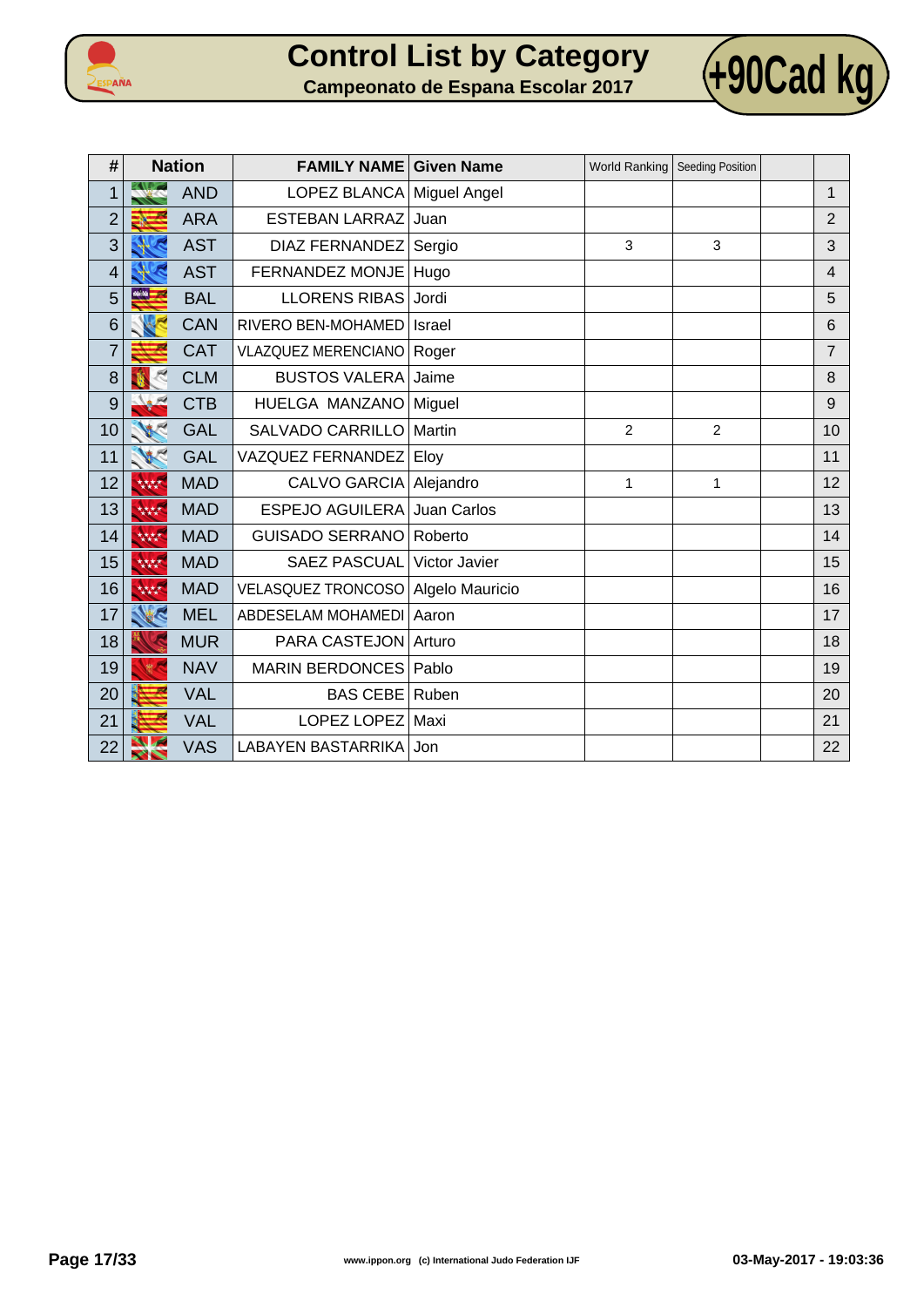



| #              |        | <b>Nation</b> | <b>FAMILY NAME</b>         | <b>Given Name</b> |                | World Ranking   Seeding Position |                 |
|----------------|--------|---------------|----------------------------|-------------------|----------------|----------------------------------|-----------------|
| $\mathbf 1$    |        | <b>AND</b>    | LOPEZ BLANCA Miguel Angel  |                   |                |                                  | $\mathbf{1}$    |
| $\overline{2}$ |        | <b>ARA</b>    | <b>ESTEBAN LARRAZ</b>      | Juan              |                |                                  | $\overline{2}$  |
| 3              |        | <b>AST</b>    | DIAZ FERNANDEZ             | Sergio            | 3              | 3                                | 3               |
| 4              |        | <b>AST</b>    | FERNANDEZ MONJE            | Hugo              |                |                                  | $\overline{4}$  |
| 5              | 66.56  | <b>BAL</b>    | <b>LLORENS RIBAS</b>       | Jordi             |                |                                  | 5               |
| 6              |        | <b>CAN</b>    | RIVERO BEN-MOHAMED         | Israel            |                |                                  | $6\phantom{1}6$ |
| $\overline{7}$ |        | <b>CAT</b>    | <b>VLAZQUEZ MERENCIANO</b> | Roger             |                |                                  | $\overline{7}$  |
| 8              |        | <b>CLM</b>    | <b>BUSTOS VALERA</b>       | Jaime             |                |                                  | 8               |
| 9              |        | <b>CTB</b>    | HUELGA MANZANO             | Miguel            |                |                                  | 9               |
| 10             |        | <b>GAL</b>    | <b>SALVADO CARRILLO</b>    | Martin            | $\overline{2}$ | $\overline{2}$                   | 10              |
| 11             |        | <b>GAL</b>    | VAZQUEZ FERNANDEZ          | Eloy              |                |                                  | 11              |
| 12             | 林林     | <b>MAD</b>    | <b>CALVO GARCIA</b>        | Alejandro         | $\mathbf{1}$   | 1                                | 12              |
| 13             | 林林     | <b>MAD</b>    | <b>ESPEJO AGUILERA</b>     | Juan Carlos       |                |                                  | 13              |
| 14             | 大大大大   | <b>MAD</b>    | <b>GUISADO SERRANO</b>     | Roberto           |                |                                  | 14              |
| 15             | 林林     | <b>MAD</b>    | <b>SAEZ PASCUAL</b>        | Victor Javier     |                |                                  | 15              |
| 16             | 大大大大   | <b>MAD</b>    | VELASQUEZ TRONCOSO         | Algelo Mauricio   |                |                                  | 16              |
| 17             |        | <b>MEL</b>    | ABDESELAM MOHAMEDI         | Aaron             |                |                                  | 17              |
| 18             |        | <b>MUR</b>    | PARA CASTEJON              | Arturo            |                |                                  | 18              |
| 19             |        | <b>NAV</b>    | <b>MARIN BERDONCES</b>     | Pablo             |                |                                  | 19              |
| 20             |        | <b>VAL</b>    | <b>BAS CEBE</b>            | Ruben             |                |                                  | 20              |
| 21             |        | <b>VAL</b>    | LOPEZ LOPEZ                | Maxi              |                |                                  | 21              |
| 22             | $\sim$ | <b>VAS</b>    | <b>LABAYEN BASTARRIKA</b>  | Jon               |                |                                  | 22              |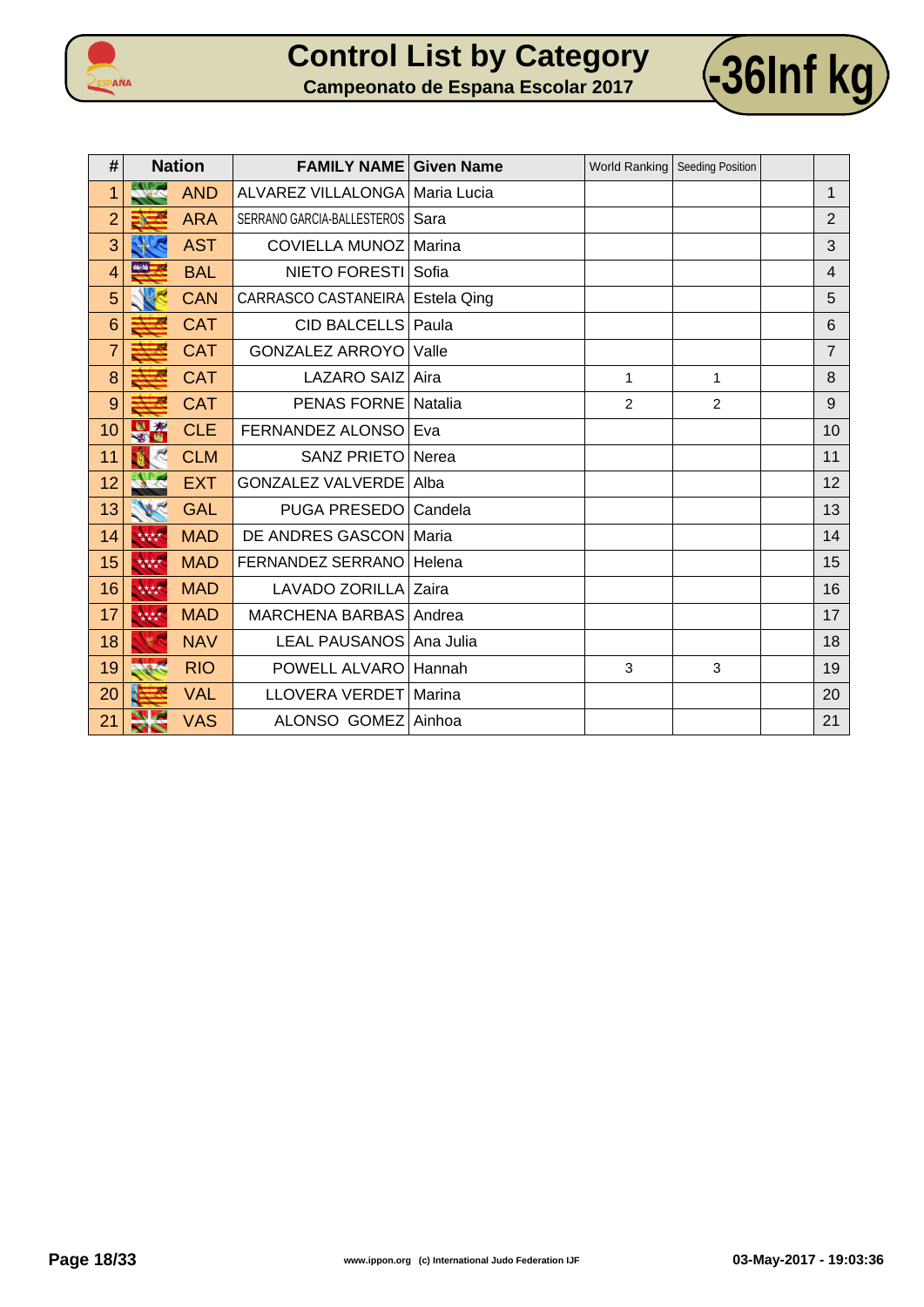



| #              | <b>Nation</b> |            | <b>FAMILY NAME Given Name</b>     |         |                | World Ranking   Seeding Position |                         |
|----------------|---------------|------------|-----------------------------------|---------|----------------|----------------------------------|-------------------------|
| 1              |               | <b>AND</b> | ALVAREZ VILLALONGA   Maria Lucia  |         |                |                                  | $\mathbf{1}$            |
| $\overline{2}$ |               | <b>ARA</b> | SERRANO GARCIA-BALLESTEROS   Sara |         |                |                                  | $\overline{2}$          |
| 3              |               | <b>AST</b> | COVIELLA MUNOZ   Marina           |         |                |                                  | 3                       |
| $\overline{4}$ | $\frac{1}{2}$ | <b>BAL</b> | NIETO FORESTI Sofia               |         |                |                                  | $\overline{\mathbf{4}}$ |
| 5              |               | <b>CAN</b> | CARRASCO CASTANEIRA   Estela Qing |         |                |                                  | 5                       |
| 6              |               | <b>CAT</b> | <b>CID BALCELLS</b>               | Paula   |                |                                  | 6                       |
| $\overline{7}$ |               | <b>CAT</b> | <b>GONZALEZ ARROYO</b>            | Valle   |                |                                  | $\overline{7}$          |
| 8              |               | <b>CAT</b> | LAZARO SAIZ Aira                  |         | $\mathbf{1}$   | 1                                | 8                       |
| 9              |               | <b>CAT</b> | <b>PENAS FORNE</b>                | Natalia | $\overline{2}$ | $\overline{c}$                   | $\mathsf 9$             |
| 10             | 出资            | <b>CLE</b> | FERNANDEZ ALONSO                  | Eva     |                |                                  | 10                      |
| 11             |               | <b>CLM</b> | <b>SANZ PRIETO</b>                | Nerea   |                |                                  | 11                      |
| 12             |               | <b>EXT</b> | <b>GONZALEZ VALVERDE</b>          | Alba    |                |                                  | 12                      |
| 13             | <b>VECT</b>   | <b>GAL</b> | PUGA PRESEDO                      | Candela |                |                                  | 13                      |
| 14             | 林林            | <b>MAD</b> | DE ANDRES GASCON Maria            |         |                |                                  | 14                      |
| 15             | 林林            | <b>MAD</b> | FERNANDEZ SERRANO                 | Helena  |                |                                  | 15                      |
| 16             | 林林            | <b>MAD</b> | LAVADO ZORILLA Zaira              |         |                |                                  | 16                      |
| 17             | 林林            | <b>MAD</b> | MARCHENA BARBAS Andrea            |         |                |                                  | 17                      |
| 18             |               | <b>NAV</b> | LEAL PAUSANOS   Ana Julia         |         |                |                                  | 18                      |
| 19             | <b>ARC</b>    | <b>RIO</b> | POWELL ALVARO                     | Hannah  | 3              | 3                                | 19                      |
| 20             |               | <b>VAL</b> | LLOVERA VERDET   Marina           |         |                |                                  | 20                      |
| 21             | $\sim$        | <b>VAS</b> | ALONSO GOMEZ Ainhoa               |         |                |                                  | 21                      |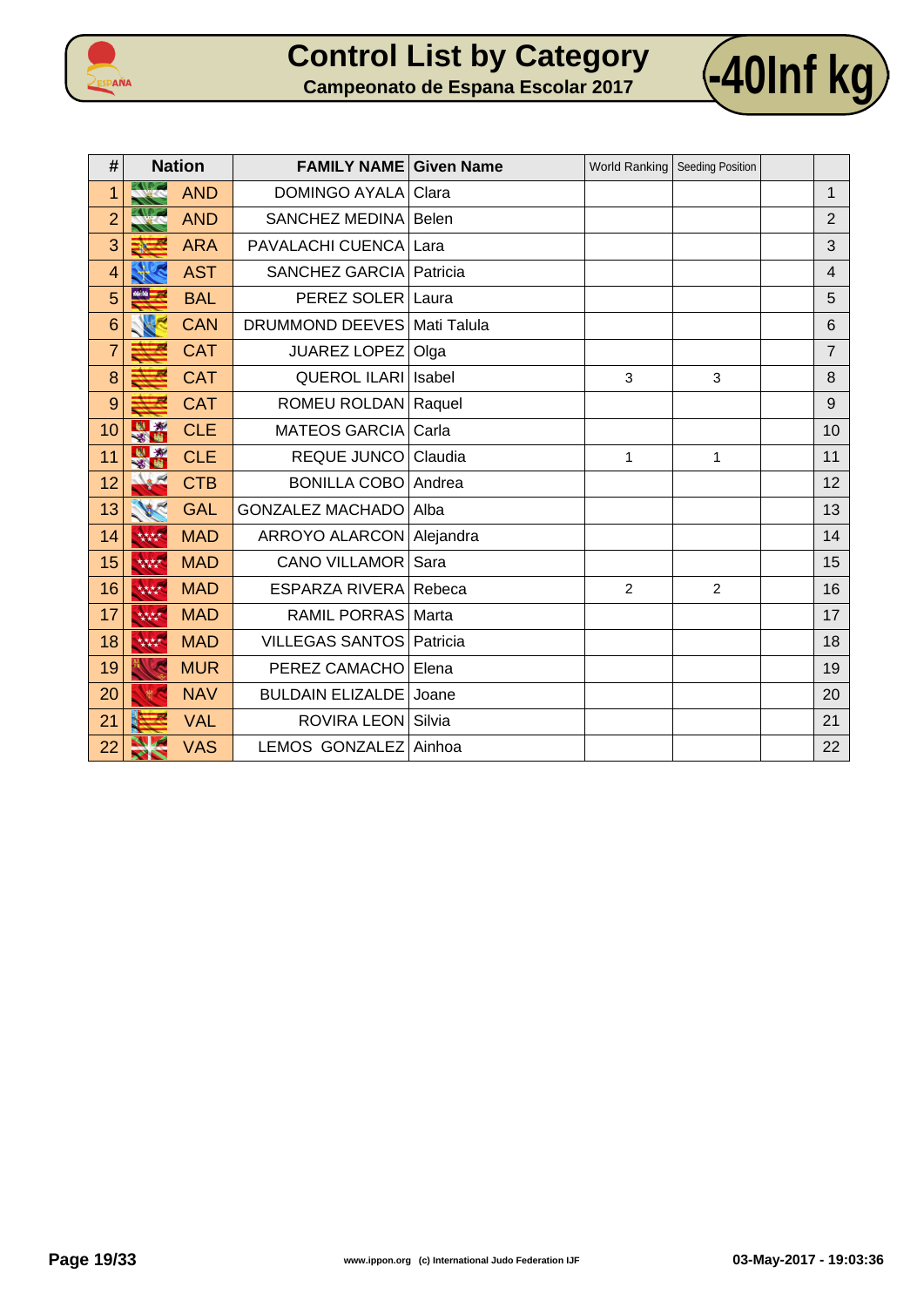



| #              | <b>Nation</b> |            | <b>FAMILY NAME</b>            | <b>Given Name</b> |                | World Ranking   Seeding Position |                |
|----------------|---------------|------------|-------------------------------|-------------------|----------------|----------------------------------|----------------|
| 1              |               | <b>AND</b> | <b>DOMINGO AYALA</b>          | Clara             |                |                                  | $\mathbf{1}$   |
| $\overline{2}$ |               | <b>AND</b> | SANCHEZ MEDINA                | Belen             |                |                                  | $\overline{2}$ |
| 3              |               | <b>ARA</b> | PAVALACHI CUENCA              | Lara              |                |                                  | 3              |
| 4              |               | <b>AST</b> | SANCHEZ GARCIA                | Patricia          |                |                                  | $\overline{4}$ |
| 5              | $16.56 - 16$  | <b>BAL</b> | PEREZ SOLER                   | Laura             |                |                                  | 5              |
| 6              |               | <b>CAN</b> | DRUMMOND DEEVES   Mati Talula |                   |                |                                  | 6              |
| $\overline{7}$ |               | <b>CAT</b> | JUAREZ LOPEZ                  | Olga              |                |                                  | 7              |
| 8              |               | <b>CAT</b> | <b>QUEROL ILARI Isabel</b>    |                   | 3              | 3                                | 8              |
| 9              |               | <b>CAT</b> | ROMEU ROLDAN Raquel           |                   |                |                                  | 9              |
| 10             | 图案            | <b>CLE</b> | <b>MATEOS GARCIA</b>          | Carla             |                |                                  | 10             |
| 11             | 33 14         | <b>CLE</b> | <b>REQUE JUNCO</b>            | Claudia           | 1              | 1                                | 11             |
| 12             |               | <b>CTB</b> | <b>BONILLA COBO</b>           | Andrea            |                |                                  | 12             |
| 13             | NC            | <b>GAL</b> | <b>GONZALEZ MACHADO</b>       | Alba              |                |                                  | 13             |
| 14             | 林林            | <b>MAD</b> | ARROYO ALARCON   Alejandra    |                   |                |                                  | 14             |
| 15             | 林林            | <b>MAD</b> | <b>CANO VILLAMOR</b>          | Sara              |                |                                  | 15             |
| 16             | 大大大大          | <b>MAD</b> | ESPARZA RIVERA Rebeca         |                   | $\overline{2}$ | 2                                | 16             |
| 17             | 林林            | <b>MAD</b> | <b>RAMIL PORRAS</b>           | Marta             |                |                                  | 17             |
| 18             | 大大大夫          | <b>MAD</b> | <b>VILLEGAS SANTOS</b>        | Patricia          |                |                                  | 18             |
| 19             |               | <b>MUR</b> | PEREZ CAMACHO                 | Elena             |                |                                  | 19             |
| 20             |               | <b>NAV</b> | <b>BULDAIN ELIZALDE</b>       | Joane             |                |                                  | 20             |
| 21             |               | <b>VAL</b> | ROVIRA LEON Silvia            |                   |                |                                  | 21             |
| 22             | ╱╲            | <b>VAS</b> | LEMOS GONZALEZ                | Ainhoa            |                |                                  | 22             |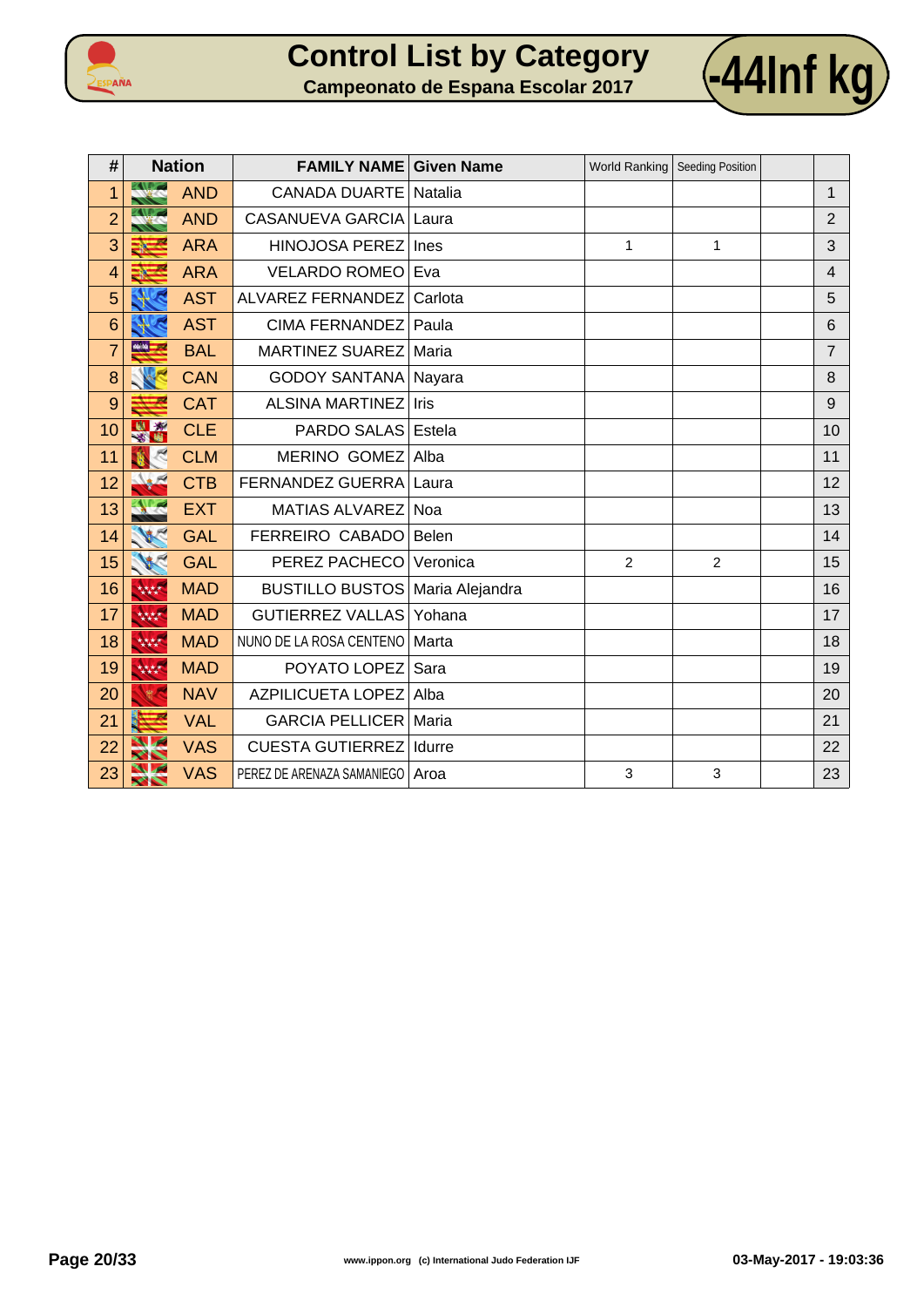



| #              | <b>Nation</b>           |            | <b>FAMILY NAME Given Name</b>     |            | World Ranking   Seeding Position |                |                |
|----------------|-------------------------|------------|-----------------------------------|------------|----------------------------------|----------------|----------------|
| 1              |                         | <b>AND</b> | <b>CANADA DUARTE</b>              | Natalia    |                                  |                | 1              |
| $\overline{2}$ |                         | <b>AND</b> | <b>CASANUEVA GARCIA</b>           | Laura      |                                  |                | $\overline{2}$ |
| 3              |                         | <b>ARA</b> | <b>HINOJOSA PEREZ</b>             | Ines       | $\mathbf{1}$                     | $\mathbf{1}$   | 3              |
| 4              |                         | <b>ARA</b> | <b>VELARDO ROMEO</b>              | Eva        |                                  |                | $\overline{4}$ |
| 5              |                         | <b>AST</b> | ALVAREZ FERNANDEZ                 | Carlota    |                                  |                | 5              |
| 6              |                         | <b>AST</b> | <b>CIMA FERNANDEZ</b>             | Paula      |                                  |                | 6              |
| $\overline{7}$ |                         | <b>BAL</b> | MARTINEZ SUAREZ                   | Maria      |                                  |                | $\overline{7}$ |
| 8              |                         | <b>CAN</b> | <b>GODOY SANTANA   Nayara</b>     |            |                                  |                | 8              |
| 9              |                         | <b>CAT</b> | <b>ALSINA MARTINEZ</b>            | Iris       |                                  |                | 9              |
| 10             |                         | <b>CLE</b> | PARDO SALAS                       | Estela     |                                  |                | 10             |
| 11             |                         | <b>CLM</b> | MERINO GOMEZ                      | Alba       |                                  |                | 11             |
| 12             |                         | <b>CTB</b> | FERNANDEZ GUERRA                  | Laura      |                                  |                | 12             |
| 13             |                         | <b>EXT</b> | MATIAS ALVAREZ                    | <b>Noa</b> |                                  |                | 13             |
| 14             |                         | <b>GAL</b> | FERREIRO CABADO                   | Belen      |                                  |                | 14             |
| 15             | 125                     | <b>GAL</b> | PEREZ PACHECO                     | Veronica   | $\overline{2}$                   | $\overline{c}$ | 15             |
| 16             | 林林                      | <b>MAD</b> | BUSTILLO BUSTOS   Maria Alejandra |            |                                  |                | 16             |
| 17             | 大大大大                    | <b>MAD</b> | <b>GUTIERREZ VALLAS</b>           | Yohana     |                                  |                | 17             |
| 18             | 林林                      | <b>MAD</b> | NUNO DE LA ROSA CENTENO           | Marta      |                                  |                | 18             |
| 19             | 林林                      | <b>MAD</b> | POYATO LOPEZ                      | Sara       |                                  |                | 19             |
| 20             | $\frac{d\Phi}{d\Omega}$ | <b>NAV</b> | <b>AZPILICUETA LOPEZ</b>          | Alba       |                                  |                | 20             |
| 21             |                         | <b>VAL</b> | <b>GARCIA PELLICER</b>            | Maria      |                                  |                | 21             |
| 22             |                         | <b>VAS</b> | <b>CUESTA GUTIERREZ</b>           | Idurre     |                                  |                | 22             |
| 23             | ╱╲                      | <b>VAS</b> | PEREZ DE ARENAZA SAMANIEGO        | Aroa       | 3                                | 3              | 23             |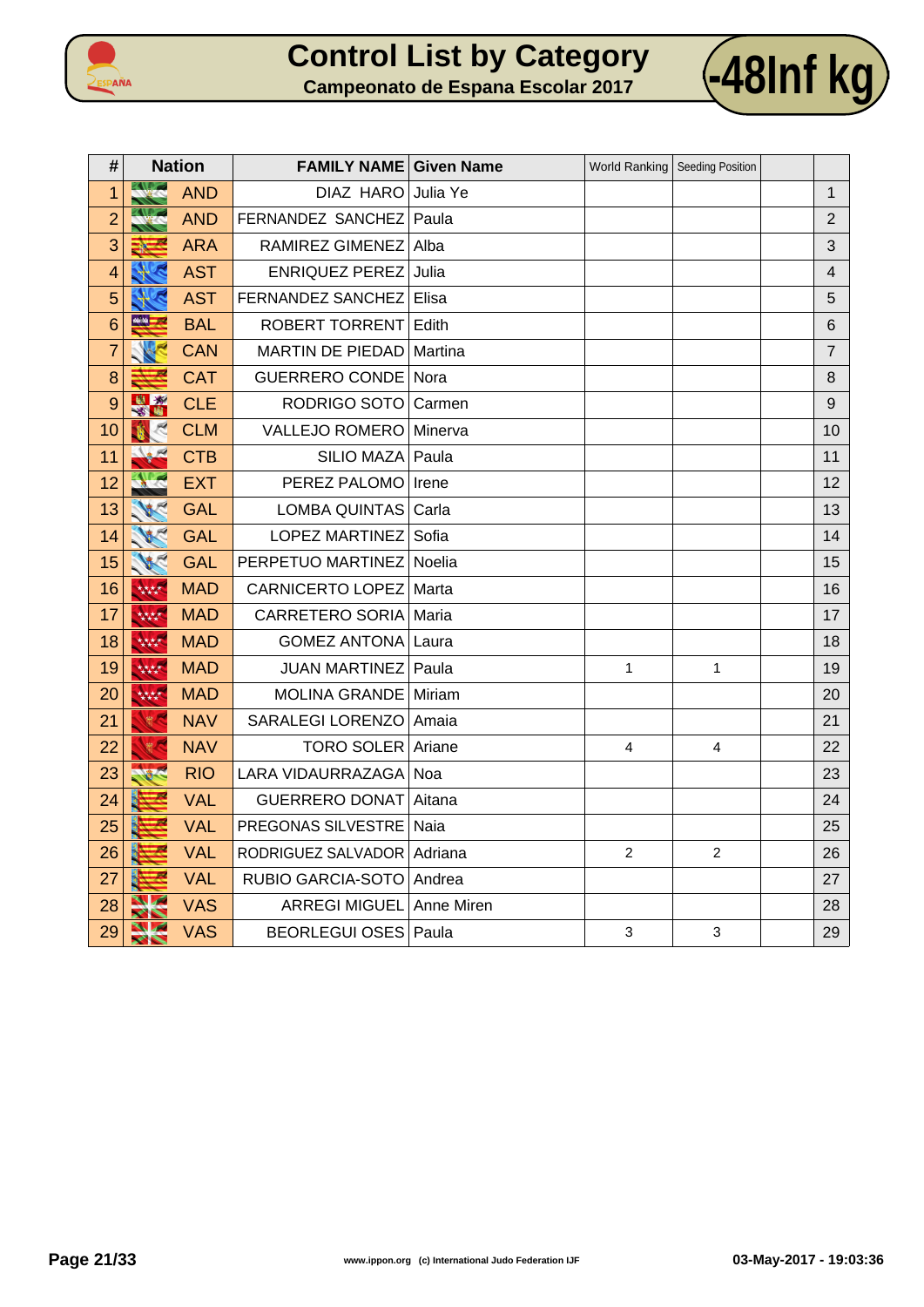



| #              |         | <b>Nation</b> | <b>FAMILY NAME Given Name</b> |                |                | World Ranking   Seeding Position |                |
|----------------|---------|---------------|-------------------------------|----------------|----------------|----------------------------------|----------------|
| 1              |         | <b>AND</b>    | DIAZ HARO                     | Julia Ye       |                |                                  | $\mathbf{1}$   |
| $\overline{2}$ |         | <b>AND</b>    | FERNANDEZ SANCHEZ             | Paula          |                |                                  | 2              |
| 3              | ▀<br>3∛ | <b>ARA</b>    | RAMIREZ GIMENEZ               | Alba           |                |                                  | 3              |
| 4              |         | <b>AST</b>    | <b>ENRIQUEZ PEREZ</b>         | Julia          |                |                                  | $\overline{4}$ |
| 5              |         | <b>AST</b>    | FERNANDEZ SANCHEZ             | Elisa          |                |                                  | 5              |
| 6              | -       | <b>BAL</b>    | <b>ROBERT TORRENT</b>         | Edith          |                |                                  | 6              |
| $\overline{7}$ |         | <b>CAN</b>    | MARTIN DE PIEDAD              | Martina        |                |                                  | $\overline{7}$ |
| 8              |         | <b>CAT</b>    | <b>GUERRERO CONDE</b>         | Nora           |                |                                  | 8              |
| 9              | 图案      | <b>CLE</b>    | RODRIGO SOTO                  | Carmen         |                |                                  | 9              |
| 10             |         | <b>CLM</b>    | <b>VALLEJO ROMERO</b>         | Minerva        |                |                                  | 10             |
| 11             |         | <b>CTB</b>    | SILIO MAZA                    | Paula          |                |                                  | 11             |
| 12             |         | <b>EXT</b>    | PEREZ PALOMO                  | Irene          |                |                                  | 12             |
| 13             |         | <b>GAL</b>    | LOMBA QUINTAS                 | Carla          |                |                                  | 13             |
| 14             |         | <b>GAL</b>    | <b>LOPEZ MARTINEZ</b>         | Sofia          |                |                                  | 14             |
| 15             |         | <b>GAL</b>    | PERPETUO MARTINEZ Noelia      |                |                |                                  | 15             |
| 16             | 大大大大    | <b>MAD</b>    | CARNICERTO LOPEZ   Marta      |                |                |                                  | 16             |
| 17             | 大大大大    | <b>MAD</b>    | <b>CARRETERO SORIA</b>        | Maria          |                |                                  | 17             |
| 18             | 大大大大    | <b>MAD</b>    | <b>GOMEZ ANTONA Laura</b>     |                |                |                                  | 18             |
| 19             | 大大大大    | <b>MAD</b>    | JUAN MARTINEZ Paula           |                | $\mathbf{1}$   | $\mathbf{1}$                     | 19             |
| 20             | 林林      | <b>MAD</b>    | MOLINA GRANDE   Miriam        |                |                |                                  | 20             |
| 21             | 微气      | <b>NAV</b>    | SARALEGI LORENZO              | Amaia          |                |                                  | 21             |
| 22             |         | <b>NAV</b>    | TORO SOLER Ariane             |                | 4              | 4                                | 22             |
| 23             |         | <b>RIO</b>    | LARA VIDAURRAZAGA             | Noa            |                |                                  | 23             |
| 24             |         | <b>VAL</b>    | <b>GUERRERO DONAT</b>         | Aitana         |                |                                  | 24             |
| 25             |         | <b>VAL</b>    | PREGONAS SILVESTRE            | Naia           |                |                                  | 25             |
| 26             |         | <b>VAL</b>    | RODRIGUEZ SALVADOR            | <b>Adriana</b> | $\overline{2}$ | 2                                | 26             |
| 27             |         | <b>VAL</b>    | RUBIO GARCIA-SOTO             | Andrea         |                |                                  | 27             |
| 28             |         | <b>VAS</b>    | ARREGI MIGUEL Anne Miren      |                |                |                                  | 28             |
| 29             |         | <b>VAS</b>    | BEORLEGUI OSES   Paula        |                | $\mathfrak{S}$ | 3                                | 29             |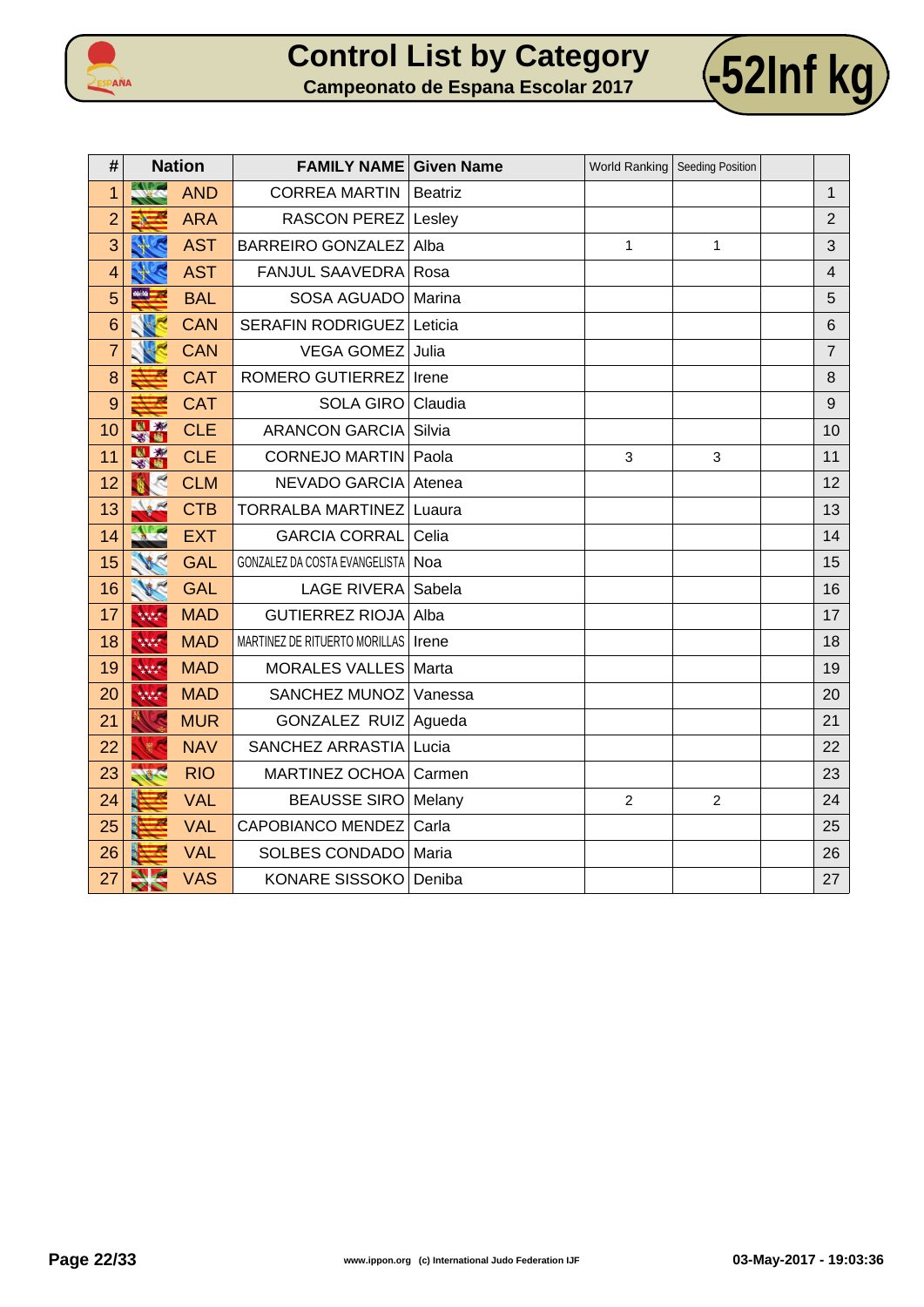



| #              |                       | <b>Nation</b> | <b>FAMILY NAME Given Name</b>         |                |                | World Ranking   Seeding Position |                |
|----------------|-----------------------|---------------|---------------------------------------|----------------|----------------|----------------------------------|----------------|
| 1              | <b>XX</b>             | <b>AND</b>    | <b>CORREA MARTIN</b>                  | <b>Beatriz</b> |                |                                  | $\mathbf{1}$   |
| $\overline{2}$ |                       | <b>ARA</b>    | RASCON PEREZ   Lesley                 |                |                |                                  | $\overline{2}$ |
| 3              |                       | <b>AST</b>    | <b>BARREIRO GONZALEZ</b>              | Alba           | $\mathbf{1}$   | 1                                | 3              |
| 4              |                       | <b>AST</b>    | <b>FANJUL SAAVEDRA</b>                | Rosa           |                |                                  | $\overline{4}$ |
| 5              | <u>eetaa </u>         | <b>BAL</b>    | SOSA AGUADO                           | Marina         |                |                                  | 5              |
| 6              |                       | <b>CAN</b>    | <b>SERAFIN RODRIGUEZ</b>              | Leticia        |                |                                  | 6              |
| $\overline{7}$ |                       | <b>CAN</b>    | <b>VEGA GOMEZ</b>                     | Julia          |                |                                  | $\overline{7}$ |
| 8              |                       | <b>CAT</b>    | ROMERO GUTIERREZ                      | Irene          |                |                                  | 8              |
| 9              |                       | <b>CAT</b>    | <b>SOLA GIRO</b>                      | Claudia        |                |                                  | 9              |
| 10             | <b>KNI XX</b><br>翠雪   | <b>CLE</b>    | <b>ARANCON GARCIA</b>                 | Silvia         |                |                                  | 10             |
| 11             | 图案                    | <b>CLE</b>    | <b>CORNEJO MARTIN</b>                 | Paola          | 3              | 3                                | 11             |
| 12             |                       | <b>CLM</b>    | <b>NEVADO GARCIA</b>                  | Atenea         |                |                                  | 12             |
| 13             |                       | <b>CTB</b>    | <b>TORRALBA MARTINEZ</b>              | Luaura         |                |                                  | 13             |
| 14             |                       | <b>EXT</b>    | <b>GARCIA CORRAL</b>                  | Celia          |                |                                  | 14             |
| 15             |                       | <b>GAL</b>    | GONZALEZ DA COSTA EVANGELISTA         | Noa            |                |                                  | 15             |
| 16             | <b>VECT</b>           | <b>GAL</b>    | <b>LAGE RIVERA</b>                    | Sabela         |                |                                  | 16             |
| 17             | 林林                    | <b>MAD</b>    | <b>GUTIERREZ RIOJA</b>                | Alba           |                |                                  | 17             |
| 18             | 林林                    | <b>MAD</b>    | MARTINEZ DE RITUERTO MORILLAS   Irene |                |                |                                  | 18             |
| 19             | 大大大大                  | <b>MAD</b>    | <b>MORALES VALLES</b>                 | Marta          |                |                                  | 19             |
| 20             | 林林                    | <b>MAD</b>    | SANCHEZ MUNOZ                         | Vanessa        |                |                                  | 20             |
| 21             |                       | <b>MUR</b>    | <b>GONZALEZ RUIZ</b>                  | Agueda         |                |                                  | 21             |
| 22             |                       | <b>NAV</b>    | SANCHEZ ARRASTIA                      | Lucia          |                |                                  | 22             |
| 23             |                       | <b>RIO</b>    | MARTINEZ OCHOA                        | Carmen         |                |                                  | 23             |
| 24             |                       | <b>VAL</b>    | <b>BEAUSSE SIRO</b>                   | Melany         | $\overline{c}$ | $\overline{c}$                   | 24             |
| 25             |                       | <b>VAL</b>    | <b>CAPOBIANCO MENDEZ</b>              | Carla          |                |                                  | 25             |
| 26             |                       | <b>VAL</b>    | SOLBES CONDADO                        | Maria          |                |                                  | 26             |
| 27             | $\blacktriangleright$ | <b>VAS</b>    | <b>KONARE SISSOKO</b>                 | Deniba         |                |                                  | 27             |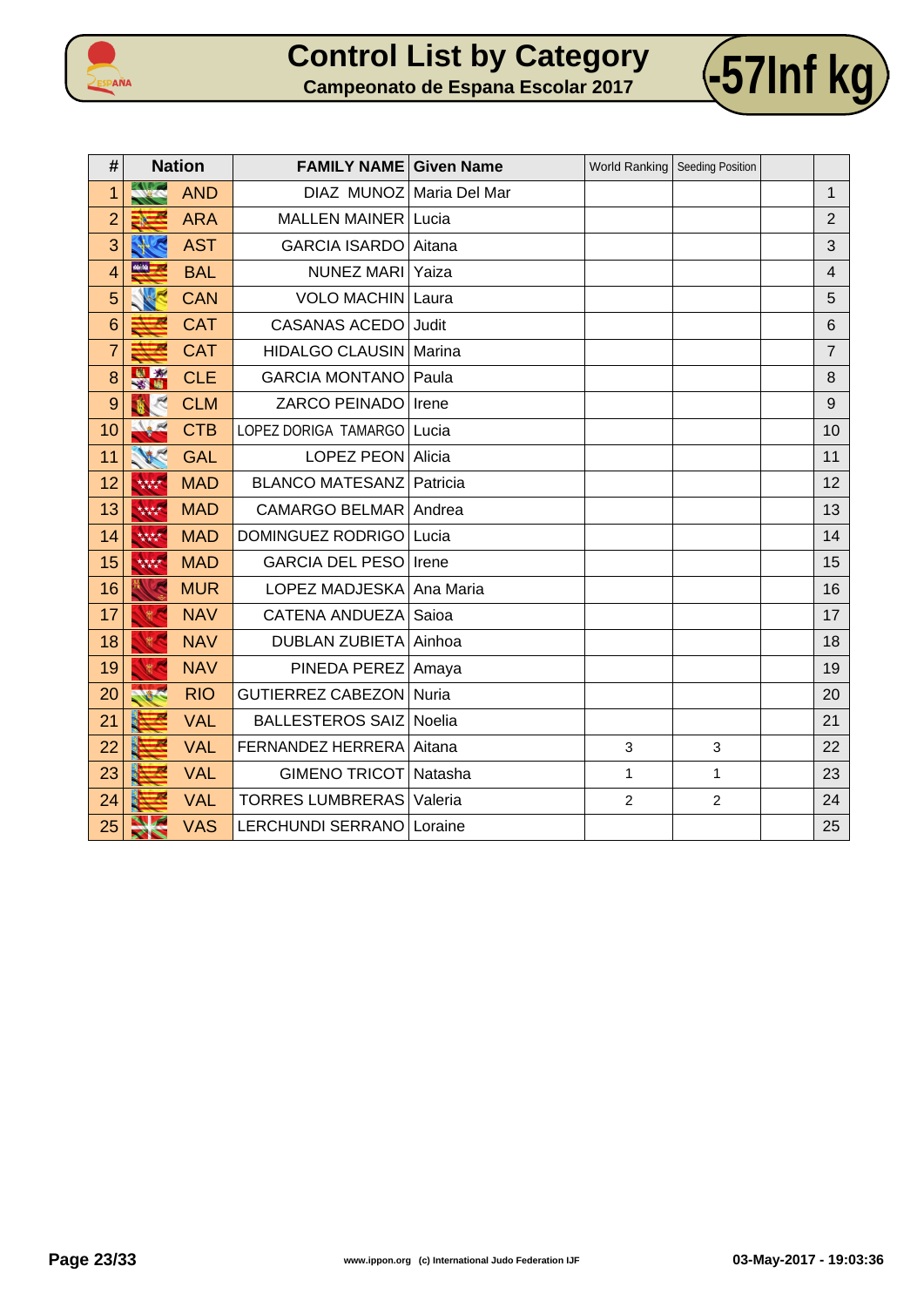



| #               |             | <b>Nation</b> | <b>FAMILY NAME Given Name</b>     |        |                | World Ranking   Seeding Position |                |
|-----------------|-------------|---------------|-----------------------------------|--------|----------------|----------------------------------|----------------|
| 1               |             | <b>AND</b>    | DIAZ MUNOZ Maria Del Mar          |        |                |                                  | $\mathbf{1}$   |
| $\overline{2}$  |             | <b>ARA</b>    | <b>MALLEN MAINER Lucia</b>        |        |                |                                  | $\overline{2}$ |
| 3               |             | <b>AST</b>    | GARCIA ISARDO Aitana              |        |                |                                  | 3              |
| $\overline{4}$  | <b>KN R</b> | <b>BAL</b>    | NUNEZ MARI                        | Yaiza  |                |                                  | $\overline{4}$ |
| 5               |             | <b>CAN</b>    | VOLO MACHIN Laura                 |        |                |                                  | 5              |
| $6\phantom{1}6$ |             | <b>CAT</b>    | <b>CASANAS ACEDO</b>              | Judit  |                |                                  | 6              |
| 7               |             | <b>CAT</b>    | HIDALGO CLAUSIN   Marina          |        |                |                                  | $\overline{7}$ |
| 8               | 出版社         | <b>CLE</b>    | <b>GARCIA MONTANO</b>             | Paula  |                |                                  | 8              |
| 9               |             | <b>CLM</b>    | ZARCO PEINADO Irene               |        |                |                                  | 9              |
| 10              | No. R       | <b>CTB</b>    | LOPEZ DORIGA TAMARGO              | Lucia  |                |                                  | 10             |
| 11              | 18C         | <b>GAL</b>    | LOPEZ PEON Alicia                 |        |                |                                  | 11             |
| 12              | 林林          | <b>MAD</b>    | <b>BLANCO MATESANZ Patricia</b>   |        |                |                                  | 12             |
| 13              | 林林          | <b>MAD</b>    | CAMARGO BELMAR Andrea             |        |                |                                  | 13             |
| 14              | 林林          | <b>MAD</b>    | DOMINGUEZ RODRIGO Lucia           |        |                |                                  | 14             |
| 15              | 林林          | <b>MAD</b>    | <b>GARCIA DEL PESO</b>            | Irene  |                |                                  | 15             |
| 16              |             | <b>MUR</b>    | LOPEZ MADJESKA Ana Maria          |        |                |                                  | 16             |
| 17              |             | <b>NAV</b>    | <b>CATENA ANDUEZA</b>             | Saioa  |                |                                  | 17             |
| 18              | 等人          | <b>NAV</b>    | DUBLAN ZUBIETA Ainhoa             |        |                |                                  | 18             |
| 19              |             | <b>NAV</b>    | PINEDA PEREZ   Amaya              |        |                |                                  | 19             |
| 20              |             | <b>RIO</b>    | GUTIERREZ CABEZON Nuria           |        |                |                                  | 20             |
| 21              |             | <b>VAL</b>    | <b>BALLESTEROS SAIZ</b>           | Noelia |                |                                  | 21             |
| 22              |             | <b>VAL</b>    | FERNANDEZ HERRERA Aitana          |        | 3              | 3                                | 22             |
| 23              |             | <b>VAL</b>    | GIMENO TRICOT Natasha             |        | $\mathbf{1}$   | 1                                | 23             |
| 24              |             | <b>VAL</b>    | <b>TORRES LUMBRERAS   Valeria</b> |        | $\overline{2}$ | $\overline{c}$                   | 24             |
| 25              | ╱╲          | <b>VAS</b>    | LERCHUNDI SERRANO   Loraine       |        |                |                                  | 25             |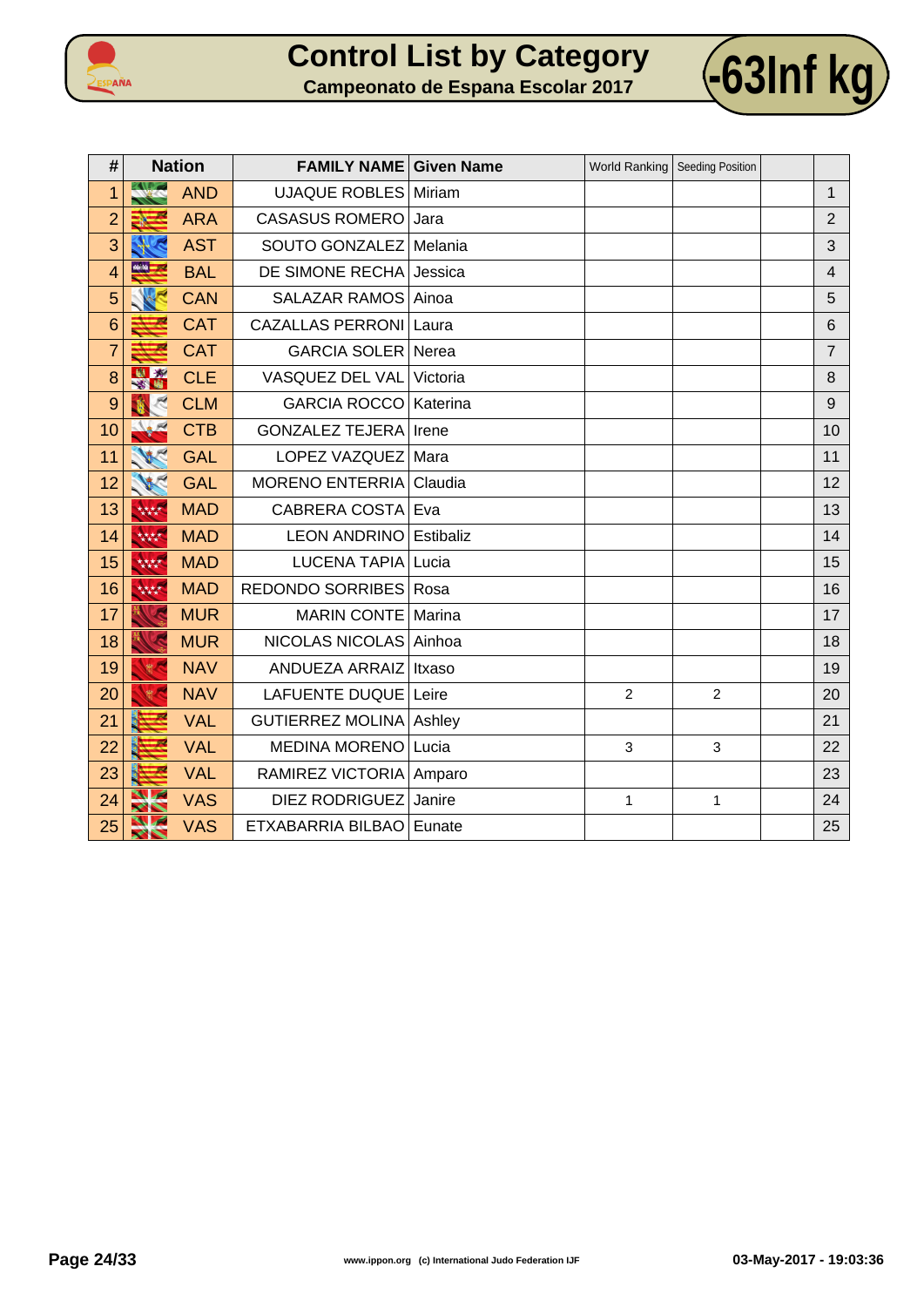



| #               |               | <b>Nation</b> | <b>FAMILY NAME Given Name</b>  |           |                | World Ranking   Seeding Position |                |
|-----------------|---------------|---------------|--------------------------------|-----------|----------------|----------------------------------|----------------|
| 1               |               | <b>AND</b>    | <b>UJAQUE ROBLES Miriam</b>    |           |                |                                  | 1              |
| $\overline{2}$  |               | <b>ARA</b>    | <b>CASASUS ROMERO</b>          | Jara      |                |                                  | $\overline{2}$ |
| 3               |               | <b>AST</b>    | SOUTO GONZALEZ                 | Melania   |                |                                  | 3              |
| 4               | <b>MAY 25</b> | <b>BAL</b>    | DE SIMONE RECHA                | Jessica   |                |                                  | 4              |
| 5               |               | <b>CAN</b>    | <b>SALAZAR RAMOS</b>           | Ainoa     |                |                                  | 5              |
| $6\phantom{1}6$ |               | <b>CAT</b>    | <b>CAZALLAS PERRONI Laura</b>  |           |                |                                  | 6              |
| $\overline{7}$  |               | <b>CAT</b>    | GARCIA SOLER Nerea             |           |                |                                  | $\overline{7}$ |
| 8               | $\mathbf{R}$  | <b>CLE</b>    | VASQUEZ DEL VAL                | Victoria  |                |                                  | 8              |
| 9               |               | <b>CLM</b>    | <b>GARCIA ROCCO</b>            | Katerina  |                |                                  | 9              |
| 10              |               | <b>CTB</b>    | <b>GONZALEZ TEJERA</b>         | Irene     |                |                                  | 10             |
| 11              |               | <b>GAL</b>    | LOPEZ VAZQUEZ                  | Mara      |                |                                  | 11             |
| 12              |               | <b>GAL</b>    | <b>MORENO ENTERRIA</b>         | Claudia   |                |                                  | 12             |
| 13              | 林林            | <b>MAD</b>    | CABRERA COSTA Eva              |           |                |                                  | 13             |
| 14              | 大大大大          | <b>MAD</b>    | <b>LEON ANDRINO</b>            | Estibaliz |                |                                  | 14             |
| 15              | 大大大大          | <b>MAD</b>    | <b>LUCENA TAPIA</b>            | Lucia     |                |                                  | 15             |
| 16              | 大大大大          | <b>MAD</b>    | REDONDO SORRIBES   Rosa        |           |                |                                  | 16             |
| 17              |               | <b>MUR</b>    | <b>MARIN CONTE</b>             | Marina    |                |                                  | 17             |
| 18              |               | <b>MUR</b>    | NICOLAS NICOLAS Ainhoa         |           |                |                                  | 18             |
| 19              |               | <b>NAV</b>    | ANDUEZA ARRAIZ                 | Itxaso    |                |                                  | 19             |
| 20              |               | <b>NAV</b>    | LAFUENTE DUQUE Leire           |           | $\overline{2}$ | $\overline{2}$                   | 20             |
| 21              |               | <b>VAL</b>    | <b>GUTIERREZ MOLINA Ashley</b> |           |                |                                  | 21             |
| 22              |               | <b>VAL</b>    | <b>MEDINA MORENO</b>           | Lucia     | 3              | 3                                | 22             |
| 23              |               | <b>VAL</b>    | RAMIREZ VICTORIA   Amparo      |           |                |                                  | 23             |
| 24              |               | <b>VAS</b>    | <b>DIEZ RODRIGUEZ</b>          | Janire    | 1              | 1                                | 24             |
| 25              | ╱╲            | <b>VAS</b>    | ETXABARRIA BILBAO              | Eunate    |                |                                  | 25             |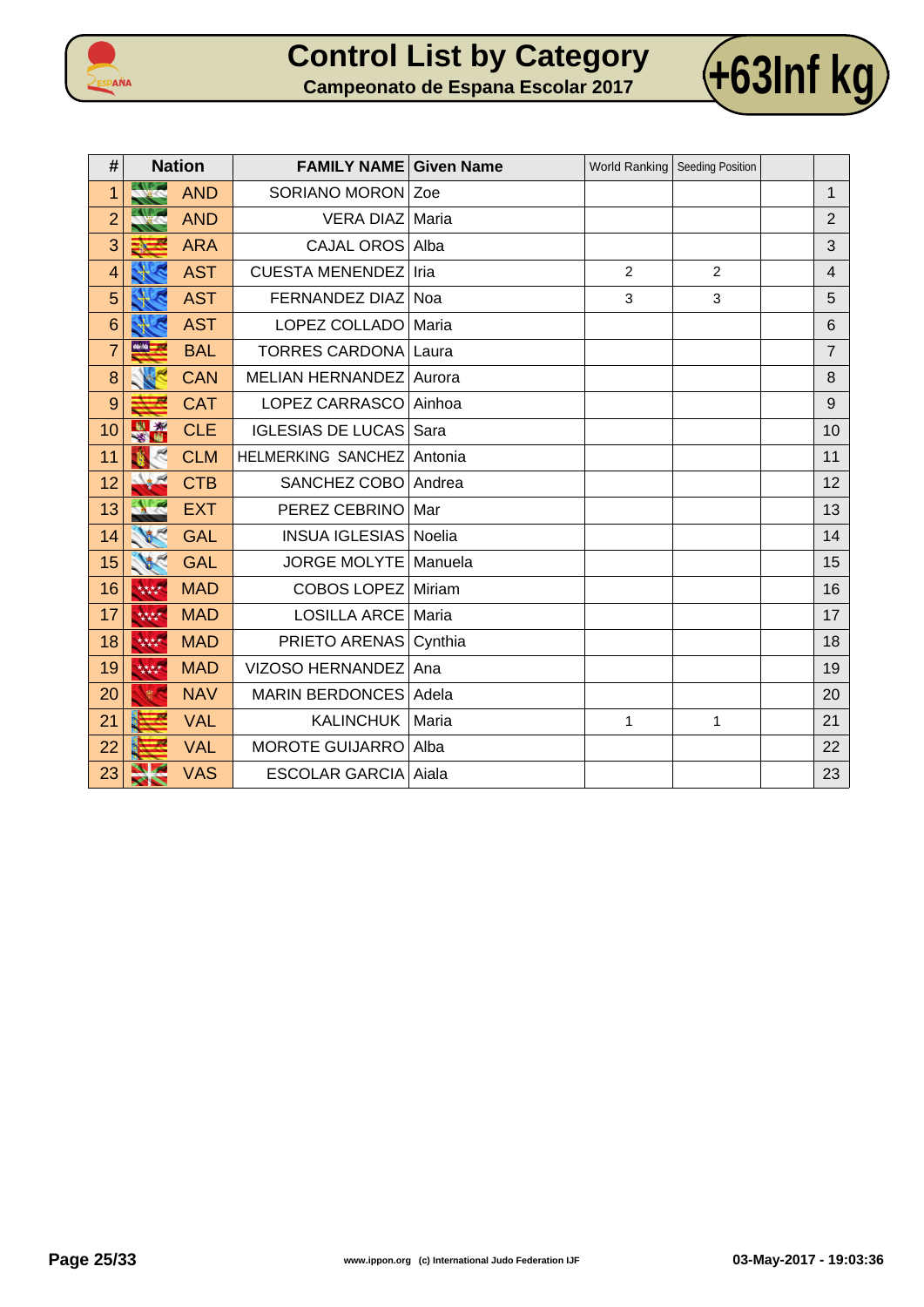



| #              | <b>Nation</b>         |            | <b>FAMILY NAME Given Name</b> |         |                | World Ranking   Seeding Position |                |
|----------------|-----------------------|------------|-------------------------------|---------|----------------|----------------------------------|----------------|
| 1              |                       | <b>AND</b> | SORIANO MORON Zoe             |         |                |                                  | $\mathbf{1}$   |
| $\overline{2}$ |                       | <b>AND</b> | VERA DIAZ Maria               |         |                |                                  | $\overline{2}$ |
| 3              |                       | <b>ARA</b> | CAJAL OROS Alba               |         |                |                                  | 3              |
| $\overline{4}$ |                       | <b>AST</b> | <b>CUESTA MENENDEZ</b>        | Iria    | $\overline{2}$ | $\overline{2}$                   | $\overline{4}$ |
| 5              |                       | <b>AST</b> | FERNANDEZ DIAZ Noa            |         | 3              | 3                                | 5              |
| 6              |                       | <b>AST</b> | LOPEZ COLLADO   Maria         |         |                |                                  | $6\phantom{1}$ |
| $\overline{7}$ |                       | <b>BAL</b> | TORRES CARDONA Laura          |         |                |                                  | $\overline{7}$ |
| 8              |                       | <b>CAN</b> | MELIAN HERNANDEZ Aurora       |         |                |                                  | 8              |
| 9              |                       | <b>CAT</b> | LOPEZ CARRASCO Ainhoa         |         |                |                                  | 9              |
| 10             |                       | <b>CLE</b> | <b>IGLESIAS DE LUCAS</b>      | Sara    |                |                                  | 10             |
| 11             |                       | <b>CLM</b> | <b>HELMERKING SANCHEZ</b>     | Antonia |                |                                  | 11             |
| 12             |                       | <b>CTB</b> | SANCHEZ COBO Andrea           |         |                |                                  | 12             |
| 13             |                       | <b>EXT</b> | PEREZ CEBRINO                 | Mar     |                |                                  | 13             |
| 14             |                       | <b>GAL</b> | <b>INSUA IGLESIAS Noelia</b>  |         |                |                                  | 14             |
| 15             | 186                   | <b>GAL</b> | JORGE MOLYTE   Manuela        |         |                |                                  | 15             |
| 16             | 大大大大                  | <b>MAD</b> | COBOS LOPEZ Miriam            |         |                |                                  | 16             |
| 17             | 大大大大                  | <b>MAD</b> | LOSILLA ARCE Maria            |         |                |                                  | 17             |
| 18             | 林林                    | <b>MAD</b> | PRIETO ARENAS Cynthia         |         |                |                                  | 18             |
| 19             | 林林                    | <b>MAD</b> | VIZOSO HERNANDEZ              | Ana     |                |                                  | 19             |
| 20             | <b>RED</b>            | <b>NAV</b> | MARIN BERDONCES Adela         |         |                |                                  | 20             |
| 21             |                       | <b>VAL</b> | <b>KALINCHUK</b>              | Maria   | $\mathbf{1}$   | 1                                | 21             |
| 22             |                       | <b>VAL</b> | <b>MOROTE GUIJARRO</b>        | Alba    |                |                                  | 22             |
| 23             | $\blacktriangleright$ | <b>VAS</b> | <b>ESCOLAR GARCIA Aiala</b>   |         |                |                                  | 23             |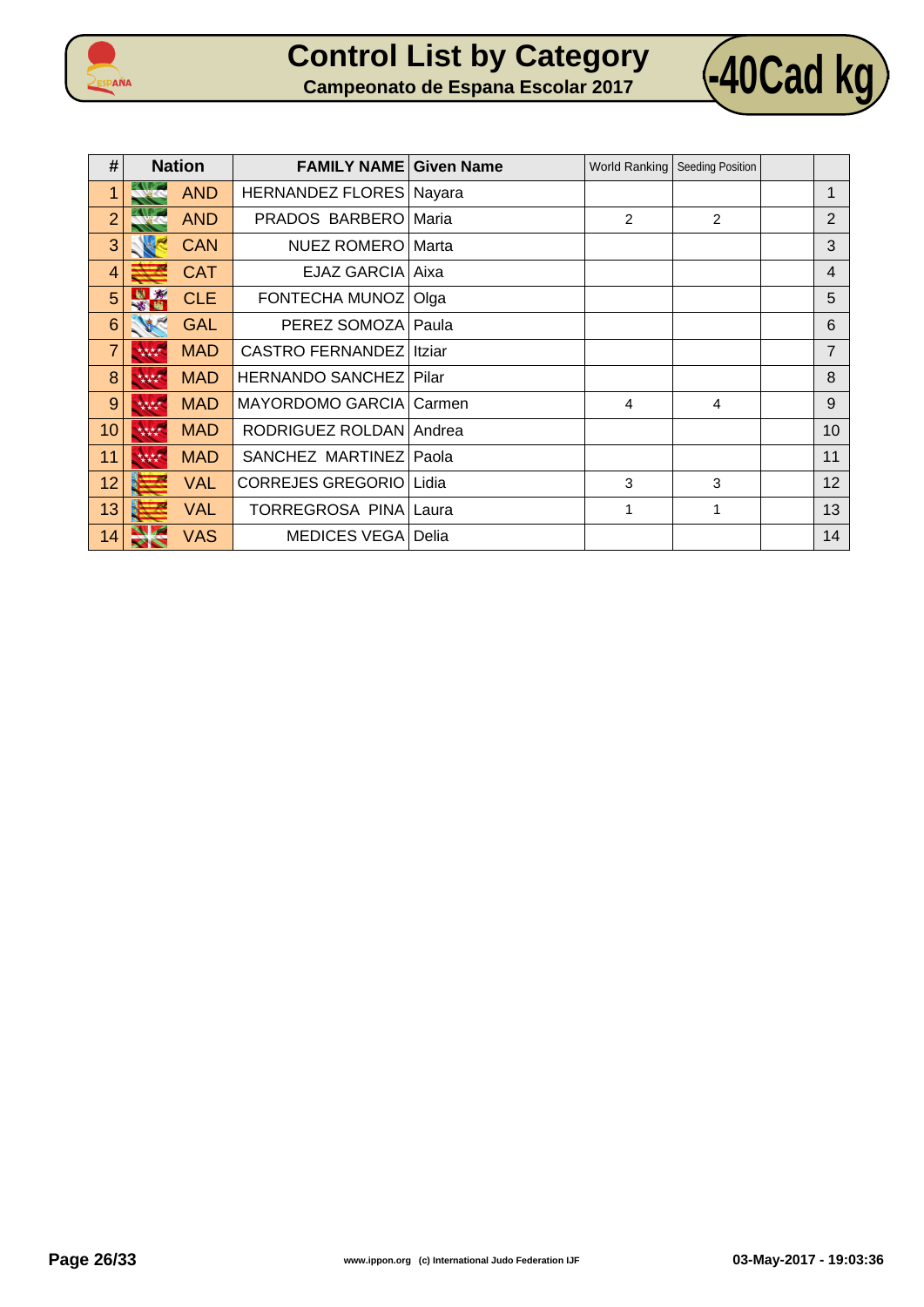



| #              | <b>Nation</b>               | <b>FAMILY NAME</b>               | <b>Given Name</b> |                | World Ranking   Seeding Position |                |
|----------------|-----------------------------|----------------------------------|-------------------|----------------|----------------------------------|----------------|
| 1              | <b>AND</b><br><b>CALLES</b> | <b>HERNANDEZ FLORES   Nayara</b> |                   |                |                                  | 1              |
| $\overline{2}$ | <b>AND</b>                  | PRADOS BARBERO                   | Maria             | $\overline{2}$ | 2                                | $\overline{2}$ |
| 3              | <b>CAN</b>                  | <b>NUEZ ROMERO</b>               | Marta             |                |                                  | 3              |
| $\overline{4}$ | <b>CAT</b>                  | EJAZ GARCIA                      | Aixa              |                |                                  | $\overline{4}$ |
| 5              | <b>CLE</b>                  | FONTECHA MUNOZ   Olga            |                   |                |                                  | 5              |
| 6              | <b>GAL</b>                  | PEREZ SOMOZA   Paula             |                   |                |                                  | 6              |
| 7              | <b>MAD</b><br>大大大人          | <b>CASTRO FERNANDEZ</b>          | Itziar            |                |                                  | $\overline{7}$ |
| 8              | <b>MAD</b><br>****          | <b>HERNANDO SANCHEZ</b>          | Pilar             |                |                                  | 8              |
| 9              | <b>MAD</b><br>大大大大          | <b>MAYORDOMO GARCIA</b>          | Carmen            | 4              | 4                                | 9              |
| 10             | <b>MAD</b><br>林林            | RODRIGUEZ ROLDAN Andrea          |                   |                |                                  | 10             |
| 11             | <b>MAD</b><br>林林            | SANCHEZ MARTINEZ                 | Paola             |                |                                  | 11             |
| 12             | <b>VAL</b>                  | <b>CORREJES GREGORIO</b>         | Lidia             | 3              | 3                                | 12             |
| 13             | <b>VAL</b>                  | TORREGROSA PINA                  | Laura             | 1              | 1                                | 13             |
| 14             | <b>VAS</b>                  | <b>MEDICES VEGA   Delia</b>      |                   |                |                                  | 14             |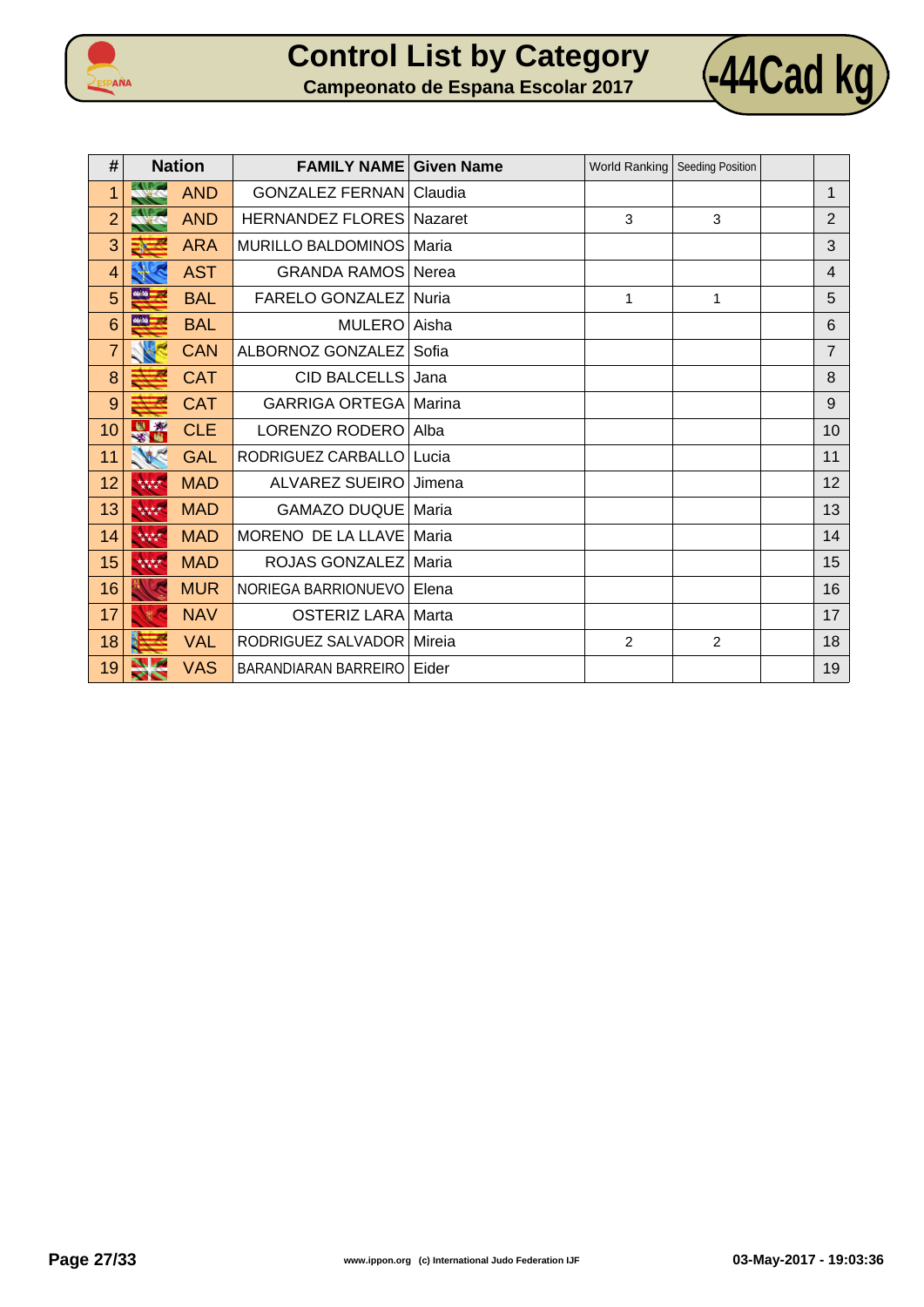



| #              | <b>Nation</b>                | <b>FAMILY NAME</b>               | <b>Given Name</b> | World Ranking | <b>Seeding Position</b> |                |
|----------------|------------------------------|----------------------------------|-------------------|---------------|-------------------------|----------------|
| 1              | <b>AND</b>                   | <b>GONZALEZ FERNAN   Claudia</b> |                   |               |                         | 1              |
| $\overline{2}$ | <b>AND</b>                   | <b>HERNANDEZ FLORES Nazaret</b>  |                   | 3             | 3                       | $\overline{2}$ |
| 3              | <b>ARA</b>                   | <b>MURILLO BALDOMINOS</b>        | Maria             |               |                         | 3              |
| 4              | <b>AST</b>                   | <b>GRANDA RAMOS</b>              | Nerea             |               |                         | 4              |
| 5              | <b>MAN ---</b><br><b>BAL</b> | <b>FARELO GONZALEZ</b>           | Nuria             | 1             | 1                       | 5              |
| 6              | 66.54<br><b>BAL</b>          | <b>MULERO</b>                    | Aisha             |               |                         | 6              |
| $\overline{7}$ | <b>CAN</b>                   | ALBORNOZ GONZALEZ                | Sofia             |               |                         | $\overline{7}$ |
| 8              | <b>CAT</b>                   | <b>CID BALCELLS</b>              | Jana              |               |                         | 8              |
| 9              | <b>CAT</b>                   | <b>GARRIGA ORTEGA   Marina</b>   |                   |               |                         | 9              |
| 10             | <b>CLE</b><br><b>13 Mill</b> | LORENZO RODERO                   | Alba              |               |                         | 10             |
| 11             | <b>GAL</b>                   | RODRIGUEZ CARBALLO               | Lucia             |               |                         | 11             |
| 12             | 大大大大<br><b>MAD</b>           | <b>ALVAREZ SUEIRO</b>            | Jimena            |               |                         | 12             |
| 13             | <b>MAD</b><br>林林             | <b>GAMAZO DUQUE</b>              | Maria             |               |                         | 13             |
| 14             | <b>MAD</b><br>大大大大           | MORENO DE LA LLAVE               | Maria             |               |                         | 14             |
| 15             | <b>MAD</b><br>林林             | ROJAS GONZALEZ                   | Maria             |               |                         | 15             |
| 16             | <b>MUR</b>                   | NORIEGA BARRIONUEVO              | Elena             |               |                         | 16             |
| 17             | <b>NAV</b>                   | OSTERIZ LARA   Marta             |                   |               |                         | 17             |
| 18             | <b>VAL</b>                   | RODRIGUEZ SALVADOR   Mireia      |                   | $\mathcal{P}$ | 2                       | 18             |
| 19             | <b>VAS</b>                   | BARANDIARAN BARREIRO Eider       |                   |               |                         | 19             |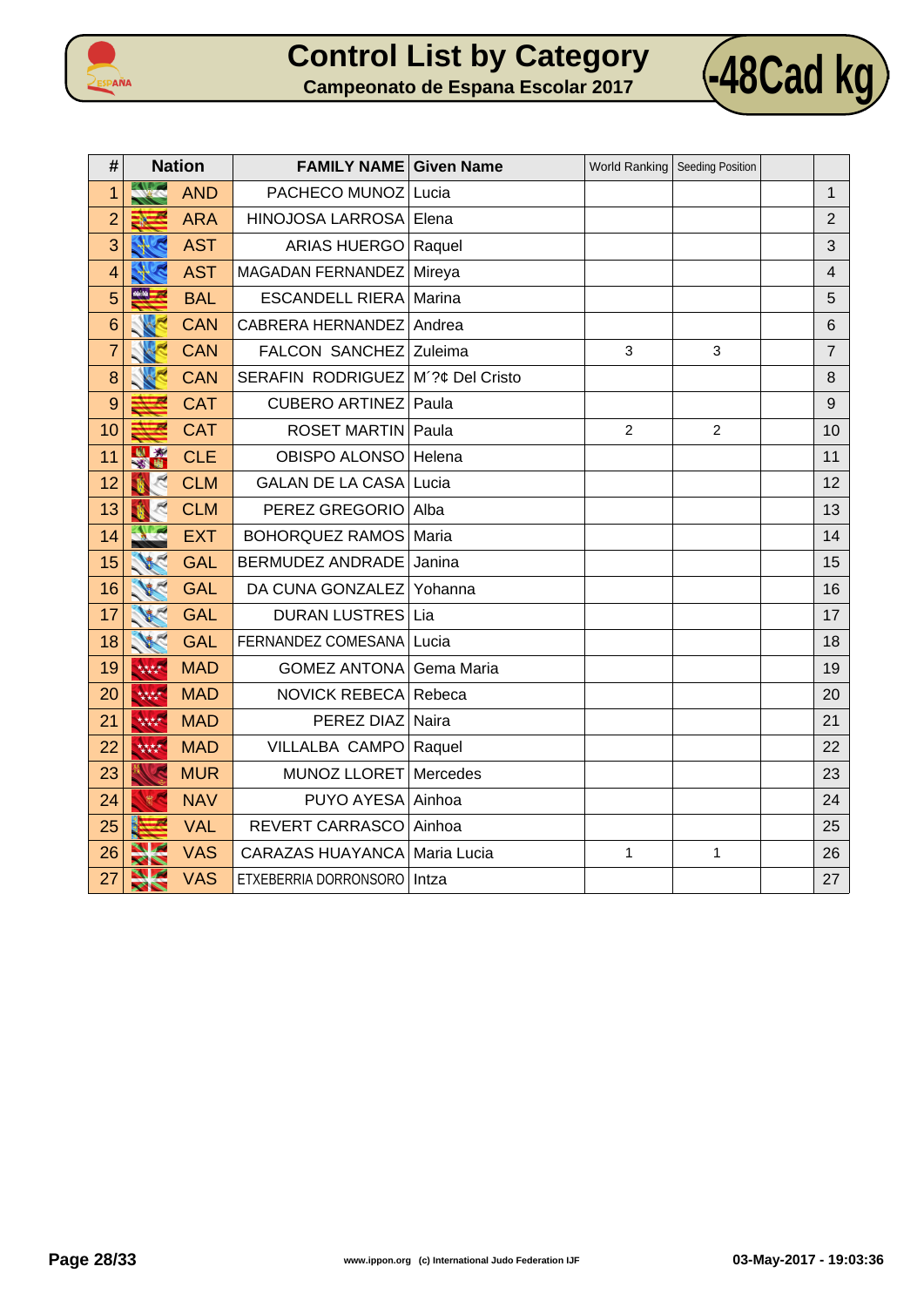



| #              | <b>Nation</b>         |            | <b>FAMILY NAME Given Name</b> |                 | World Ranking   Seeding Position |                |                |
|----------------|-----------------------|------------|-------------------------------|-----------------|----------------------------------|----------------|----------------|
| 1              |                       | <b>AND</b> | PACHECO MUNOZ                 | Lucia           |                                  |                | $\mathbf{1}$   |
| $\overline{2}$ | ≡7                    | <b>ARA</b> | HINOJOSA LARROSA              | Elena           |                                  |                | $\overline{2}$ |
| 3              |                       | <b>AST</b> | ARIAS HUERGO   Raquel         |                 |                                  |                | 3              |
| $\overline{4}$ |                       | <b>AST</b> | MAGADAN FERNANDEZ             | Mireya          |                                  |                | $\overline{4}$ |
| 5              | 46.56                 | <b>BAL</b> | <b>ESCANDELL RIERA</b>        | Marina          |                                  |                | 5              |
| 6              |                       | <b>CAN</b> | <b>CABRERA HERNANDEZ</b>      | Andrea          |                                  |                | 6              |
| $\overline{7}$ |                       | <b>CAN</b> | <b>FALCON SANCHEZ</b>         | Zuleima         | 3                                | 3              | $\overline{7}$ |
| 8              |                       | <b>CAN</b> | <b>SERAFIN RODRIGUEZ</b>      | M'?¢ Del Cristo |                                  |                | 8              |
| 9              |                       | <b>CAT</b> | <b>CUBERO ARTINEZ</b>         | Paula           |                                  |                | 9              |
| 10             |                       | <b>CAT</b> | <b>ROSET MARTIN</b>           | Paula           | $\overline{2}$                   | $\overline{2}$ | 10             |
| 11             | 出场                    | <b>CLE</b> | OBISPO ALONSO                 | Helena          |                                  |                | 11             |
| 12             |                       | <b>CLM</b> | <b>GALAN DE LA CASA</b>       | Lucia           |                                  |                | 12             |
| 13             |                       | <b>CLM</b> | PEREZ GREGORIO                | Alba            |                                  |                | 13             |
| 14             |                       | <b>EXT</b> | <b>BOHORQUEZ RAMOS</b>        | Maria           |                                  |                | 14             |
| 15             |                       | <b>GAL</b> | BERMUDEZ ANDRADE              | Janina          |                                  |                | 15             |
| 16             |                       | <b>GAL</b> | DA CUNA GONZALEZ              | Yohanna         |                                  |                | 16             |
| 17             |                       | <b>GAL</b> | <b>DURAN LUSTRES</b>          | Lia             |                                  |                | 17             |
| 18             |                       | <b>GAL</b> | FERNANDEZ COMESANA            | Lucia           |                                  |                | 18             |
| 19             | 林林                    | <b>MAD</b> | <b>GOMEZ ANTONA</b>           | Gema Maria      |                                  |                | 19             |
| 20             | 林林                    | <b>MAD</b> | <b>NOVICK REBECA</b>          | Rebeca          |                                  |                | 20             |
| 21             | 林林                    | <b>MAD</b> | PEREZ DIAZ Naira              |                 |                                  |                | 21             |
| 22             | 林林                    | <b>MAD</b> | VILLALBA CAMPO                | Raquel          |                                  |                | 22             |
| 23             |                       | <b>MUR</b> | MUNOZ LLORET                  | Mercedes        |                                  |                | 23             |
| 24             |                       | <b>NAV</b> | PUYO AYESA                    | Ainhoa          |                                  |                | 24             |
| 25             |                       | <b>VAL</b> | REVERT CARRASCO               | Ainhoa          |                                  |                | 25             |
| 26             |                       | <b>VAS</b> | <b>CARAZAS HUAYANCA</b>       | Maria Lucia     | $\mathbf{1}$                     | 1              | 26             |
| 27             | $\blacktriangleright$ | <b>VAS</b> | ETXEBERRIA DORRONSORO         | Intza           |                                  |                | 27             |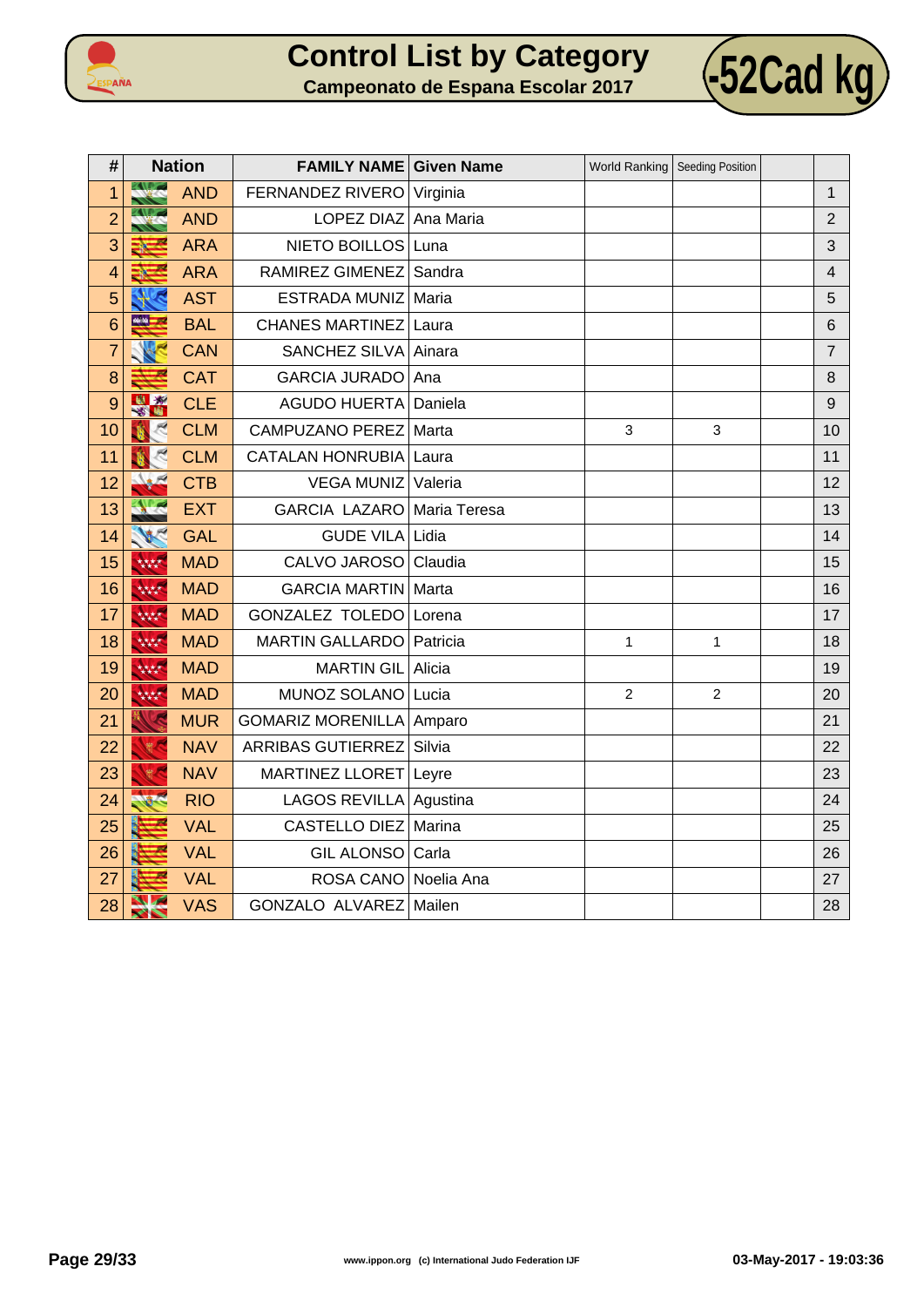



| #              | <b>Nation</b>  |            | <b>FAMILY NAME Given Name</b> |         | World Ranking  | <b>Seeding Position</b> |                |
|----------------|----------------|------------|-------------------------------|---------|----------------|-------------------------|----------------|
| 1              | <b>All 200</b> | <b>AND</b> | FERNANDEZ RIVERO Virginia     |         |                |                         | $\mathbf 1$    |
| $\overline{c}$ |                | <b>AND</b> | LOPEZ DIAZ Ana Maria          |         |                |                         | $\overline{2}$ |
| 3              |                | <b>ARA</b> | NIETO BOILLOS Luna            |         |                |                         | 3              |
| $\overline{4}$ |                | <b>ARA</b> | RAMIREZ GIMENEZ               | Sandra  |                |                         | $\overline{4}$ |
| 5              |                | <b>AST</b> | ESTRADA MUNIZ                 | Maria   |                |                         | 5              |
| 6              | 66.50 l        | <b>BAL</b> | <b>CHANES MARTINEZ</b>        | Laura   |                |                         | 6              |
| $\overline{7}$ |                | <b>CAN</b> | SANCHEZ SILVA Ainara          |         |                |                         | $\overline{7}$ |
| 8              |                | <b>CAT</b> | <b>GARCIA JURADO</b>          | Ana     |                |                         | 8              |
| 9              | 出现             | <b>CLE</b> | <b>AGUDO HUERTA</b>           | Daniela |                |                         | 9              |
| 10             |                | <b>CLM</b> | <b>CAMPUZANO PEREZ</b>        | Marta   | 3              | 3                       | 10             |
| 11             |                | <b>CLM</b> | <b>CATALAN HONRUBIA</b>       | Laura   |                |                         | 11             |
| 12             |                | <b>CTB</b> | <b>VEGA MUNIZ</b>             | Valeria |                |                         | 12             |
| 13             |                | <b>EXT</b> | GARCIA LAZARO Maria Teresa    |         |                |                         | 13             |
| 14             | <b>ARC</b>     | <b>GAL</b> | GUDE VILA Lidia               |         |                |                         | 14             |
| 15             | 林林             | <b>MAD</b> | CALVO JAROSO                  | Claudia |                |                         | 15             |
| 16             | 大大大大           | <b>MAD</b> | <b>GARCIA MARTIN Marta</b>    |         |                |                         | 16             |
| 17             | 林林             | <b>MAD</b> | GONZALEZ TOLEDO Lorena        |         |                |                         | 17             |
| 18             | 大大大大           | <b>MAD</b> | MARTIN GALLARDO   Patricia    |         | $\mathbf{1}$   | $\mathbf{1}$            | 18             |
| 19             | 林林             | <b>MAD</b> | <b>MARTIN GIL</b>             | Alicia  |                |                         | 19             |
| 20             | 林林             | <b>MAD</b> | MUNOZ SOLANO Lucia            |         | $\overline{2}$ | $\overline{2}$          | 20             |
| 21             | G              | <b>MUR</b> | GOMARIZ MORENILLA   Amparo    |         |                |                         | 21             |
| 22             | 一般             | <b>NAV</b> | <b>ARRIBAS GUTIERREZ</b>      | Silvia  |                |                         | 22             |
| 23             |                | <b>NAV</b> | <b>MARTINEZ LLORET</b>        | Leyre   |                |                         | 23             |
| 24             |                | <b>RIO</b> | LAGOS REVILLA Agustina        |         |                |                         | 24             |
| 25             |                | <b>VAL</b> | <b>CASTELLO DIEZ</b>          | Marina  |                |                         | 25             |
| 26             |                | <b>VAL</b> | GIL ALONSO Carla              |         |                |                         | 26             |
| 27             |                | <b>VAL</b> | ROSA CANO Noelia Ana          |         |                |                         | 27             |
| 28             | $\sim$<br>╱╲   | <b>VAS</b> | GONZALO ALVAREZ Mailen        |         |                |                         | 28             |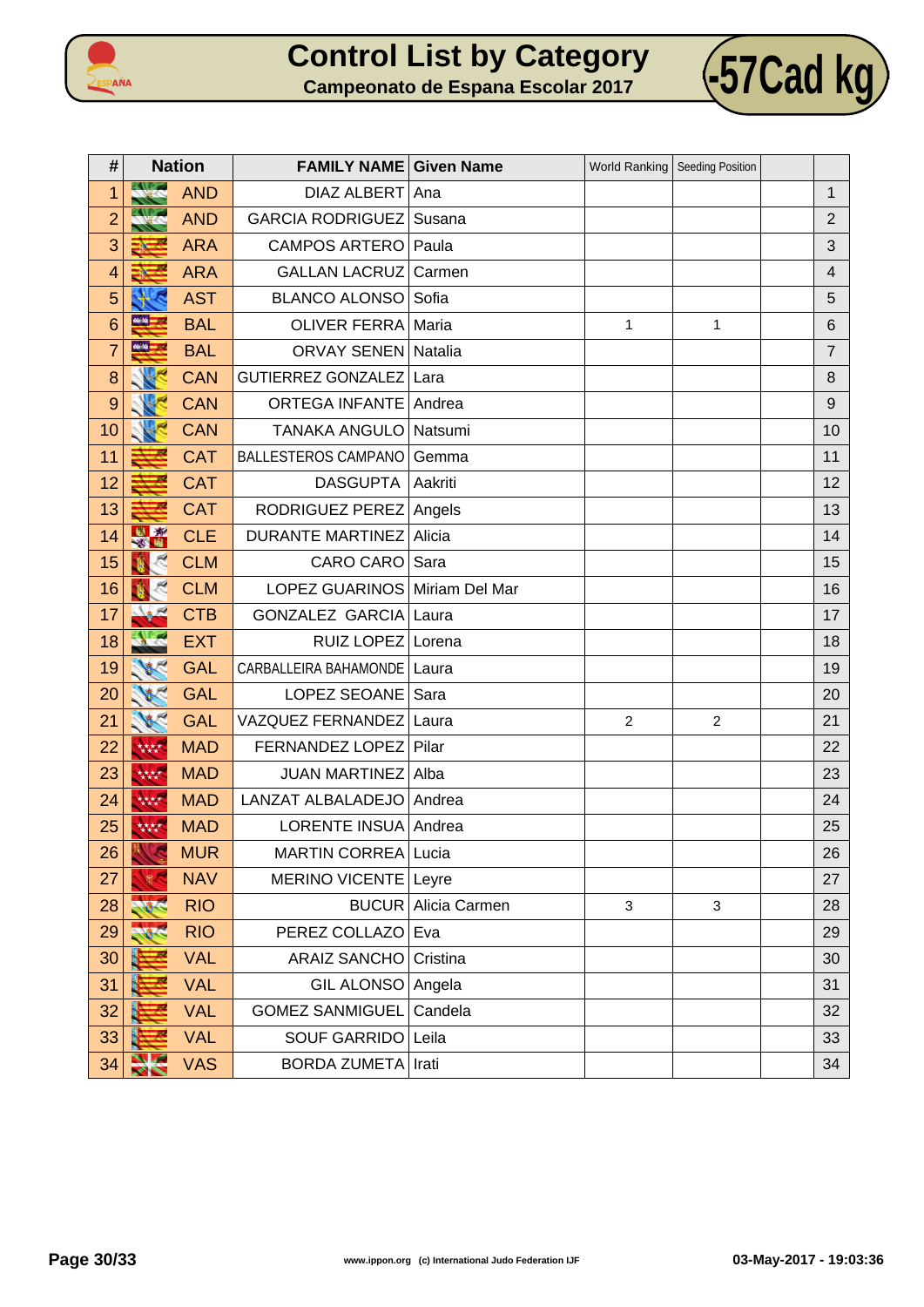



| #              |                      | <b>Nation</b> | <b>FAMILY NAME Given Name</b> |                            | World Ranking  | Seeding Position |                         |
|----------------|----------------------|---------------|-------------------------------|----------------------------|----------------|------------------|-------------------------|
| 1              | <b>Alexie</b>        | <b>AND</b>    | DIAZ ALBERT Ana               |                            |                |                  | $\mathbf{1}$            |
| $\overline{2}$ |                      | <b>AND</b>    | <b>GARCIA RODRIGUEZ</b>       | Susana                     |                |                  | $\overline{2}$          |
| 3              |                      | <b>ARA</b>    | CAMPOS ARTERO   Paula         |                            |                |                  | $\sqrt{3}$              |
| $\overline{4}$ |                      | <b>ARA</b>    | <b>GALLAN LACRUZ</b>          | Carmen                     |                |                  | $\overline{\mathbf{4}}$ |
| 5              |                      | <b>AST</b>    | <b>BLANCO ALONSO</b>          | Sofia                      |                |                  | 5                       |
| 6              | 66.59                | <b>BAL</b>    | <b>OLIVER FERRA Maria</b>     |                            | $\mathbf{1}$   | 1                | $\,6$                   |
| $\overline{7}$ | 46.50 <mark>-</mark> | <b>BAL</b>    | <b>ORVAY SENEN Natalia</b>    |                            |                |                  | $\overline{7}$          |
| 8              |                      | <b>CAN</b>    | GUTIERREZ GONZALEZ Lara       |                            |                |                  | 8                       |
| 9              |                      | <b>CAN</b>    | <b>ORTEGA INFANTE Andrea</b>  |                            |                |                  | $\boldsymbol{9}$        |
| 10             |                      | <b>CAN</b>    | TANAKA ANGULO   Natsumi       |                            |                |                  | 10                      |
| 11             |                      | <b>CAT</b>    | <b>BALLESTEROS CAMPANO</b>    | Gemma                      |                |                  | 11                      |
| 12             |                      | <b>CAT</b>    | <b>DASGUPTA</b>               | Aakriti                    |                |                  | 12                      |
| 13             |                      | <b>CAT</b>    | RODRIGUEZ PEREZ Angels        |                            |                |                  | 13                      |
| 14             | 出版                   | <b>CLE</b>    | <b>DURANTE MARTINEZ</b>       | Alicia                     |                |                  | 14                      |
| 15             |                      | <b>CLM</b>    | CARO CARO Sara                |                            |                |                  | 15                      |
| 16             |                      | <b>CLM</b>    | LOPEZ GUARINOS Miriam Del Mar |                            |                |                  | 16                      |
| 17             |                      | <b>CTB</b>    | <b>GONZALEZ GARCIA</b>        | Laura                      |                |                  | 17                      |
| 18             |                      | <b>EXT</b>    | RUIZ LOPEZ Lorena             |                            |                |                  | 18                      |
| 19             |                      | <b>GAL</b>    | CARBALLEIRA BAHAMONDE         | Laura                      |                |                  | 19                      |
| 20             |                      | <b>GAL</b>    | LOPEZ SEOANE                  | Sara                       |                |                  | 20                      |
| 21             | W                    | <b>GAL</b>    | VAZQUEZ FERNANDEZ             | Laura                      | $\overline{2}$ | $\overline{c}$   | 21                      |
| 22             | 林林                   | <b>MAD</b>    | FERNANDEZ LOPEZ               | Pilar                      |                |                  | 22                      |
| 23             | 大大大大                 | <b>MAD</b>    | <b>JUAN MARTINEZ</b>          | Alba                       |                |                  | 23                      |
| 24             | 林林                   | <b>MAD</b>    | LANZAT ALBALADEJO   Andrea    |                            |                |                  | 24                      |
| 25             | 大大大大                 | <b>MAD</b>    | LORENTE INSUA Andrea          |                            |                |                  | 25                      |
| 26             |                      | <b>MUR</b>    | MARTIN CORREA Lucia           |                            |                |                  | 26                      |
| 27             |                      | <b>NAV</b>    | MERINO VICENTE Leyre          |                            |                |                  | 27                      |
| 28             |                      | <b>RIO</b>    |                               | <b>BUCUR</b> Alicia Carmen | 3              | $\mathbf{3}$     | 28                      |
| 29             |                      | <b>RIO</b>    | PEREZ COLLAZO                 | Eva                        |                |                  | 29                      |
| 30             |                      | <b>VAL</b>    | <b>ARAIZ SANCHO</b>           | Cristina                   |                |                  | 30                      |
| 31             |                      | <b>VAL</b>    | GIL ALONSO Angela             |                            |                |                  | 31                      |
| 32             |                      | <b>VAL</b>    | <b>GOMEZ SANMIGUEL</b>        | Candela                    |                |                  | 32                      |
| 33             |                      | <b>VAL</b>    | SOUF GARRIDO Leila            |                            |                |                  | 33                      |
| 34             |                      | <b>VAS</b>    | <b>BORDA ZUMETA Irati</b>     |                            |                |                  | 34                      |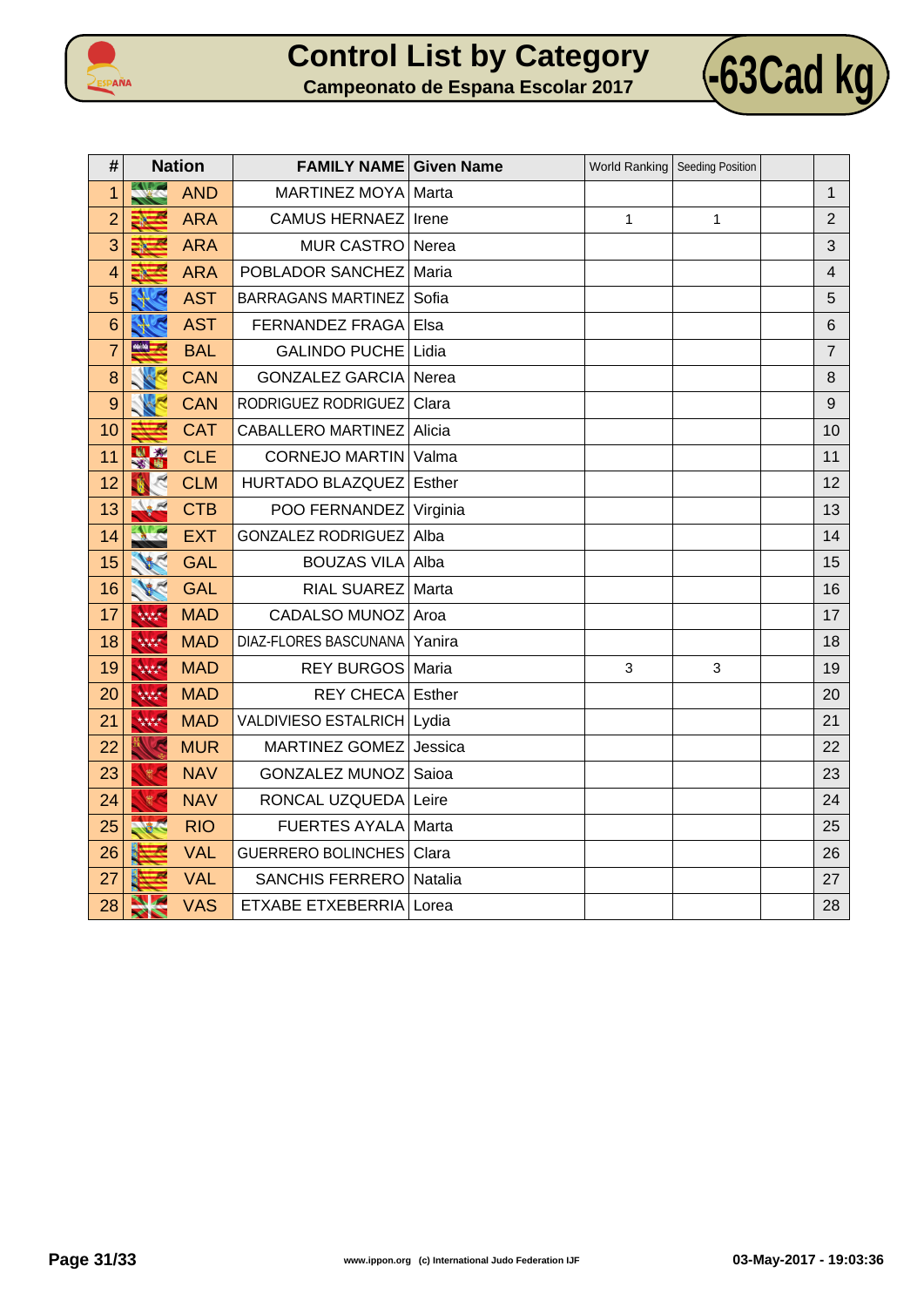



| #               | <b>Nation</b>                     |            | <b>FAMILY NAME Given Name</b> |         | World Ranking   Seeding Position |   |                         |
|-----------------|-----------------------------------|------------|-------------------------------|---------|----------------------------------|---|-------------------------|
| 1               |                                   | <b>AND</b> | MARTINEZ MOYA   Marta         |         |                                  |   | $\mathbf{1}$            |
| $\overline{2}$  |                                   | <b>ARA</b> | <b>CAMUS HERNAEZ</b>          | Irene   | 1                                | 1 | $\overline{2}$          |
| 3               |                                   | <b>ARA</b> | MUR CASTRO Nerea              |         |                                  |   | 3                       |
| $\overline{4}$  | Æ                                 | <b>ARA</b> | POBLADOR SANCHEZ              | Maria   |                                  |   | $\overline{\mathbf{4}}$ |
| 5               |                                   | <b>AST</b> | <b>BARRAGANS MARTINEZ</b>     | Sofia   |                                  |   | 5                       |
| $6\phantom{1}6$ |                                   | <b>AST</b> | FERNANDEZ FRAGA               | Elsa    |                                  |   | $6\phantom{1}$          |
| $\overline{7}$  | 46.00                             | <b>BAL</b> | GALINDO PUCHE                 | Lidia   |                                  |   | $\overline{7}$          |
| 8               |                                   | <b>CAN</b> | <b>GONZALEZ GARCIA</b>        | Nerea   |                                  |   | 8                       |
| 9               |                                   | <b>CAN</b> | RODRIGUEZ RODRIGUEZ           | Clara   |                                  |   | $\boldsymbol{9}$        |
| 10              |                                   | <b>CAT</b> | CABALLERO MARTINEZ Alicia     |         |                                  |   | 10                      |
| 11              | N *                               | <b>CLE</b> | CORNEJO MARTIN Valma          |         |                                  |   | 11                      |
| 12              |                                   | <b>CLM</b> | HURTADO BLAZQUEZ              | Esther  |                                  |   | 12                      |
| 13              |                                   | <b>CTB</b> | POO FERNANDEZ Virginia        |         |                                  |   | 13                      |
| 14              | <b>CONTRACTOR</b>                 | <b>EXT</b> | <b>GONZALEZ RODRIGUEZ</b>     | Alba    |                                  |   | 14                      |
| 15              |                                   | <b>GAL</b> | <b>BOUZAS VILA</b>            | Alba    |                                  |   | 15                      |
| 16              |                                   | <b>GAL</b> | RIAL SUAREZ   Marta           |         |                                  |   | 16                      |
| 17              | 林林                                | <b>MAD</b> | CADALSO MUNOZ Aroa            |         |                                  |   | 17                      |
| 18              | 林林                                | <b>MAD</b> | DIAZ-FLORES BASCUNANA         | Yanira  |                                  |   | 18                      |
| 19              | 林林                                | <b>MAD</b> | REY BURGOS   Maria            |         | 3                                | 3 | 19                      |
| 20              | 林林                                | <b>MAD</b> | <b>REY CHECA Esther</b>       |         |                                  |   | 20                      |
| 21              | 林林                                | <b>MAD</b> | VALDIVIESO ESTALRICH   Lydia  |         |                                  |   | 21                      |
| 22              |                                   | <b>MUR</b> | MARTINEZ GOMEZ                | Jessica |                                  |   | 22                      |
| 23              | $\frac{d\mathbf{D}}{d\mathbf{N}}$ | <b>NAV</b> | GONZALEZ MUNOZ                | Saioa   |                                  |   | 23                      |
| 24              |                                   | <b>NAV</b> | RONCAL UZQUEDA Leire          |         |                                  |   | 24                      |
| 25              |                                   | <b>RIO</b> | <b>FUERTES AYALA</b>          | Marta   |                                  |   | 25                      |
| 26              |                                   | <b>VAL</b> | <b>GUERRERO BOLINCHES</b>     | Clara   |                                  |   | 26                      |
| 27              |                                   | <b>VAL</b> | <b>SANCHIS FERRERO</b>        | Natalia |                                  |   | 27                      |
| 28              | <b>Suchara</b><br><b>XIN</b>      | <b>VAS</b> | <b>ETXABE ETXEBERRIA</b>      | Lorea   |                                  |   | 28                      |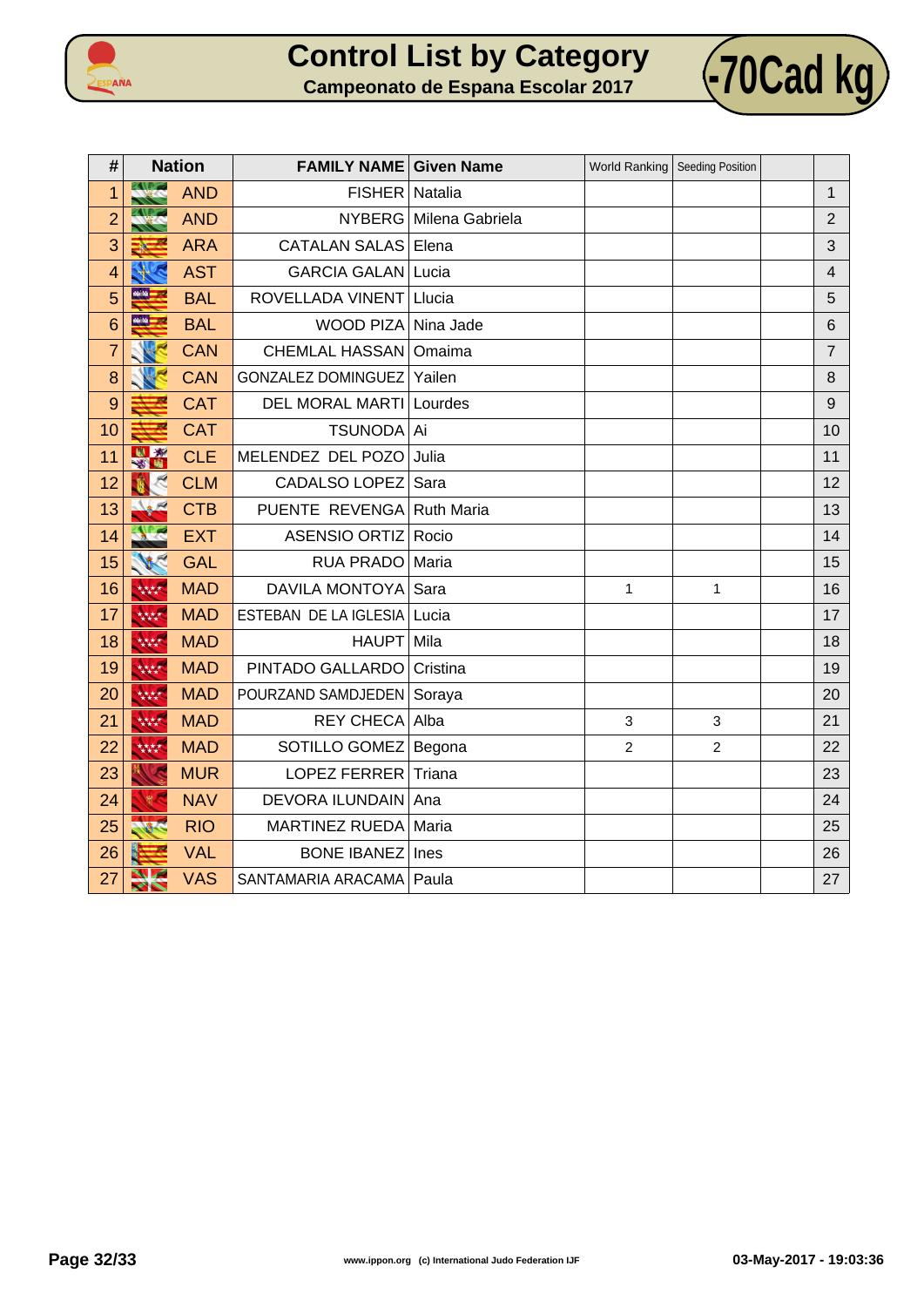



| #              | <b>Nation</b>                           |            | <b>FAMILY NAME Given Name</b>  |                        | World Ranking   Seeding Position |                |                |
|----------------|-----------------------------------------|------------|--------------------------------|------------------------|----------------------------------|----------------|----------------|
| 1              |                                         | <b>AND</b> | FISHER   Natalia               |                        |                                  |                | $\mathbf{1}$   |
| $\overline{2}$ |                                         | <b>AND</b> |                                | NYBERG Milena Gabriela |                                  |                | $\overline{2}$ |
| 3              | ÷,<br>EN.                               | <b>ARA</b> | <b>CATALAN SALAS Elena</b>     |                        |                                  |                | 3              |
| $\overline{4}$ |                                         | <b>AST</b> | <b>GARCIA GALAN Lucia</b>      |                        |                                  |                | $\overline{4}$ |
| 5              | <b>MAN</b>                              | <b>BAL</b> | ROVELLADA VINENT               | Llucia                 |                                  |                | 5              |
| 6              | $\frac{d\mathbf{r}}{dt} = -\frac{1}{2}$ | <b>BAL</b> | WOOD PIZA Nina Jade            |                        |                                  |                | 6              |
| $\overline{7}$ |                                         | <b>CAN</b> | <b>CHEMLAL HASSAN</b>          | Omaima                 |                                  |                | $\overline{7}$ |
| 8              |                                         | <b>CAN</b> | <b>GONZALEZ DOMINGUEZ</b>      | Yailen                 |                                  |                | 8              |
| 9              |                                         | <b>CAT</b> | <b>DEL MORAL MARTI Lourdes</b> |                        |                                  |                | 9              |
| 10             |                                         | <b>CAT</b> | TSUNODA Ai                     |                        |                                  |                | 10             |
| 11             | 出版                                      | <b>CLE</b> | MELENDEZ DEL POZO              | Julia                  |                                  |                | 11             |
| 12             |                                         | <b>CLM</b> | <b>CADALSO LOPEZ</b>           | Sara                   |                                  |                | 12             |
| 13             |                                         | <b>CTB</b> | PUENTE REVENGA Ruth Maria      |                        |                                  |                | 13             |
| 14             | $-1$                                    | <b>EXT</b> | <b>ASENSIO ORTIZ</b>           | Rocio                  |                                  |                | 14             |
| 15             | 186                                     | <b>GAL</b> | RUA PRADO                      | Maria                  |                                  |                | 15             |
| 16             | 林林                                      | <b>MAD</b> | <b>DAVILA MONTOYA</b>          | Sara                   | 1                                | $\mathbf{1}$   | 16             |
| 17             | 林林                                      | <b>MAD</b> | ESTEBAN DE LA IGLESIA          | Lucia                  |                                  |                | 17             |
| 18             | 林林                                      | <b>MAD</b> | HAUPT Mila                     |                        |                                  |                | 18             |
| 19             | 林林                                      | <b>MAD</b> | PINTADO GALLARDO               | Cristina               |                                  |                | 19             |
| 20             | 大大大大                                    | <b>MAD</b> | POURZAND SAMDJEDEN   Soraya    |                        |                                  |                | 20             |
| 21             | 林林                                      | <b>MAD</b> | REY CHECA Alba                 |                        | 3                                | 3              | 21             |
| 22             | 林林                                      | <b>MAD</b> | SOTILLO GOMEZ   Begona         |                        | $\overline{2}$                   | $\overline{2}$ | 22             |
| 23             |                                         | <b>MUR</b> | LOPEZ FERRER                   | Triana                 |                                  |                | 23             |
| 24             |                                         | <b>NAV</b> | <b>DEVORA ILUNDAIN</b>         | Ana                    |                                  |                | 24             |
| 25             | 100                                     | <b>RIO</b> | MARTINEZ RUEDA                 | Maria                  |                                  |                | 25             |
| 26             |                                         | <b>VAL</b> | <b>BONE IBANEZ</b>             | Ines                   |                                  |                | 26             |
| 27             | <b>Suchara</b><br>$\blacktriangleright$ | <b>VAS</b> | SANTAMARIA ARACAMA   Paula     |                        |                                  |                | 27             |